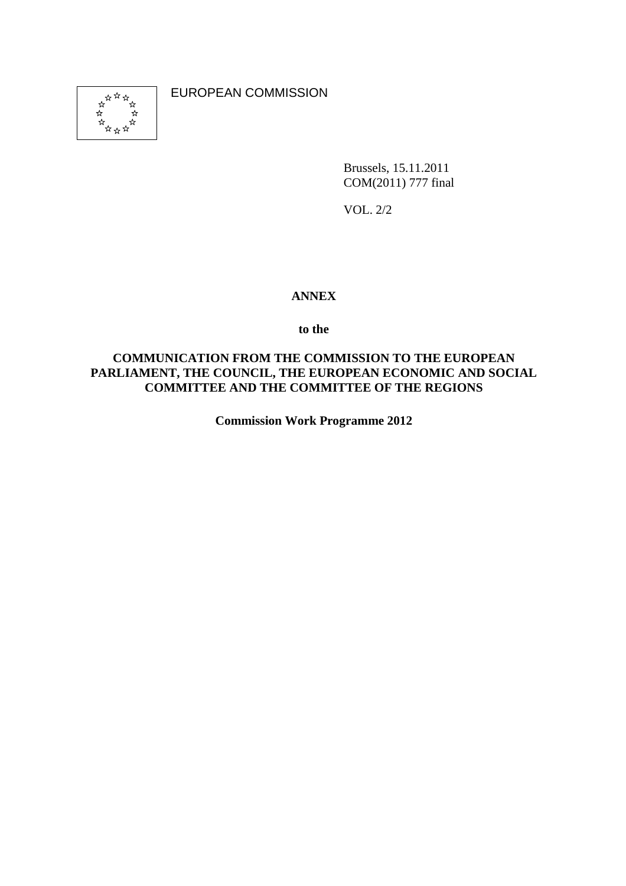

EUROPEAN COMMISSION

Brussels, 15.11.2011 COM(2011) 777 final

VOL. 2/2

#### **ANNEX**

#### **to the**

#### **COMMUNICATION FROM THE COMMISSION TO THE EUROPEAN PARLIAMENT, THE COUNCIL, THE EUROPEAN ECONOMIC AND SOCIAL COMMITTEE AND THE COMMITTEE OF THE REGIONS**

**Commission Work Programme 2012**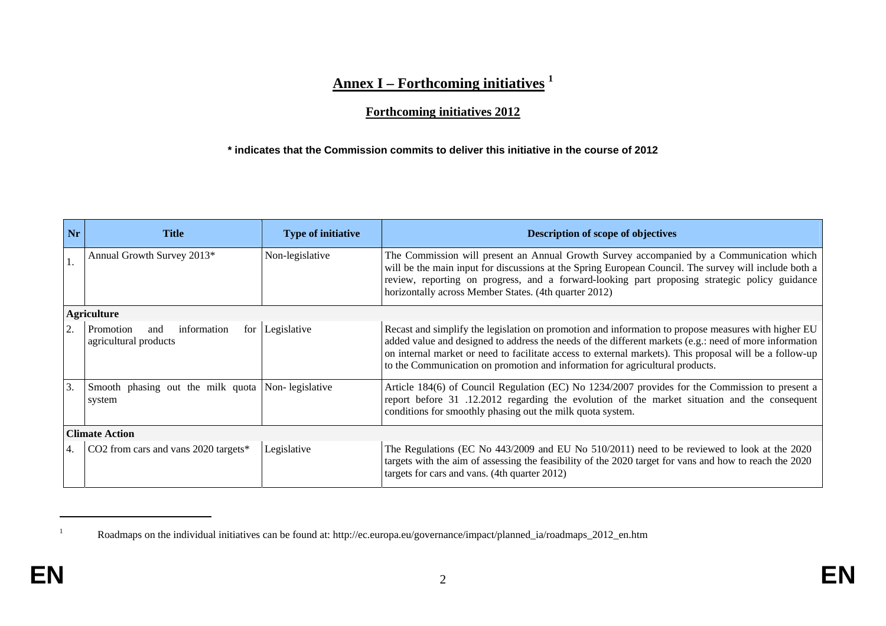## **Annex I – Forthcoming initiatives <sup>1</sup>**

## **Forthcoming initiatives 2012**

#### **\* indicates that the Commission commits to deliver this initiative in the course of 2012**

| Nr | <b>Title</b>                                                | <b>Type of initiative</b> | <b>Description of scope of objectives</b>                                                                                                                                                                                                                                                                                                                                                                |  |
|----|-------------------------------------------------------------|---------------------------|----------------------------------------------------------------------------------------------------------------------------------------------------------------------------------------------------------------------------------------------------------------------------------------------------------------------------------------------------------------------------------------------------------|--|
|    | Annual Growth Survey 2013*                                  | Non-legislative           | The Commission will present an Annual Growth Survey accompanied by a Communication which<br>will be the main input for discussions at the Spring European Council. The survey will include both a<br>review, reporting on progress, and a forward-looking part proposing strategic policy guidance<br>horizontally across Member States. (4th quarter 2012)                                              |  |
|    | <b>Agriculture</b>                                          |                           |                                                                                                                                                                                                                                                                                                                                                                                                          |  |
|    | Promotion<br>information<br>and<br>agricultural products    | for Legislative           | Recast and simplify the legislation on promotion and information to propose measures with higher EU<br>added value and designed to address the needs of the different markets (e.g.: need of more information<br>on internal market or need to facilitate access to external markets). This proposal will be a follow-up<br>to the Communication on promotion and information for agricultural products. |  |
| 3. | Smooth phasing out the milk quota Non-legislative<br>system |                           | Article 184(6) of Council Regulation (EC) No 1234/2007 provides for the Commission to present a<br>report before 31 .12.2012 regarding the evolution of the market situation and the consequent<br>conditions for smoothly phasing out the milk quota system.                                                                                                                                            |  |
|    | <b>Climate Action</b>                                       |                           |                                                                                                                                                                                                                                                                                                                                                                                                          |  |
| 4. | CO2 from cars and vans 2020 targets*                        | Legislative               | The Regulations (EC No 443/2009 and EU No 510/2011) need to be reviewed to look at the 2020<br>targets with the aim of assessing the feasibility of the 2020 target for vans and how to reach the 2020<br>targets for cars and vans. (4th quarter 2012)                                                                                                                                                  |  |

<sup>&</sup>lt;sup>1</sup> Roadmaps on the individual initiatives can be found at: http://ec.europa.eu/governance/impact/planned\_ia/roadmaps\_2012\_en.htm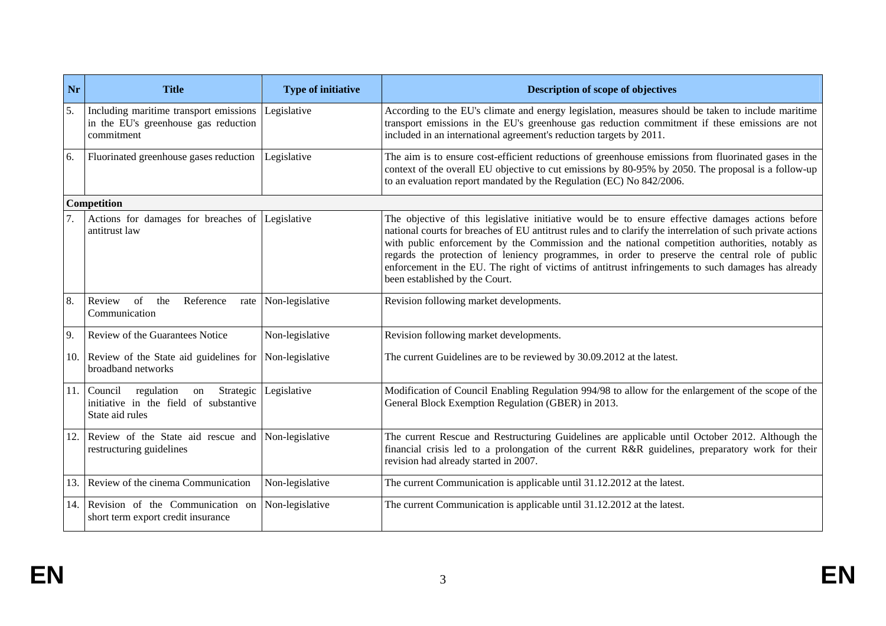| <b>Nr</b> | <b>Title</b>                                                                                           | <b>Type of initiative</b> | Description of scope of objectives                                                                                                                                                                                                                                                                                                                                                                                                                                                                                                                          |
|-----------|--------------------------------------------------------------------------------------------------------|---------------------------|-------------------------------------------------------------------------------------------------------------------------------------------------------------------------------------------------------------------------------------------------------------------------------------------------------------------------------------------------------------------------------------------------------------------------------------------------------------------------------------------------------------------------------------------------------------|
| 5.        | Including maritime transport emissions<br>in the EU's greenhouse gas reduction<br>commitment           | Legislative               | According to the EU's climate and energy legislation, measures should be taken to include maritime<br>transport emissions in the EU's greenhouse gas reduction commitment if these emissions are not<br>included in an international agreement's reduction targets by 2011.                                                                                                                                                                                                                                                                                 |
| 6.        | Fluorinated greenhouse gases reduction                                                                 | Legislative               | The aim is to ensure cost-efficient reductions of greenhouse emissions from fluorinated gases in the<br>context of the overall EU objective to cut emissions by 80-95% by 2050. The proposal is a follow-up<br>to an evaluation report mandated by the Regulation (EC) No 842/2006.                                                                                                                                                                                                                                                                         |
|           | <b>Competition</b>                                                                                     |                           |                                                                                                                                                                                                                                                                                                                                                                                                                                                                                                                                                             |
| 7.        | Actions for damages for breaches of<br>antitrust law                                                   | Legislative               | The objective of this legislative initiative would be to ensure effective damages actions before<br>national courts for breaches of EU antitrust rules and to clarify the interrelation of such private actions<br>with public enforcement by the Commission and the national competition authorities, notably as<br>regards the protection of leniency programmes, in order to preserve the central role of public<br>enforcement in the EU. The right of victims of antitrust infringements to such damages has already<br>been established by the Court. |
| 8.        | Review<br>of<br>Reference<br>the<br>rate<br>Communication                                              | Non-legislative           | Revision following market developments.                                                                                                                                                                                                                                                                                                                                                                                                                                                                                                                     |
| 9.        | Review of the Guarantees Notice                                                                        | Non-legislative           | Revision following market developments.                                                                                                                                                                                                                                                                                                                                                                                                                                                                                                                     |
| 10.       | Review of the State aid guidelines for<br>broadband networks                                           | Non-legislative           | The current Guidelines are to be reviewed by 30.09.2012 at the latest.                                                                                                                                                                                                                                                                                                                                                                                                                                                                                      |
|           | 11. Council regulation<br>Strategic<br>on<br>initiative in the field of substantive<br>State aid rules | Legislative               | Modification of Council Enabling Regulation 994/98 to allow for the enlargement of the scope of the<br>General Block Exemption Regulation (GBER) in 2013.                                                                                                                                                                                                                                                                                                                                                                                                   |
| 12.       | Review of the State aid rescue and<br>restructuring guidelines                                         | Non-legislative           | The current Rescue and Restructuring Guidelines are applicable until October 2012. Although the<br>financial crisis led to a prolongation of the current R&R guidelines, preparatory work for their<br>revision had already started in 2007.                                                                                                                                                                                                                                                                                                                |
| 13.       | Review of the cinema Communication                                                                     | Non-legislative           | The current Communication is applicable until 31.12.2012 at the latest.                                                                                                                                                                                                                                                                                                                                                                                                                                                                                     |
| 14.       | Revision of the Communication on<br>short term export credit insurance                                 | Non-legislative           | The current Communication is applicable until 31.12.2012 at the latest.                                                                                                                                                                                                                                                                                                                                                                                                                                                                                     |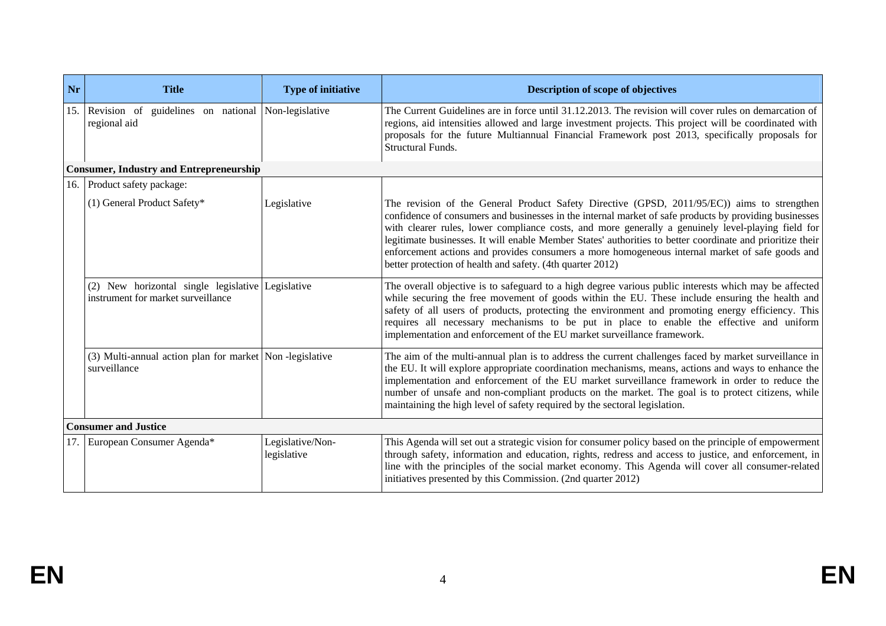| <b>Nr</b> | <b>Title</b>                                                                            | <b>Type of initiative</b>       | <b>Description of scope of objectives</b>                                                                                                                                                                                                                                                                                                                                                                                                                                                                                                                                                  |
|-----------|-----------------------------------------------------------------------------------------|---------------------------------|--------------------------------------------------------------------------------------------------------------------------------------------------------------------------------------------------------------------------------------------------------------------------------------------------------------------------------------------------------------------------------------------------------------------------------------------------------------------------------------------------------------------------------------------------------------------------------------------|
| 15.       | Revision of<br>guidelines on national<br>regional aid                                   | Non-legislative                 | The Current Guidelines are in force until 31.12.2013. The revision will cover rules on demarcation of<br>regions, aid intensities allowed and large investment projects. This project will be coordinated with<br>proposals for the future Multiannual Financial Framework post 2013, specifically proposals for<br>Structural Funds.                                                                                                                                                                                                                                                      |
|           | <b>Consumer, Industry and Entrepreneurship</b>                                          |                                 |                                                                                                                                                                                                                                                                                                                                                                                                                                                                                                                                                                                            |
|           | 16. Product safety package:                                                             |                                 |                                                                                                                                                                                                                                                                                                                                                                                                                                                                                                                                                                                            |
|           | (1) General Product Safety*                                                             | Legislative                     | The revision of the General Product Safety Directive (GPSD, 2011/95/EC)) aims to strengthen<br>confidence of consumers and businesses in the internal market of safe products by providing businesses<br>with clearer rules, lower compliance costs, and more generally a genuinely level-playing field for<br>legitimate businesses. It will enable Member States' authorities to better coordinate and prioritize their<br>enforcement actions and provides consumers a more homogeneous internal market of safe goods and<br>better protection of health and safety. (4th quarter 2012) |
|           | (2) New horizontal single legislative Legislative<br>instrument for market surveillance |                                 | The overall objective is to safeguard to a high degree various public interests which may be affected<br>while securing the free movement of goods within the EU. These include ensuring the health and<br>safety of all users of products, protecting the environment and promoting energy efficiency. This<br>requires all necessary mechanisms to be put in place to enable the effective and uniform<br>implementation and enforcement of the EU market surveillance framework.                                                                                                        |
|           | (3) Multi-annual action plan for market Non-legislative<br>surveillance                 |                                 | The aim of the multi-annual plan is to address the current challenges faced by market surveillance in<br>the EU. It will explore appropriate coordination mechanisms, means, actions and ways to enhance the<br>implementation and enforcement of the EU market surveillance framework in order to reduce the<br>number of unsafe and non-compliant products on the market. The goal is to protect citizens, while<br>maintaining the high level of safety required by the sectoral legislation.                                                                                           |
|           | <b>Consumer and Justice</b>                                                             |                                 |                                                                                                                                                                                                                                                                                                                                                                                                                                                                                                                                                                                            |
| 17.       | European Consumer Agenda*                                                               | Legislative/Non-<br>legislative | This Agenda will set out a strategic vision for consumer policy based on the principle of empowerment<br>through safety, information and education, rights, redress and access to justice, and enforcement, in<br>line with the principles of the social market economy. This Agenda will cover all consumer-related<br>initiatives presented by this Commission. (2nd quarter 2012)                                                                                                                                                                                                       |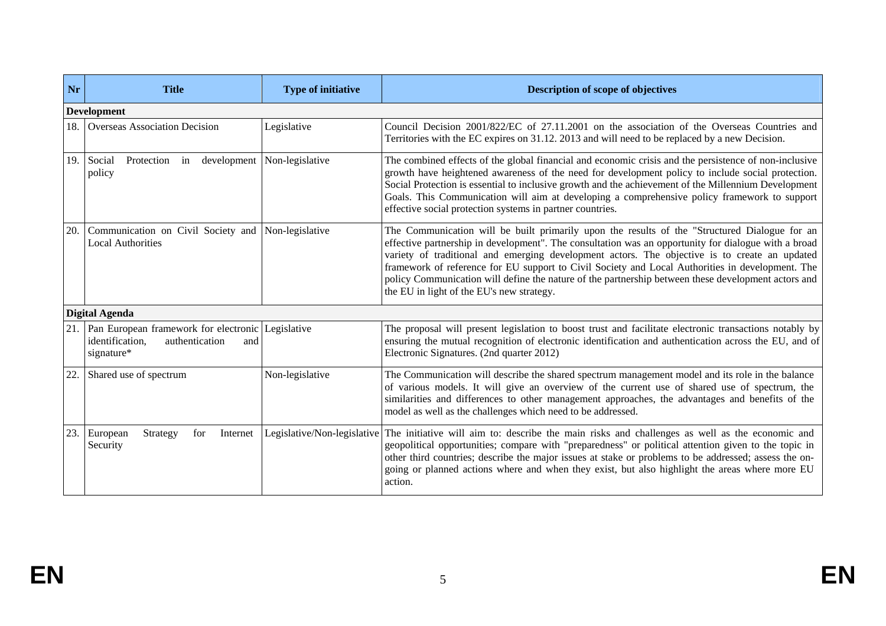| Nr  | <b>Title</b>                                                                                                | <b>Type of initiative</b>   | <b>Description of scope of objectives</b>                                                                                                                                                                                                                                                                                                                                                                                                                                                                                                                      |
|-----|-------------------------------------------------------------------------------------------------------------|-----------------------------|----------------------------------------------------------------------------------------------------------------------------------------------------------------------------------------------------------------------------------------------------------------------------------------------------------------------------------------------------------------------------------------------------------------------------------------------------------------------------------------------------------------------------------------------------------------|
|     | <b>Development</b>                                                                                          |                             |                                                                                                                                                                                                                                                                                                                                                                                                                                                                                                                                                                |
| 18. | <b>Overseas Association Decision</b>                                                                        | Legislative                 | Council Decision 2001/822/EC of 27.11.2001 on the association of the Overseas Countries and<br>Territories with the EC expires on 31.12. 2013 and will need to be replaced by a new Decision.                                                                                                                                                                                                                                                                                                                                                                  |
| 19. | Protection in<br>development<br>Social<br>policy                                                            | Non-legislative             | The combined effects of the global financial and economic crisis and the persistence of non-inclusive<br>growth have heightened awareness of the need for development policy to include social protection.<br>Social Protection is essential to inclusive growth and the achievement of the Millennium Development<br>Goals. This Communication will aim at developing a comprehensive policy framework to support<br>effective social protection systems in partner countries.                                                                                |
| 20. | Communication on Civil Society and<br><b>Local Authorities</b>                                              | Non-legislative             | The Communication will be built primarily upon the results of the "Structured Dialogue for an<br>effective partnership in development". The consultation was an opportunity for dialogue with a broad<br>variety of traditional and emerging development actors. The objective is to create an updated<br>framework of reference for EU support to Civil Society and Local Authorities in development. The<br>policy Communication will define the nature of the partnership between these development actors and<br>the EU in light of the EU's new strategy. |
|     | <b>Digital Agenda</b>                                                                                       |                             |                                                                                                                                                                                                                                                                                                                                                                                                                                                                                                                                                                |
| 21. | Pan European framework for electronic Legislative<br>authentication<br>identification.<br>and<br>signature* |                             | The proposal will present legislation to boost trust and facilitate electronic transactions notably by<br>ensuring the mutual recognition of electronic identification and authentication across the EU, and of<br>Electronic Signatures. (2nd quarter 2012)                                                                                                                                                                                                                                                                                                   |
| 22. | Shared use of spectrum                                                                                      | Non-legislative             | The Communication will describe the shared spectrum management model and its role in the balance<br>of various models. It will give an overview of the current use of shared use of spectrum, the<br>similarities and differences to other management approaches, the advantages and benefits of the<br>model as well as the challenges which need to be addressed.                                                                                                                                                                                            |
| 23. | European<br>Strategy<br>Internet<br>for<br>Security                                                         | Legislative/Non-legislative | The initiative will aim to: describe the main risks and challenges as well as the economic and<br>geopolitical opportunities; compare with "preparedness" or political attention given to the topic in<br>other third countries; describe the major issues at stake or problems to be addressed; assess the on-<br>going or planned actions where and when they exist, but also highlight the areas where more EU<br>action.                                                                                                                                   |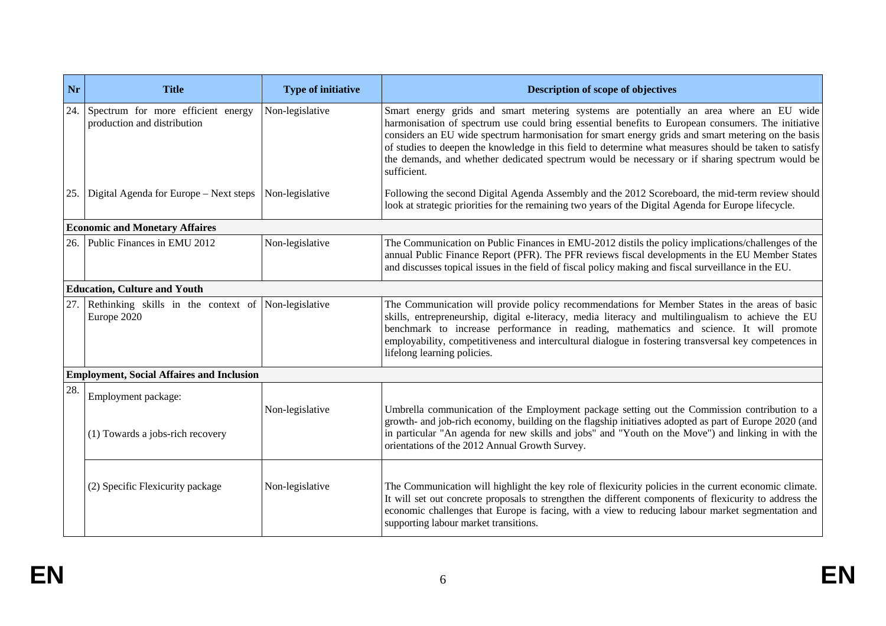| Nr  | <b>Title</b>                                                       | <b>Type of initiative</b> | Description of scope of objectives                                                                                                                                                                                                                                                                                                                                                                                                                                                                                            |
|-----|--------------------------------------------------------------------|---------------------------|-------------------------------------------------------------------------------------------------------------------------------------------------------------------------------------------------------------------------------------------------------------------------------------------------------------------------------------------------------------------------------------------------------------------------------------------------------------------------------------------------------------------------------|
| 24. | Spectrum for more efficient energy<br>production and distribution  | Non-legislative           | Smart energy grids and smart metering systems are potentially an area where an EU wide<br>harmonisation of spectrum use could bring essential benefits to European consumers. The initiative<br>considers an EU wide spectrum harmonisation for smart energy grids and smart metering on the basis<br>of studies to deepen the knowledge in this field to determine what measures should be taken to satisfy<br>the demands, and whether dedicated spectrum would be necessary or if sharing spectrum would be<br>sufficient. |
| 25. | Digital Agenda for Europe - Next steps                             | Non-legislative           | Following the second Digital Agenda Assembly and the 2012 Scoreboard, the mid-term review should<br>look at strategic priorities for the remaining two years of the Digital Agenda for Europe lifecycle.                                                                                                                                                                                                                                                                                                                      |
|     | <b>Economic and Monetary Affaires</b>                              |                           |                                                                                                                                                                                                                                                                                                                                                                                                                                                                                                                               |
| 26. | Public Finances in EMU 2012                                        | Non-legislative           | The Communication on Public Finances in EMU-2012 distils the policy implications/challenges of the<br>annual Public Finance Report (PFR). The PFR reviews fiscal developments in the EU Member States<br>and discusses topical issues in the field of fiscal policy making and fiscal surveillance in the EU.                                                                                                                                                                                                                 |
|     | <b>Education, Culture and Youth</b>                                |                           |                                                                                                                                                                                                                                                                                                                                                                                                                                                                                                                               |
| 27. | Rethinking skills in the context of Non-legislative<br>Europe 2020 |                           | The Communication will provide policy recommendations for Member States in the areas of basic<br>skills, entrepreneurship, digital e-literacy, media literacy and multilingualism to achieve the EU<br>benchmark to increase performance in reading, mathematics and science. It will promote<br>employability, competitiveness and intercultural dialogue in fostering transversal key competences in<br>lifelong learning policies.                                                                                         |
|     | <b>Employment, Social Affaires and Inclusion</b>                   |                           |                                                                                                                                                                                                                                                                                                                                                                                                                                                                                                                               |
| 28. | Employment package:<br>(1) Towards a jobs-rich recovery            | Non-legislative           | Umbrella communication of the Employment package setting out the Commission contribution to a<br>growth- and job-rich economy, building on the flagship initiatives adopted as part of Europe 2020 (and<br>in particular "An agenda for new skills and jobs" and "Youth on the Move") and linking in with the<br>orientations of the 2012 Annual Growth Survey.                                                                                                                                                               |
|     | (2) Specific Flexicurity package                                   | Non-legislative           | The Communication will highlight the key role of flexicurity policies in the current economic climate.<br>It will set out concrete proposals to strengthen the different components of flexicurity to address the<br>economic challenges that Europe is facing, with a view to reducing labour market segmentation and<br>supporting labour market transitions.                                                                                                                                                               |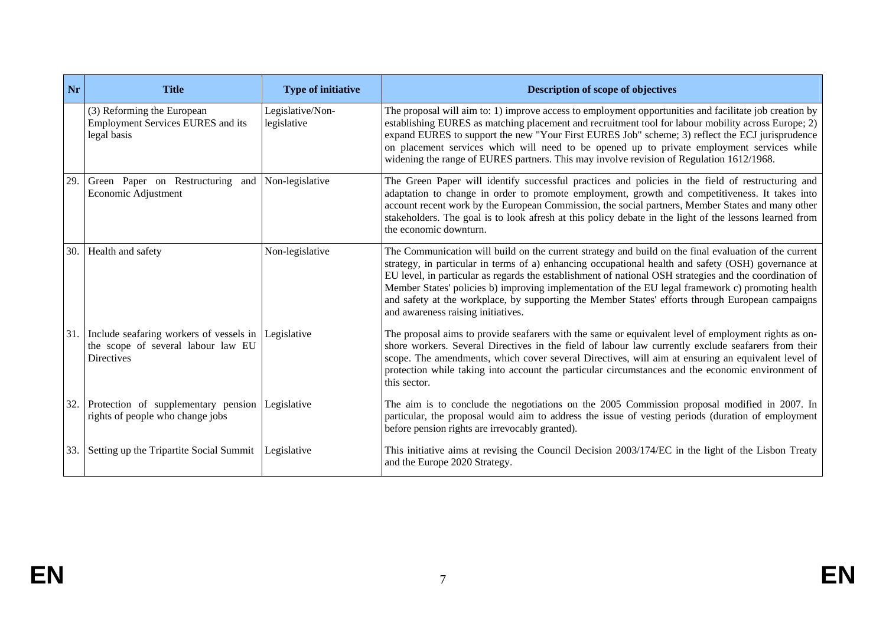| Nr  | <b>Title</b>                                                                                                   | <b>Type of initiative</b>       | <b>Description of scope of objectives</b>                                                                                                                                                                                                                                                                                                                                                                                                                                                                                                                              |
|-----|----------------------------------------------------------------------------------------------------------------|---------------------------------|------------------------------------------------------------------------------------------------------------------------------------------------------------------------------------------------------------------------------------------------------------------------------------------------------------------------------------------------------------------------------------------------------------------------------------------------------------------------------------------------------------------------------------------------------------------------|
|     | (3) Reforming the European<br>Employment Services EURES and its<br>legal basis                                 | Legislative/Non-<br>legislative | The proposal will aim to: 1) improve access to employment opportunities and facilitate job creation by<br>establishing EURES as matching placement and recruitment tool for labour mobility across Europe; 2)<br>expand EURES to support the new "Your First EURES Job" scheme; 3) reflect the ECJ jurisprudence<br>on placement services which will need to be opened up to private employment services while<br>widening the range of EURES partners. This may involve revision of Regulation 1612/1968.                                                             |
| 29. | Green Paper on Restructuring and<br>Economic Adjustment                                                        | Non-legislative                 | The Green Paper will identify successful practices and policies in the field of restructuring and<br>adaptation to change in order to promote employment, growth and competitiveness. It takes into<br>account recent work by the European Commission, the social partners, Member States and many other<br>stakeholders. The goal is to look afresh at this policy debate in the light of the lessons learned from<br>the economic downturn.                                                                                                                          |
| 30. | Health and safety                                                                                              | Non-legislative                 | The Communication will build on the current strategy and build on the final evaluation of the current<br>strategy, in particular in terms of a) enhancing occupational health and safety (OSH) governance at<br>EU level, in particular as regards the establishment of national OSH strategies and the coordination of<br>Member States' policies b) improving implementation of the EU legal framework c) promoting health<br>and safety at the workplace, by supporting the Member States' efforts through European campaigns<br>and awareness raising initiatives. |
| 31. | Include seafaring workers of vessels in Legislative<br>the scope of several labour law EU<br><b>Directives</b> |                                 | The proposal aims to provide seafarers with the same or equivalent level of employment rights as on-<br>shore workers. Several Directives in the field of labour law currently exclude seafarers from their<br>scope. The amendments, which cover several Directives, will aim at ensuring an equivalent level of<br>protection while taking into account the particular circumstances and the economic environment of<br>this sector.                                                                                                                                 |
| 32. | Protection of supplementary pension<br>rights of people who change jobs                                        | Legislative                     | The aim is to conclude the negotiations on the 2005 Commission proposal modified in 2007. In<br>particular, the proposal would aim to address the issue of vesting periods (duration of employment<br>before pension rights are irrevocably granted).                                                                                                                                                                                                                                                                                                                  |
| 33. | Setting up the Tripartite Social Summit                                                                        | Legislative                     | This initiative aims at revising the Council Decision 2003/174/EC in the light of the Lisbon Treaty<br>and the Europe 2020 Strategy.                                                                                                                                                                                                                                                                                                                                                                                                                                   |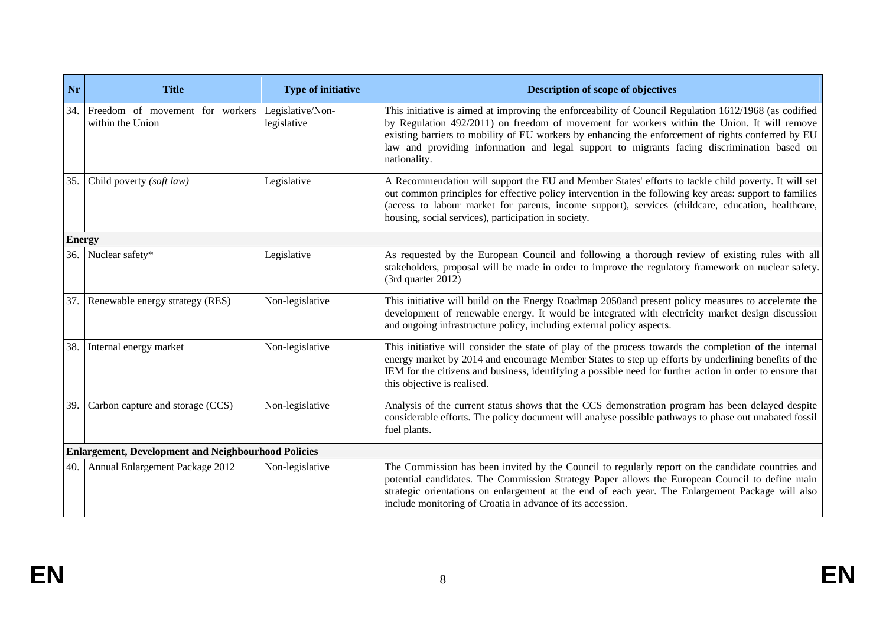| Nr            | <b>Title</b>                                               | <b>Type of initiative</b>       | Description of scope of objectives                                                                                                                                                                                                                                                                                                                                                                                       |
|---------------|------------------------------------------------------------|---------------------------------|--------------------------------------------------------------------------------------------------------------------------------------------------------------------------------------------------------------------------------------------------------------------------------------------------------------------------------------------------------------------------------------------------------------------------|
| 34.           | Freedom of movement for workers<br>within the Union        | Legislative/Non-<br>legislative | This initiative is aimed at improving the enforceability of Council Regulation 1612/1968 (as codified<br>by Regulation 492/2011) on freedom of movement for workers within the Union. It will remove<br>existing barriers to mobility of EU workers by enhancing the enforcement of rights conferred by EU<br>law and providing information and legal support to migrants facing discrimination based on<br>nationality. |
| 35.           | Child poverty (soft law)                                   | Legislative                     | A Recommendation will support the EU and Member States' efforts to tackle child poverty. It will set<br>out common principles for effective policy intervention in the following key areas: support to families<br>(access to labour market for parents, income support), services (childcare, education, healthcare,<br>housing, social services), participation in society.                                            |
| <b>Energy</b> |                                                            |                                 |                                                                                                                                                                                                                                                                                                                                                                                                                          |
| 36.           | Nuclear safety*                                            | Legislative                     | As requested by the European Council and following a thorough review of existing rules with all<br>stakeholders, proposal will be made in order to improve the regulatory framework on nuclear safety.<br>(3rd quarter 2012)                                                                                                                                                                                             |
| 37.           | Renewable energy strategy (RES)                            | Non-legislative                 | This initiative will build on the Energy Roadmap 2050and present policy measures to accelerate the<br>development of renewable energy. It would be integrated with electricity market design discussion<br>and ongoing infrastructure policy, including external policy aspects.                                                                                                                                         |
| 38.           | Internal energy market                                     | Non-legislative                 | This initiative will consider the state of play of the process towards the completion of the internal<br>energy market by 2014 and encourage Member States to step up efforts by underlining benefits of the<br>IEM for the citizens and business, identifying a possible need for further action in order to ensure that<br>this objective is realised.                                                                 |
| 39.           | Carbon capture and storage (CCS)                           | Non-legislative                 | Analysis of the current status shows that the CCS demonstration program has been delayed despite<br>considerable efforts. The policy document will analyse possible pathways to phase out unabated fossil<br>fuel plants.                                                                                                                                                                                                |
|               | <b>Enlargement, Development and Neighbourhood Policies</b> |                                 |                                                                                                                                                                                                                                                                                                                                                                                                                          |
| 40.           | Annual Enlargement Package 2012                            | Non-legislative                 | The Commission has been invited by the Council to regularly report on the candidate countries and<br>potential candidates. The Commission Strategy Paper allows the European Council to define main<br>strategic orientations on enlargement at the end of each year. The Enlargement Package will also<br>include monitoring of Croatia in advance of its accession.                                                    |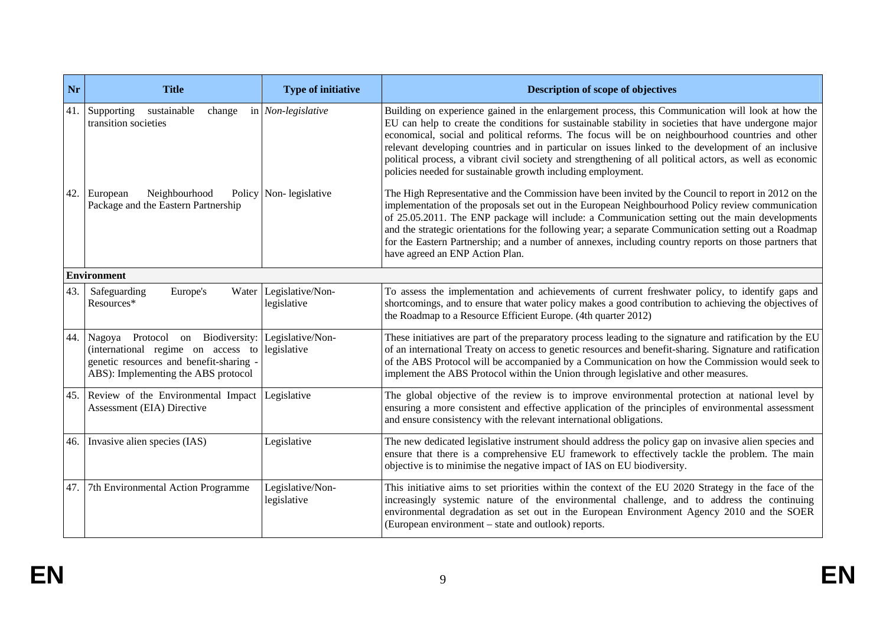| <b>Nr</b> | <b>Title</b>                                                                                                                                             | <b>Type of initiative</b>             | Description of scope of objectives                                                                                                                                                                                                                                                                                                                                                                                                                                                                                                                                                                 |
|-----------|----------------------------------------------------------------------------------------------------------------------------------------------------------|---------------------------------------|----------------------------------------------------------------------------------------------------------------------------------------------------------------------------------------------------------------------------------------------------------------------------------------------------------------------------------------------------------------------------------------------------------------------------------------------------------------------------------------------------------------------------------------------------------------------------------------------------|
|           | 41. Supporting<br>sustainable<br>change<br>transition societies                                                                                          | in Non-legislative                    | Building on experience gained in the enlargement process, this Communication will look at how the<br>EU can help to create the conditions for sustainable stability in societies that have undergone major<br>economical, social and political reforms. The focus will be on neighbourhood countries and other<br>relevant developing countries and in particular on issues linked to the development of an inclusive<br>political process, a vibrant civil society and strengthening of all political actors, as well as economic<br>policies needed for sustainable growth including employment. |
| 42.       | Neighbourhood<br>European<br>Package and the Eastern Partnership                                                                                         | Policy Non-legislative                | The High Representative and the Commission have been invited by the Council to report in 2012 on the<br>implementation of the proposals set out in the European Neighbourhood Policy review communication<br>of 25.05.2011. The ENP package will include: a Communication setting out the main developments<br>and the strategic orientations for the following year; a separate Communication setting out a Roadmap<br>for the Eastern Partnership; and a number of annexes, including country reports on those partners that<br>have agreed an ENP Action Plan.                                  |
|           | <b>Environment</b>                                                                                                                                       |                                       |                                                                                                                                                                                                                                                                                                                                                                                                                                                                                                                                                                                                    |
| 43.       | Europe's<br>Safeguarding<br>Resources*                                                                                                                   | Water Legislative/Non-<br>legislative | To assess the implementation and achievements of current freshwater policy, to identify gaps and<br>shortcomings, and to ensure that water policy makes a good contribution to achieving the objectives of<br>the Roadmap to a Resource Efficient Europe. (4th quarter 2012)                                                                                                                                                                                                                                                                                                                       |
| 44.       | Nagoya Protocol on Biodiversity:<br>(international regime on access to<br>genetic resources and benefit-sharing -<br>ABS): Implementing the ABS protocol | Legislative/Non-<br>legislative       | These initiatives are part of the preparatory process leading to the signature and ratification by the EU<br>of an international Treaty on access to genetic resources and benefit-sharing. Signature and ratification<br>of the ABS Protocol will be accompanied by a Communication on how the Commission would seek to<br>implement the ABS Protocol within the Union through legislative and other measures.                                                                                                                                                                                    |
|           | 45. Review of the Environmental Impact<br>Assessment (EIA) Directive                                                                                     | Legislative                           | The global objective of the review is to improve environmental protection at national level by<br>ensuring a more consistent and effective application of the principles of environmental assessment<br>and ensure consistency with the relevant international obligations.                                                                                                                                                                                                                                                                                                                        |
| 46.       | Invasive alien species (IAS)                                                                                                                             | Legislative                           | The new dedicated legislative instrument should address the policy gap on invasive alien species and<br>ensure that there is a comprehensive EU framework to effectively tackle the problem. The main<br>objective is to minimise the negative impact of IAS on EU biodiversity.                                                                                                                                                                                                                                                                                                                   |
| 47.       | 7th Environmental Action Programme                                                                                                                       | Legislative/Non-<br>legislative       | This initiative aims to set priorities within the context of the EU 2020 Strategy in the face of the<br>increasingly systemic nature of the environmental challenge, and to address the continuing<br>environmental degradation as set out in the European Environment Agency 2010 and the SOER<br>(European environment – state and outlook) reports.                                                                                                                                                                                                                                             |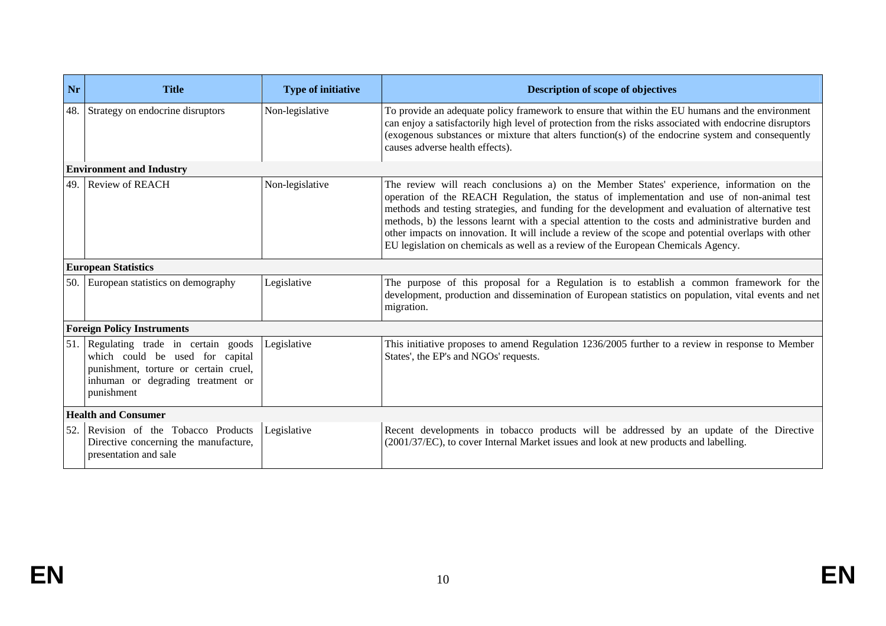| Nr  | <b>Title</b>                                                                                                                                                     | <b>Type of initiative</b> | <b>Description of scope of objectives</b>                                                                                                                                                                                                                                                                                                                                                                                                                                                                                                                                                        |
|-----|------------------------------------------------------------------------------------------------------------------------------------------------------------------|---------------------------|--------------------------------------------------------------------------------------------------------------------------------------------------------------------------------------------------------------------------------------------------------------------------------------------------------------------------------------------------------------------------------------------------------------------------------------------------------------------------------------------------------------------------------------------------------------------------------------------------|
| 48. | Strategy on endocrine disruptors                                                                                                                                 | Non-legislative           | To provide an adequate policy framework to ensure that within the EU humans and the environment<br>can enjoy a satisfactorily high level of protection from the risks associated with endocrine disruptors<br>(exogenous substances or mixture that alters function(s) of the endocrine system and consequently<br>causes adverse health effects).                                                                                                                                                                                                                                               |
|     | <b>Environment and Industry</b>                                                                                                                                  |                           |                                                                                                                                                                                                                                                                                                                                                                                                                                                                                                                                                                                                  |
| 49. | <b>Review of REACH</b>                                                                                                                                           | Non-legislative           | The review will reach conclusions a) on the Member States' experience, information on the<br>operation of the REACH Regulation, the status of implementation and use of non-animal test<br>methods and testing strategies, and funding for the development and evaluation of alternative test<br>methods, b) the lessons learnt with a special attention to the costs and administrative burden and<br>other impacts on innovation. It will include a review of the scope and potential overlaps with other<br>EU legislation on chemicals as well as a review of the European Chemicals Agency. |
|     | <b>European Statistics</b>                                                                                                                                       |                           |                                                                                                                                                                                                                                                                                                                                                                                                                                                                                                                                                                                                  |
|     | 50. European statistics on demography                                                                                                                            | Legislative               | The purpose of this proposal for a Regulation is to establish a common framework for the<br>development, production and dissemination of European statistics on population, vital events and net<br>migration.                                                                                                                                                                                                                                                                                                                                                                                   |
|     | <b>Foreign Policy Instruments</b>                                                                                                                                |                           |                                                                                                                                                                                                                                                                                                                                                                                                                                                                                                                                                                                                  |
| 51. | Regulating trade in certain goods<br>which could be used for capital<br>punishment, torture or certain cruel,<br>inhuman or degrading treatment or<br>punishment | Legislative               | This initiative proposes to amend Regulation 1236/2005 further to a review in response to Member<br>States', the EP's and NGOs' requests.                                                                                                                                                                                                                                                                                                                                                                                                                                                        |
|     | <b>Health and Consumer</b>                                                                                                                                       |                           |                                                                                                                                                                                                                                                                                                                                                                                                                                                                                                                                                                                                  |
| 52. | Revision of the Tobacco Products<br>Directive concerning the manufacture,<br>presentation and sale                                                               | Legislative               | Recent developments in tobacco products will be addressed by an update of the Directive<br>(2001/37/EC), to cover Internal Market issues and look at new products and labelling.                                                                                                                                                                                                                                                                                                                                                                                                                 |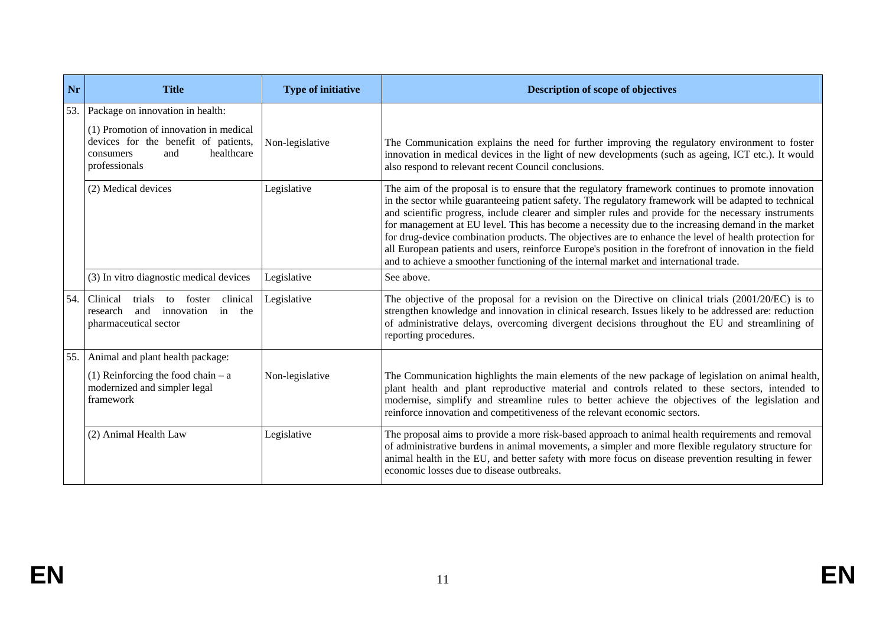| Nr  | <b>Title</b>                                                                                                                      | <b>Type of initiative</b> | <b>Description of scope of objectives</b>                                                                                                                                                                                                                                                                                                                                                                                                                                                                                                                                                                                                                                                                                                 |
|-----|-----------------------------------------------------------------------------------------------------------------------------------|---------------------------|-------------------------------------------------------------------------------------------------------------------------------------------------------------------------------------------------------------------------------------------------------------------------------------------------------------------------------------------------------------------------------------------------------------------------------------------------------------------------------------------------------------------------------------------------------------------------------------------------------------------------------------------------------------------------------------------------------------------------------------------|
| 53. | Package on innovation in health:                                                                                                  |                           |                                                                                                                                                                                                                                                                                                                                                                                                                                                                                                                                                                                                                                                                                                                                           |
|     | (1) Promotion of innovation in medical<br>devices for the benefit of patients,<br>healthcare<br>and<br>consumers<br>professionals | Non-legislative           | The Communication explains the need for further improving the regulatory environment to foster<br>innovation in medical devices in the light of new developments (such as ageing, ICT etc.). It would<br>also respond to relevant recent Council conclusions.                                                                                                                                                                                                                                                                                                                                                                                                                                                                             |
|     | (2) Medical devices                                                                                                               | Legislative               | The aim of the proposal is to ensure that the regulatory framework continues to promote innovation<br>in the sector while guaranteeing patient safety. The regulatory framework will be adapted to technical<br>and scientific progress, include clearer and simpler rules and provide for the necessary instruments<br>for management at EU level. This has become a necessity due to the increasing demand in the market<br>for drug-device combination products. The objectives are to enhance the level of health protection for<br>all European patients and users, reinforce Europe's position in the forefront of innovation in the field<br>and to achieve a smoother functioning of the internal market and international trade. |
|     | (3) In vitro diagnostic medical devices                                                                                           | Legislative               | See above.                                                                                                                                                                                                                                                                                                                                                                                                                                                                                                                                                                                                                                                                                                                                |
| 54. | Clinical<br>clinical<br>trials<br>foster<br>to<br>in the<br>research<br>and<br>innovation<br>pharmaceutical sector                | Legislative               | The objective of the proposal for a revision on the Directive on clinical trials (2001/20/EC) is to<br>strengthen knowledge and innovation in clinical research. Issues likely to be addressed are: reduction<br>of administrative delays, overcoming divergent decisions throughout the EU and streamlining of<br>reporting procedures.                                                                                                                                                                                                                                                                                                                                                                                                  |
| 55. | Animal and plant health package:                                                                                                  |                           |                                                                                                                                                                                                                                                                                                                                                                                                                                                                                                                                                                                                                                                                                                                                           |
|     | (1) Reinforcing the food chain $- a$<br>modernized and simpler legal<br>framework                                                 | Non-legislative           | The Communication highlights the main elements of the new package of legislation on animal health,<br>plant health and plant reproductive material and controls related to these sectors, intended to<br>modernise, simplify and streamline rules to better achieve the objectives of the legislation and<br>reinforce innovation and competitiveness of the relevant economic sectors.                                                                                                                                                                                                                                                                                                                                                   |
|     | (2) Animal Health Law                                                                                                             | Legislative               | The proposal aims to provide a more risk-based approach to animal health requirements and removal<br>of administrative burdens in animal movements, a simpler and more flexible regulatory structure for<br>animal health in the EU, and better safety with more focus on disease prevention resulting in fewer<br>economic losses due to disease outbreaks.                                                                                                                                                                                                                                                                                                                                                                              |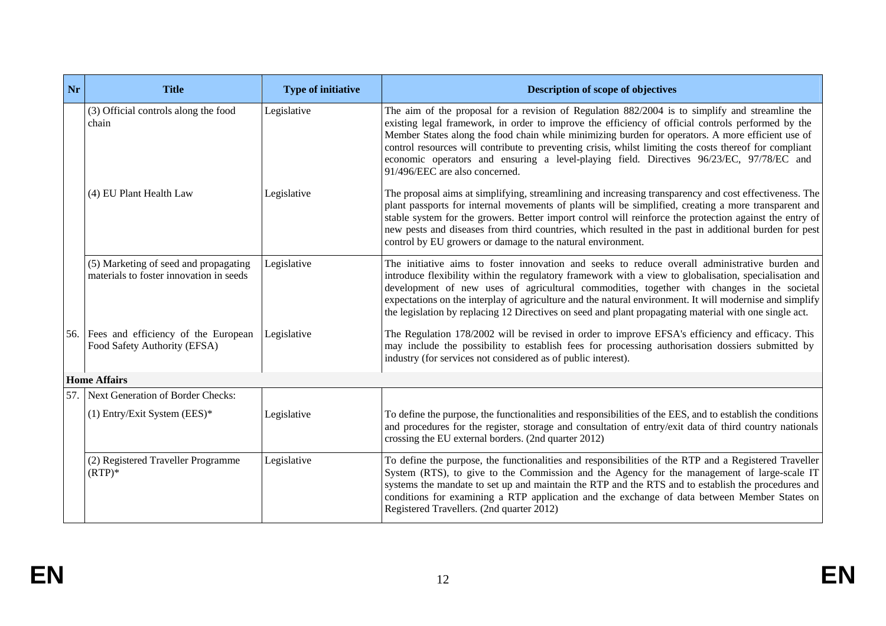| Nr   | <b>Title</b>                                                                     | <b>Type of initiative</b> | Description of scope of objectives                                                                                                                                                                                                                                                                                                                                                                                                                                                                                                                  |
|------|----------------------------------------------------------------------------------|---------------------------|-----------------------------------------------------------------------------------------------------------------------------------------------------------------------------------------------------------------------------------------------------------------------------------------------------------------------------------------------------------------------------------------------------------------------------------------------------------------------------------------------------------------------------------------------------|
|      | (3) Official controls along the food<br>chain                                    | Legislative               | The aim of the proposal for a revision of Regulation 882/2004 is to simplify and streamline the<br>existing legal framework, in order to improve the efficiency of official controls performed by the<br>Member States along the food chain while minimizing burden for operators. A more efficient use of<br>control resources will contribute to preventing crisis, whilst limiting the costs thereof for compliant<br>economic operators and ensuring a level-playing field. Directives 96/23/EC, 97/78/EC and<br>91/496/EEC are also concerned. |
|      | (4) EU Plant Health Law                                                          | Legislative               | The proposal aims at simplifying, streamlining and increasing transparency and cost effectiveness. The<br>plant passports for internal movements of plants will be simplified, creating a more transparent and<br>stable system for the growers. Better import control will reinforce the protection against the entry of<br>new pests and diseases from third countries, which resulted in the past in additional burden for pest<br>control by EU growers or damage to the natural environment.                                                   |
|      | (5) Marketing of seed and propagating<br>materials to foster innovation in seeds | Legislative               | The initiative aims to foster innovation and seeks to reduce overall administrative burden and<br>introduce flexibility within the regulatory framework with a view to globalisation, specialisation and<br>development of new uses of agricultural commodities, together with changes in the societal<br>expectations on the interplay of agriculture and the natural environment. It will modernise and simplify<br>the legislation by replacing 12 Directives on seed and plant propagating material with one single act.                        |
| 56.  | Fees and efficiency of the European<br>Food Safety Authority (EFSA)              | Legislative               | The Regulation 178/2002 will be revised in order to improve EFSA's efficiency and efficacy. This<br>may include the possibility to establish fees for processing authorisation dossiers submitted by<br>industry (for services not considered as of public interest).                                                                                                                                                                                                                                                                               |
|      | <b>Home Affairs</b>                                                              |                           |                                                                                                                                                                                                                                                                                                                                                                                                                                                                                                                                                     |
| 57.1 | Next Generation of Border Checks:                                                |                           |                                                                                                                                                                                                                                                                                                                                                                                                                                                                                                                                                     |
|      | $(1)$ Entry/Exit System (EES)*                                                   | Legislative               | To define the purpose, the functionalities and responsibilities of the EES, and to establish the conditions<br>and procedures for the register, storage and consultation of entry/exit data of third country nationals<br>crossing the EU external borders. (2nd quarter 2012)                                                                                                                                                                                                                                                                      |
|      | (2) Registered Traveller Programme<br>$(RTP)*$                                   | Legislative               | To define the purpose, the functionalities and responsibilities of the RTP and a Registered Traveller<br>System (RTS), to give to the Commission and the Agency for the management of large-scale IT<br>systems the mandate to set up and maintain the RTP and the RTS and to establish the procedures and<br>conditions for examining a RTP application and the exchange of data between Member States on<br>Registered Travellers. (2nd quarter 2012)                                                                                             |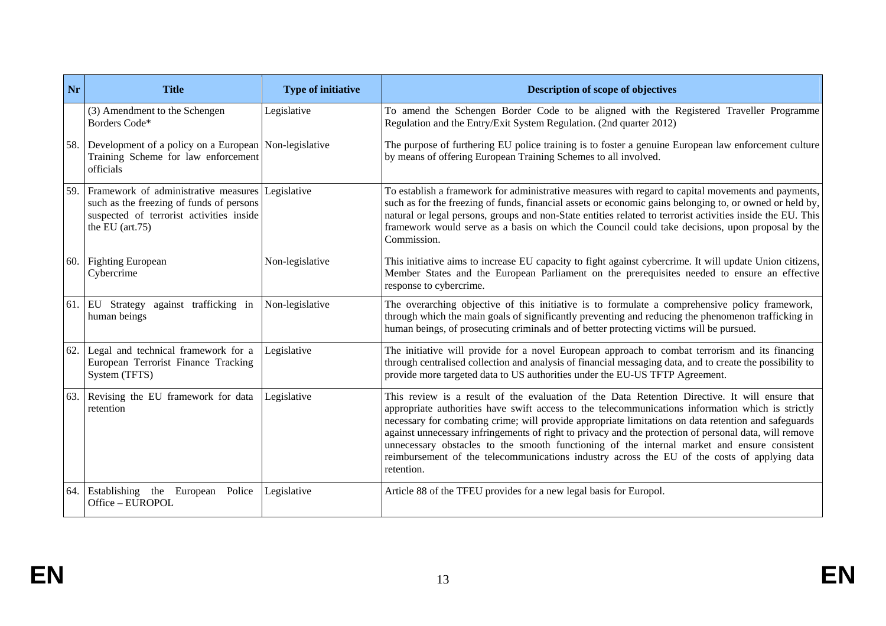| Nr  | <b>Title</b>                                                                                                                                                  | <b>Type of initiative</b> | <b>Description of scope of objectives</b>                                                                                                                                                                                                                                                                                                                                                                                                                                                                                                                                                                                           |
|-----|---------------------------------------------------------------------------------------------------------------------------------------------------------------|---------------------------|-------------------------------------------------------------------------------------------------------------------------------------------------------------------------------------------------------------------------------------------------------------------------------------------------------------------------------------------------------------------------------------------------------------------------------------------------------------------------------------------------------------------------------------------------------------------------------------------------------------------------------------|
|     | (3) Amendment to the Schengen<br>Borders Code*                                                                                                                | Legislative               | To amend the Schengen Border Code to be aligned with the Registered Traveller Programme<br>Regulation and the Entry/Exit System Regulation. (2nd quarter 2012)                                                                                                                                                                                                                                                                                                                                                                                                                                                                      |
| 58. | Development of a policy on a European Non-legislative<br>Training Scheme for law enforcement<br>officials                                                     |                           | The purpose of furthering EU police training is to foster a genuine European law enforcement culture<br>by means of offering European Training Schemes to all involved.                                                                                                                                                                                                                                                                                                                                                                                                                                                             |
| 59. | Framework of administrative measures Legislative<br>such as the freezing of funds of persons<br>suspected of terrorist activities inside<br>the EU $(art.75)$ |                           | To establish a framework for administrative measures with regard to capital movements and payments,<br>such as for the freezing of funds, financial assets or economic gains belonging to, or owned or held by,<br>natural or legal persons, groups and non-State entities related to terrorist activities inside the EU. This<br>framework would serve as a basis on which the Council could take decisions, upon proposal by the<br>Commission.                                                                                                                                                                                   |
|     | 60. Fighting European<br>Cybercrime                                                                                                                           | Non-legislative           | This initiative aims to increase EU capacity to fight against cybercrime. It will update Union citizens,<br>Member States and the European Parliament on the prerequisites needed to ensure an effective<br>response to cybercrime.                                                                                                                                                                                                                                                                                                                                                                                                 |
|     | 61. EU Strategy against trafficking in<br>human beings                                                                                                        | Non-legislative           | The overarching objective of this initiative is to formulate a comprehensive policy framework,<br>through which the main goals of significantly preventing and reducing the phenomenon trafficking in<br>human beings, of prosecuting criminals and of better protecting victims will be pursued.                                                                                                                                                                                                                                                                                                                                   |
| 62. | Legal and technical framework for a<br>European Terrorist Finance Tracking<br>System (TFTS)                                                                   | Legislative               | The initiative will provide for a novel European approach to combat terrorism and its financing<br>through centralised collection and analysis of financial messaging data, and to create the possibility to<br>provide more targeted data to US authorities under the EU-US TFTP Agreement.                                                                                                                                                                                                                                                                                                                                        |
| 63. | Revising the EU framework for data<br>retention                                                                                                               | Legislative               | This review is a result of the evaluation of the Data Retention Directive. It will ensure that<br>appropriate authorities have swift access to the telecommunications information which is strictly<br>necessary for combating crime; will provide appropriate limitations on data retention and safeguards<br>against unnecessary infringements of right to privacy and the protection of personal data, will remove<br>unnecessary obstacles to the smooth functioning of the internal market and ensure consistent<br>reimbursement of the telecommunications industry across the EU of the costs of applying data<br>retention. |
| 64. | Establishing the European Police<br>Office - EUROPOL                                                                                                          | Legislative               | Article 88 of the TFEU provides for a new legal basis for Europol.                                                                                                                                                                                                                                                                                                                                                                                                                                                                                                                                                                  |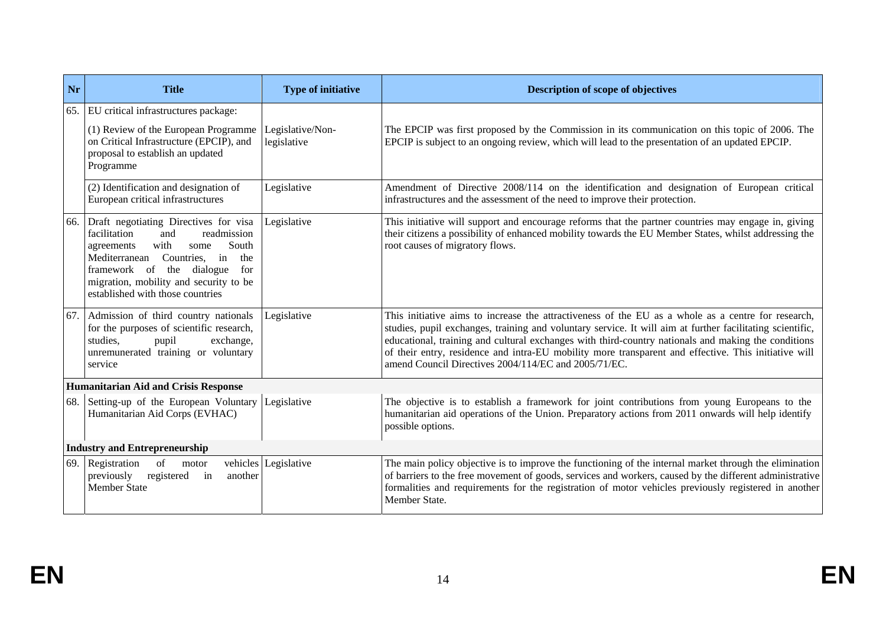| Nr  | <b>Title</b>                                                                                                                                                                                                                                                                     | <b>Type of initiative</b>       | <b>Description of scope of objectives</b>                                                                                                                                                                                                                                                                                                                                                                                                                                              |
|-----|----------------------------------------------------------------------------------------------------------------------------------------------------------------------------------------------------------------------------------------------------------------------------------|---------------------------------|----------------------------------------------------------------------------------------------------------------------------------------------------------------------------------------------------------------------------------------------------------------------------------------------------------------------------------------------------------------------------------------------------------------------------------------------------------------------------------------|
| 65. | EU critical infrastructures package:<br>(1) Review of the European Programme<br>on Critical Infrastructure (EPCIP), and<br>proposal to establish an updated<br>Programme                                                                                                         | Legislative/Non-<br>legislative | The EPCIP was first proposed by the Commission in its communication on this topic of 2006. The<br>EPCIP is subject to an ongoing review, which will lead to the presentation of an updated EPCIP.                                                                                                                                                                                                                                                                                      |
|     | (2) Identification and designation of<br>European critical infrastructures                                                                                                                                                                                                       | Legislative                     | Amendment of Directive 2008/114 on the identification and designation of European critical<br>infrastructures and the assessment of the need to improve their protection.                                                                                                                                                                                                                                                                                                              |
| 66. | Draft negotiating Directives for visa<br>readmission<br>facilitation<br>and<br>South<br>with<br>some<br>agreements<br>Mediterranean<br>Countries.<br>in<br>the<br>framework of the dialogue<br>for<br>migration, mobility and security to be<br>established with those countries | Legislative                     | This initiative will support and encourage reforms that the partner countries may engage in, giving<br>their citizens a possibility of enhanced mobility towards the EU Member States, whilst addressing the<br>root causes of migratory flows.                                                                                                                                                                                                                                        |
| 67. | Admission of third country nationals<br>for the purposes of scientific research,<br>studies.<br>exchange,<br>pupil<br>unremunerated training or voluntary<br>service                                                                                                             | Legislative                     | This initiative aims to increase the attractiveness of the EU as a whole as a centre for research,<br>studies, pupil exchanges, training and voluntary service. It will aim at further facilitating scientific,<br>educational, training and cultural exchanges with third-country nationals and making the conditions<br>of their entry, residence and intra-EU mobility more transparent and effective. This initiative will<br>amend Council Directives 2004/114/EC and 2005/71/EC. |
|     | <b>Humanitarian Aid and Crisis Response</b>                                                                                                                                                                                                                                      |                                 |                                                                                                                                                                                                                                                                                                                                                                                                                                                                                        |
|     | 68. Setting-up of the European Voluntary<br>Humanitarian Aid Corps (EVHAC)                                                                                                                                                                                                       | Legislative                     | The objective is to establish a framework for joint contributions from young Europeans to the<br>humanitarian aid operations of the Union. Preparatory actions from 2011 onwards will help identify<br>possible options.                                                                                                                                                                                                                                                               |
|     | <b>Industry and Entrepreneurship</b>                                                                                                                                                                                                                                             |                                 |                                                                                                                                                                                                                                                                                                                                                                                                                                                                                        |
| 69. | Registration<br>of<br>motor<br>previously<br>registered<br>another<br>in<br><b>Member State</b>                                                                                                                                                                                  | vehicles Legislative            | The main policy objective is to improve the functioning of the internal market through the elimination<br>of barriers to the free movement of goods, services and workers, caused by the different administrative<br>formalities and requirements for the registration of motor vehicles previously registered in another<br>Member State.                                                                                                                                             |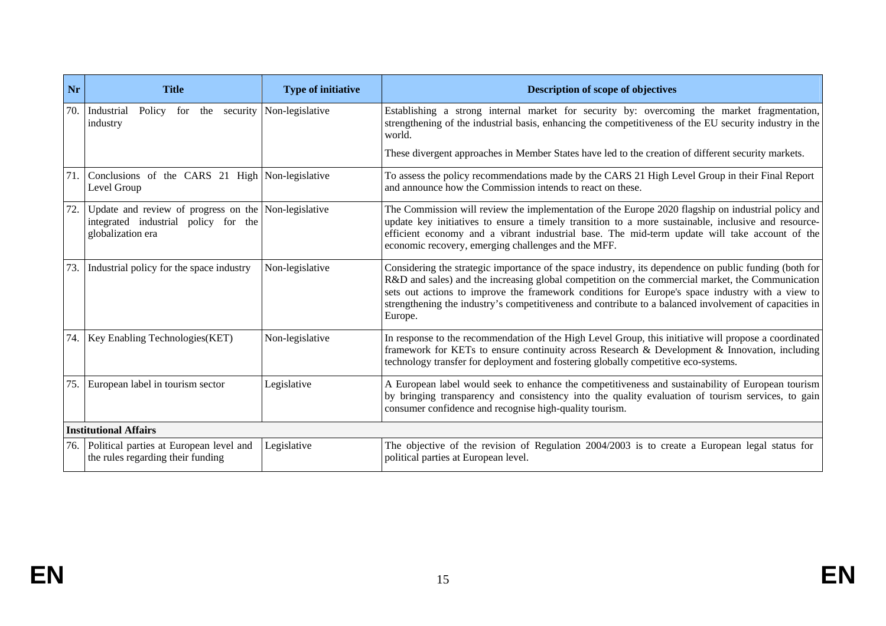| Nr  | <b>Title</b>                                                                                                      | <b>Type of initiative</b> | <b>Description of scope of objectives</b>                                                                                                                                                                                                                                                                                                                                                                                          |
|-----|-------------------------------------------------------------------------------------------------------------------|---------------------------|------------------------------------------------------------------------------------------------------------------------------------------------------------------------------------------------------------------------------------------------------------------------------------------------------------------------------------------------------------------------------------------------------------------------------------|
| 70. | Policy for the security Non-legislative<br>Industrial<br>industry                                                 |                           | Establishing a strong internal market for security by: overcoming the market fragmentation,<br>strengthening of the industrial basis, enhancing the competitiveness of the EU security industry in the<br>world.                                                                                                                                                                                                                   |
|     |                                                                                                                   |                           | These divergent approaches in Member States have led to the creation of different security markets.                                                                                                                                                                                                                                                                                                                                |
| 71. | Conclusions of the CARS 21 High Non-legislative<br>Level Group                                                    |                           | To assess the policy recommendations made by the CARS 21 High Level Group in their Final Report<br>and announce how the Commission intends to react on these.                                                                                                                                                                                                                                                                      |
| 72. | Update and review of progress on the Non-legislative<br>integrated industrial policy for the<br>globalization era |                           | The Commission will review the implementation of the Europe 2020 flagship on industrial policy and<br>update key initiatives to ensure a timely transition to a more sustainable, inclusive and resource-<br>efficient economy and a vibrant industrial base. The mid-term update will take account of the<br>economic recovery, emerging challenges and the MFF.                                                                  |
| 73. | Industrial policy for the space industry                                                                          | Non-legislative           | Considering the strategic importance of the space industry, its dependence on public funding (both for<br>R&D and sales) and the increasing global competition on the commercial market, the Communication<br>sets out actions to improve the framework conditions for Europe's space industry with a view to<br>strengthening the industry's competitiveness and contribute to a balanced involvement of capacities in<br>Europe. |
|     | 74. Key Enabling Technologies (KET)                                                                               | Non-legislative           | In response to the recommendation of the High Level Group, this initiative will propose a coordinated<br>framework for KETs to ensure continuity across Research & Development & Innovation, including<br>technology transfer for deployment and fostering globally competitive eco-systems.                                                                                                                                       |
| 75. | European label in tourism sector                                                                                  | Legislative               | A European label would seek to enhance the competitiveness and sustainability of European tourism<br>by bringing transparency and consistency into the quality evaluation of tourism services, to gain<br>consumer confidence and recognise high-quality tourism.                                                                                                                                                                  |
|     | <b>Institutional Affairs</b>                                                                                      |                           |                                                                                                                                                                                                                                                                                                                                                                                                                                    |
| 76. | Political parties at European level and<br>the rules regarding their funding                                      | Legislative               | The objective of the revision of Regulation $2004/2003$ is to create a European legal status for<br>political parties at European level.                                                                                                                                                                                                                                                                                           |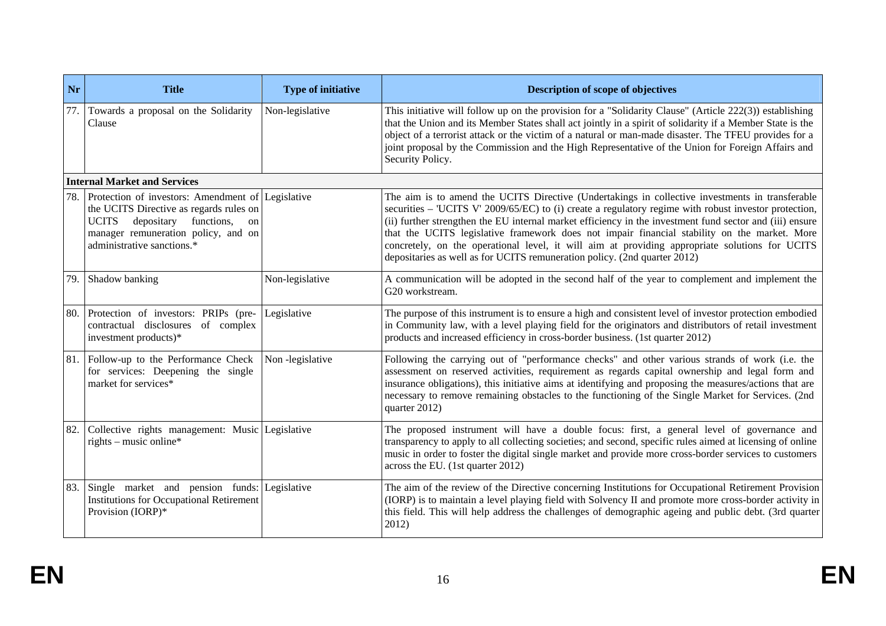| Nr  | <b>Title</b>                                                                                                                                                                                                        | <b>Type of initiative</b> | Description of scope of objectives                                                                                                                                                                                                                                                                                                                                                                                                                                                                                                                                                                  |
|-----|---------------------------------------------------------------------------------------------------------------------------------------------------------------------------------------------------------------------|---------------------------|-----------------------------------------------------------------------------------------------------------------------------------------------------------------------------------------------------------------------------------------------------------------------------------------------------------------------------------------------------------------------------------------------------------------------------------------------------------------------------------------------------------------------------------------------------------------------------------------------------|
| 77. | Towards a proposal on the Solidarity<br>Clause                                                                                                                                                                      | Non-legislative           | This initiative will follow up on the provision for a "Solidarity Clause" (Article 222(3)) establishing<br>that the Union and its Member States shall act jointly in a spirit of solidarity if a Member State is the<br>object of a terrorist attack or the victim of a natural or man-made disaster. The TFEU provides for a<br>joint proposal by the Commission and the High Representative of the Union for Foreign Affairs and<br>Security Policy.                                                                                                                                              |
|     | <b>Internal Market and Services</b>                                                                                                                                                                                 |                           |                                                                                                                                                                                                                                                                                                                                                                                                                                                                                                                                                                                                     |
|     | Protection of investors: Amendment of Legislative<br>the UCITS Directive as regards rules on<br><b>UCITS</b><br>depositary<br>functions,<br>on<br>manager remuneration policy, and on<br>administrative sanctions.* |                           | The aim is to amend the UCITS Directive (Undertakings in collective investments in transferable<br>securities – 'UCITS V' 2009/65/EC) to (i) create a regulatory regime with robust investor protection,<br>(ii) further strengthen the EU internal market efficiency in the investment fund sector and (iii) ensure<br>that the UCITS legislative framework does not impair financial stability on the market. More<br>concretely, on the operational level, it will aim at providing appropriate solutions for UCITS<br>depositaries as well as for UCITS remuneration policy. (2nd quarter 2012) |
| 79. | Shadow banking                                                                                                                                                                                                      | Non-legislative           | A communication will be adopted in the second half of the year to complement and implement the<br>G20 workstream.                                                                                                                                                                                                                                                                                                                                                                                                                                                                                   |
| 80. | Protection of investors: PRIPs (pre-<br>contractual disclosures<br>of complex<br>investment products)*                                                                                                              | Legislative               | The purpose of this instrument is to ensure a high and consistent level of investor protection embodied<br>in Community law, with a level playing field for the originators and distributors of retail investment<br>products and increased efficiency in cross-border business. (1st quarter 2012)                                                                                                                                                                                                                                                                                                 |
|     | 81. Follow-up to the Performance Check<br>for services: Deepening the single<br>market for services*                                                                                                                | Non-legislative           | Following the carrying out of "performance checks" and other various strands of work (i.e. the<br>assessment on reserved activities, requirement as regards capital ownership and legal form and<br>insurance obligations), this initiative aims at identifying and proposing the measures/actions that are<br>necessary to remove remaining obstacles to the functioning of the Single Market for Services. (2nd<br>quarter 2012)                                                                                                                                                                  |
| 82. | Collective rights management: Music Legislative<br>rights – music online*                                                                                                                                           |                           | The proposed instrument will have a double focus: first, a general level of governance and<br>transparency to apply to all collecting societies; and second, specific rules aimed at licensing of online<br>music in order to foster the digital single market and provide more cross-border services to customers<br>across the EU. (1st quarter 2012)                                                                                                                                                                                                                                             |
| 83. | Single market and pension funds: Legislative<br><b>Institutions for Occupational Retirement</b><br>Provision (IORP)*                                                                                                |                           | The aim of the review of the Directive concerning Institutions for Occupational Retirement Provision<br>(IORP) is to maintain a level playing field with Solvency II and promote more cross-border activity in<br>this field. This will help address the challenges of demographic ageing and public debt. (3rd quarter<br>2012)                                                                                                                                                                                                                                                                    |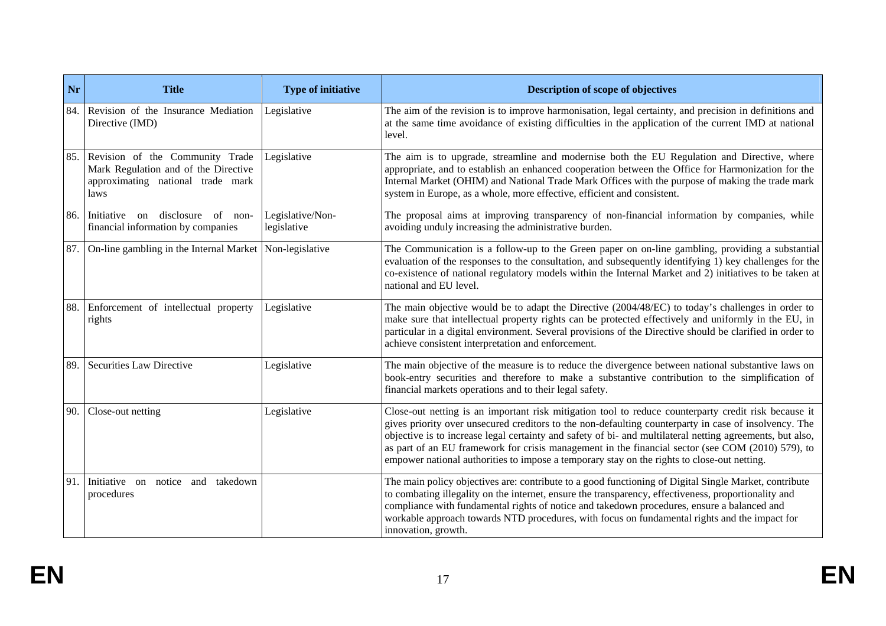| Nr  | <b>Title</b>                                                                                                             | <b>Type of initiative</b>       | <b>Description of scope of objectives</b>                                                                                                                                                                                                                                                                                                                                                                                                                                                                                      |
|-----|--------------------------------------------------------------------------------------------------------------------------|---------------------------------|--------------------------------------------------------------------------------------------------------------------------------------------------------------------------------------------------------------------------------------------------------------------------------------------------------------------------------------------------------------------------------------------------------------------------------------------------------------------------------------------------------------------------------|
| 84. | Revision of the Insurance Mediation<br>Directive (IMD)                                                                   | Legislative                     | The aim of the revision is to improve harmonisation, legal certainty, and precision in definitions and<br>at the same time avoidance of existing difficulties in the application of the current IMD at national<br>level.                                                                                                                                                                                                                                                                                                      |
|     | 85. Revision of the Community Trade<br>Mark Regulation and of the Directive<br>approximating national trade mark<br>laws | Legislative                     | The aim is to upgrade, streamline and modernise both the EU Regulation and Directive, where<br>appropriate, and to establish an enhanced cooperation between the Office for Harmonization for the<br>Internal Market (OHIM) and National Trade Mark Offices with the purpose of making the trade mark<br>system in Europe, as a whole, more effective, efficient and consistent.                                                                                                                                               |
|     | 86. Initiative on<br>disclosure<br>$\alpha$ of<br>non-<br>financial information by companies                             | Legislative/Non-<br>legislative | The proposal aims at improving transparency of non-financial information by companies, while<br>avoiding unduly increasing the administrative burden.                                                                                                                                                                                                                                                                                                                                                                          |
| 87. | On-line gambling in the Internal Market                                                                                  | Non-legislative                 | The Communication is a follow-up to the Green paper on on-line gambling, providing a substantial<br>evaluation of the responses to the consultation, and subsequently identifying 1) key challenges for the<br>co-existence of national regulatory models within the Internal Market and 2) initiatives to be taken at<br>national and EU level.                                                                                                                                                                               |
| 88. | Enforcement of intellectual property<br>rights                                                                           | Legislative                     | The main objective would be to adapt the Directive (2004/48/EC) to today's challenges in order to<br>make sure that intellectual property rights can be protected effectively and uniformly in the EU, in<br>particular in a digital environment. Several provisions of the Directive should be clarified in order to<br>achieve consistent interpretation and enforcement.                                                                                                                                                    |
| 89. | <b>Securities Law Directive</b>                                                                                          | Legislative                     | The main objective of the measure is to reduce the divergence between national substantive laws on<br>book-entry securities and therefore to make a substantive contribution to the simplification of<br>financial markets operations and to their legal safety.                                                                                                                                                                                                                                                               |
| 90. | Close-out netting                                                                                                        | Legislative                     | Close-out netting is an important risk mitigation tool to reduce counterparty credit risk because it<br>gives priority over unsecured creditors to the non-defaulting counterparty in case of insolvency. The<br>objective is to increase legal certainty and safety of bi- and multilateral netting agreements, but also,<br>as part of an EU framework for crisis management in the financial sector (see COM (2010) 579), to<br>empower national authorities to impose a temporary stay on the rights to close-out netting. |
|     | 91. Initiative on notice and takedown<br>procedures                                                                      |                                 | The main policy objectives are: contribute to a good functioning of Digital Single Market, contribute<br>to combating illegality on the internet, ensure the transparency, effectiveness, proportionality and<br>compliance with fundamental rights of notice and takedown procedures, ensure a balanced and<br>workable approach towards NTD procedures, with focus on fundamental rights and the impact for<br>innovation, growth.                                                                                           |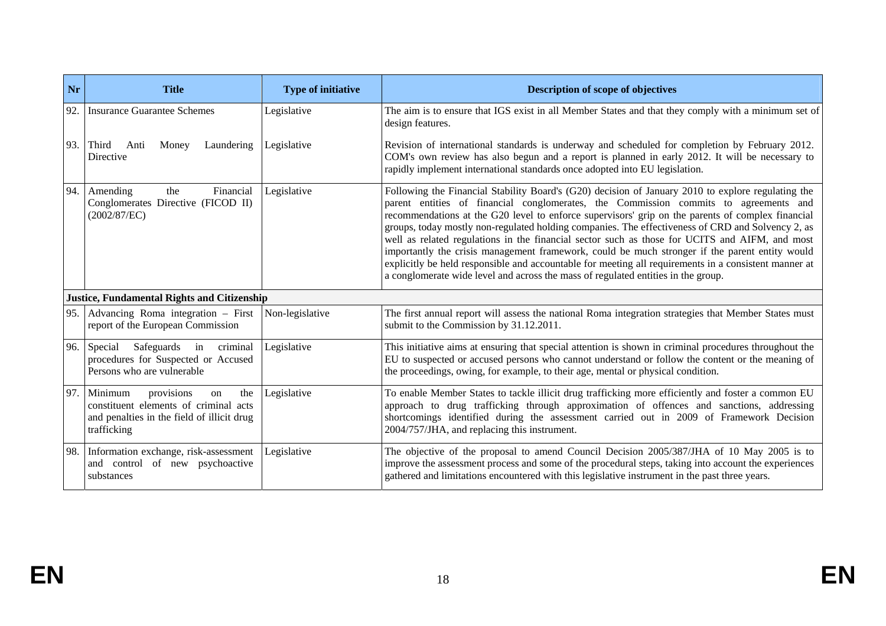| Nr  | <b>Title</b>                                                                                                                             | <b>Type of initiative</b> | Description of scope of objectives                                                                                                                                                                                                                                                                                                                                                                                                                                                                                                                                                                                                                                                                                                                                                                     |
|-----|------------------------------------------------------------------------------------------------------------------------------------------|---------------------------|--------------------------------------------------------------------------------------------------------------------------------------------------------------------------------------------------------------------------------------------------------------------------------------------------------------------------------------------------------------------------------------------------------------------------------------------------------------------------------------------------------------------------------------------------------------------------------------------------------------------------------------------------------------------------------------------------------------------------------------------------------------------------------------------------------|
| 92. | <b>Insurance Guarantee Schemes</b>                                                                                                       | Legislative               | The aim is to ensure that IGS exist in all Member States and that they comply with a minimum set of<br>design features.                                                                                                                                                                                                                                                                                                                                                                                                                                                                                                                                                                                                                                                                                |
| 93. | Third<br>Anti<br>Laundering<br>Money<br>Directive                                                                                        | Legislative               | Revision of international standards is underway and scheduled for completion by February 2012.<br>COM's own review has also begun and a report is planned in early 2012. It will be necessary to<br>rapidly implement international standards once adopted into EU legislation.                                                                                                                                                                                                                                                                                                                                                                                                                                                                                                                        |
| 94. | the<br>Financial<br>Amending<br>Conglomerates Directive (FICOD II)<br>(2002/87/EC)                                                       | Legislative               | Following the Financial Stability Board's (G20) decision of January 2010 to explore regulating the<br>parent entities of financial conglomerates, the Commission commits to agreements and<br>recommendations at the G20 level to enforce supervisors' grip on the parents of complex financial<br>groups, today mostly non-regulated holding companies. The effectiveness of CRD and Solvency 2, as<br>well as related regulations in the financial sector such as those for UCITS and AIFM, and most<br>importantly the crisis management framework, could be much stronger if the parent entity would<br>explicitly be held responsible and accountable for meeting all requirements in a consistent manner at<br>a conglomerate wide level and across the mass of regulated entities in the group. |
|     | <b>Justice, Fundamental Rights and Citizenship</b>                                                                                       |                           |                                                                                                                                                                                                                                                                                                                                                                                                                                                                                                                                                                                                                                                                                                                                                                                                        |
| 95. | Advancing Roma integration - First<br>report of the European Commission                                                                  | Non-legislative           | The first annual report will assess the national Roma integration strategies that Member States must<br>submit to the Commission by 31.12.2011.                                                                                                                                                                                                                                                                                                                                                                                                                                                                                                                                                                                                                                                        |
| 96. | Safeguards in criminal<br>Special<br>procedures for Suspected or Accused<br>Persons who are vulnerable                                   | Legislative               | This initiative aims at ensuring that special attention is shown in criminal procedures throughout the<br>EU to suspected or accused persons who cannot understand or follow the content or the meaning of<br>the proceedings, owing, for example, to their age, mental or physical condition.                                                                                                                                                                                                                                                                                                                                                                                                                                                                                                         |
| 97. | Minimum<br>provisions<br>the<br>on<br>constituent elements of criminal acts<br>and penalties in the field of illicit drug<br>trafficking | Legislative               | To enable Member States to tackle illicit drug trafficking more efficiently and foster a common EU<br>approach to drug trafficking through approximation of offences and sanctions, addressing<br>shortcomings identified during the assessment carried out in 2009 of Framework Decision<br>2004/757/JHA, and replacing this instrument.                                                                                                                                                                                                                                                                                                                                                                                                                                                              |
| 98. | Information exchange, risk-assessment<br>and control of new psychoactive<br>substances                                                   | Legislative               | The objective of the proposal to amend Council Decision 2005/387/JHA of 10 May 2005 is to<br>improve the assessment process and some of the procedural steps, taking into account the experiences<br>gathered and limitations encountered with this legislative instrument in the past three years.                                                                                                                                                                                                                                                                                                                                                                                                                                                                                                    |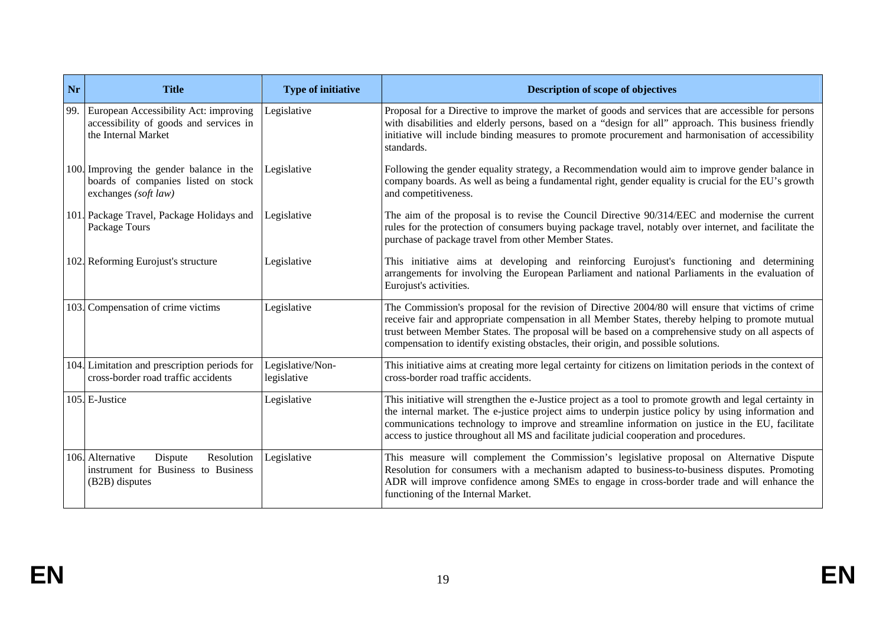| Nr   | <b>Title</b>                                                                                           | <b>Type of initiative</b>       | <b>Description of scope of objectives</b>                                                                                                                                                                                                                                                                                                                                                                      |
|------|--------------------------------------------------------------------------------------------------------|---------------------------------|----------------------------------------------------------------------------------------------------------------------------------------------------------------------------------------------------------------------------------------------------------------------------------------------------------------------------------------------------------------------------------------------------------------|
| 99.  | European Accessibility Act: improving<br>accessibility of goods and services in<br>the Internal Market | Legislative                     | Proposal for a Directive to improve the market of goods and services that are accessible for persons<br>with disabilities and elderly persons, based on a "design for all" approach. This business friendly<br>initiative will include binding measures to promote procurement and harmonisation of accessibility<br>standards.                                                                                |
| 100. | Improving the gender balance in the<br>boards of companies listed on stock<br>exchanges (soft law)     | Legislative                     | Following the gender equality strategy, a Recommendation would aim to improve gender balance in<br>company boards. As well as being a fundamental right, gender equality is crucial for the EU's growth<br>and competitiveness.                                                                                                                                                                                |
|      | 101. Package Travel, Package Holidays and<br>Package Tours                                             | Legislative                     | The aim of the proposal is to revise the Council Directive 90/314/EEC and modernise the current<br>rules for the protection of consumers buying package travel, notably over internet, and facilitate the<br>purchase of package travel from other Member States.                                                                                                                                              |
|      | 102. Reforming Eurojust's structure                                                                    | Legislative                     | This initiative aims at developing and reinforcing Eurojust's functioning and determining<br>arrangements for involving the European Parliament and national Parliaments in the evaluation of<br>Eurojust's activities.                                                                                                                                                                                        |
|      | 103. Compensation of crime victims                                                                     | Legislative                     | The Commission's proposal for the revision of Directive 2004/80 will ensure that victims of crime<br>receive fair and appropriate compensation in all Member States, thereby helping to promote mutual<br>trust between Member States. The proposal will be based on a comprehensive study on all aspects of<br>compensation to identify existing obstacles, their origin, and possible solutions.             |
|      | 104. Limitation and prescription periods for<br>cross-border road traffic accidents                    | Legislative/Non-<br>legislative | This initiative aims at creating more legal certainty for citizens on limitation periods in the context of<br>cross-border road traffic accidents.                                                                                                                                                                                                                                                             |
|      | 105. E-Justice                                                                                         | Legislative                     | This initiative will strengthen the e-Justice project as a tool to promote growth and legal certainty in<br>the internal market. The e-justice project aims to underpin justice policy by using information and<br>communications technology to improve and streamline information on justice in the EU, facilitate<br>access to justice throughout all MS and facilitate judicial cooperation and procedures. |
|      | 106. Alternative<br>Resolution<br>Dispute<br>instrument for Business to Business<br>(B2B) disputes     | Legislative                     | This measure will complement the Commission's legislative proposal on Alternative Dispute<br>Resolution for consumers with a mechanism adapted to business-to-business disputes. Promoting<br>ADR will improve confidence among SMEs to engage in cross-border trade and will enhance the<br>functioning of the Internal Market.                                                                               |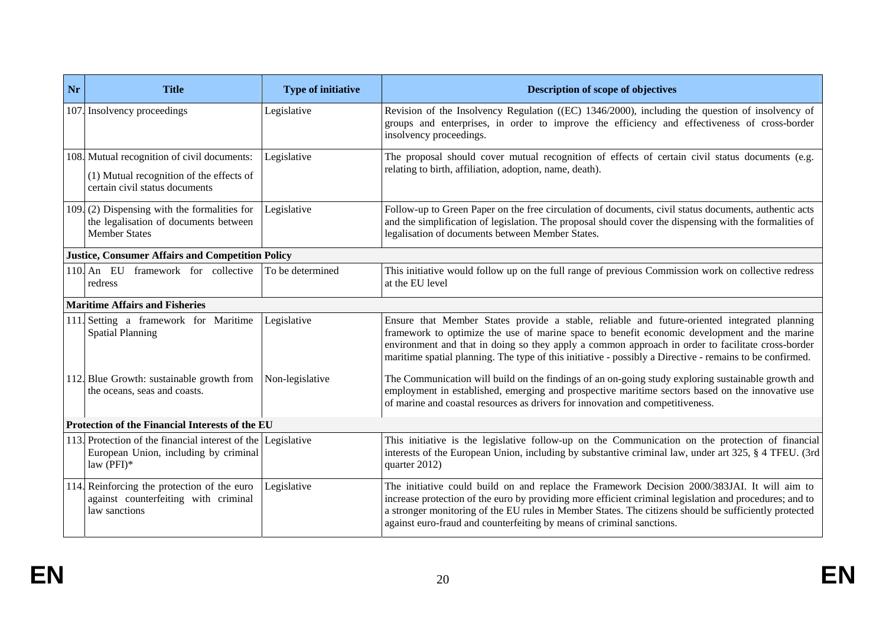| Nr | <b>Title</b>                                                                                                              | <b>Type of initiative</b> | Description of scope of objectives                                                                                                                                                                                                                                                                                                                                                                            |
|----|---------------------------------------------------------------------------------------------------------------------------|---------------------------|---------------------------------------------------------------------------------------------------------------------------------------------------------------------------------------------------------------------------------------------------------------------------------------------------------------------------------------------------------------------------------------------------------------|
|    | 107. Insolvency proceedings                                                                                               | Legislative               | Revision of the Insolvency Regulation ((EC) 1346/2000), including the question of insolvency of<br>groups and enterprises, in order to improve the efficiency and effectiveness of cross-border<br>insolvency proceedings.                                                                                                                                                                                    |
|    | 108. Mutual recognition of civil documents:<br>(1) Mutual recognition of the effects of<br>certain civil status documents | Legislative               | The proposal should cover mutual recognition of effects of certain civil status documents (e.g.<br>relating to birth, affiliation, adoption, name, death).                                                                                                                                                                                                                                                    |
|    | 109. (2) Dispensing with the formalities for<br>the legalisation of documents between<br><b>Member States</b>             | Legislative               | Follow-up to Green Paper on the free circulation of documents, civil status documents, authentic acts<br>and the simplification of legislation. The proposal should cover the dispensing with the formalities of<br>legalisation of documents between Member States.                                                                                                                                          |
|    | <b>Justice, Consumer Affairs and Competition Policy</b>                                                                   |                           |                                                                                                                                                                                                                                                                                                                                                                                                               |
|    | 110. An EU framework for collective<br>redress                                                                            | To be determined          | This initiative would follow up on the full range of previous Commission work on collective redress<br>at the EU level                                                                                                                                                                                                                                                                                        |
|    | <b>Maritime Affairs and Fisheries</b>                                                                                     |                           |                                                                                                                                                                                                                                                                                                                                                                                                               |
|    | 111. Setting a framework for Maritime<br><b>Spatial Planning</b>                                                          | Legislative               | Ensure that Member States provide a stable, reliable and future-oriented integrated planning<br>framework to optimize the use of marine space to benefit economic development and the marine<br>environment and that in doing so they apply a common approach in order to facilitate cross-border<br>maritime spatial planning. The type of this initiative - possibly a Directive - remains to be confirmed. |
|    | 112. Blue Growth: sustainable growth from<br>the oceans, seas and coasts.                                                 | Non-legislative           | The Communication will build on the findings of an on-going study exploring sustainable growth and<br>employment in established, emerging and prospective maritime sectors based on the innovative use<br>of marine and coastal resources as drivers for innovation and competitiveness.                                                                                                                      |
|    | Protection of the Financial Interests of the EU                                                                           |                           |                                                                                                                                                                                                                                                                                                                                                                                                               |
|    | 113. Protection of the financial interest of the Legislative<br>European Union, including by criminal<br>law $(PFI)*$     |                           | This initiative is the legislative follow-up on the Communication on the protection of financial<br>interests of the European Union, including by substantive criminal law, under art 325, § 4 TFEU. (3rd<br>quarter 2012)                                                                                                                                                                                    |
|    | 114. Reinforcing the protection of the euro<br>against counterfeiting with criminal<br>law sanctions                      | Legislative               | The initiative could build on and replace the Framework Decision 2000/383JAI. It will aim to<br>increase protection of the euro by providing more efficient criminal legislation and procedures; and to<br>a stronger monitoring of the EU rules in Member States. The citizens should be sufficiently protected<br>against euro-fraud and counterfeiting by means of criminal sanctions.                     |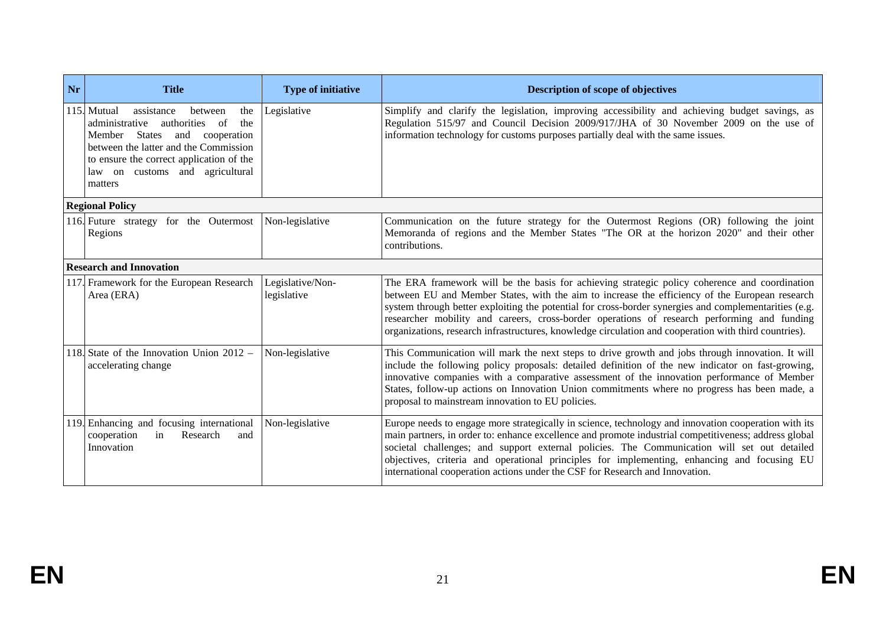| Nr | <b>Title</b>                                                                                                                                                                                                                                                        | <b>Type of initiative</b>       | Description of scope of objectives                                                                                                                                                                                                                                                                                                                                                                                                                                                                               |
|----|---------------------------------------------------------------------------------------------------------------------------------------------------------------------------------------------------------------------------------------------------------------------|---------------------------------|------------------------------------------------------------------------------------------------------------------------------------------------------------------------------------------------------------------------------------------------------------------------------------------------------------------------------------------------------------------------------------------------------------------------------------------------------------------------------------------------------------------|
|    | 115. Mutual<br>assistance<br>between<br>the<br>of<br>the<br>administrative<br>authorities<br>Member States<br>and<br>cooperation<br>between the latter and the Commission<br>to ensure the correct application of the<br>law on customs and agricultural<br>matters | Legislative                     | Simplify and clarify the legislation, improving accessibility and achieving budget savings, as<br>Regulation 515/97 and Council Decision 2009/917/JHA of 30 November 2009 on the use of<br>information technology for customs purposes partially deal with the same issues.                                                                                                                                                                                                                                      |
|    | <b>Regional Policy</b>                                                                                                                                                                                                                                              |                                 |                                                                                                                                                                                                                                                                                                                                                                                                                                                                                                                  |
|    | 116. Future strategy for the Outermost<br>Regions                                                                                                                                                                                                                   | Non-legislative                 | Communication on the future strategy for the Outermost Regions (OR) following the joint<br>Memoranda of regions and the Member States "The OR at the horizon 2020" and their other<br>contributions.                                                                                                                                                                                                                                                                                                             |
|    | <b>Research and Innovation</b>                                                                                                                                                                                                                                      |                                 |                                                                                                                                                                                                                                                                                                                                                                                                                                                                                                                  |
|    | 117. Framework for the European Research<br>Area (ERA)                                                                                                                                                                                                              | Legislative/Non-<br>legislative | The ERA framework will be the basis for achieving strategic policy coherence and coordination<br>between EU and Member States, with the aim to increase the efficiency of the European research<br>system through better exploiting the potential for cross-border synergies and complementarities (e.g.<br>researcher mobility and careers, cross-border operations of research performing and funding<br>organizations, research infrastructures, knowledge circulation and cooperation with third countries). |
|    | 118. State of the Innovation Union $2012 -$<br>accelerating change                                                                                                                                                                                                  | Non-legislative                 | This Communication will mark the next steps to drive growth and jobs through innovation. It will<br>include the following policy proposals: detailed definition of the new indicator on fast-growing,<br>innovative companies with a comparative assessment of the innovation performance of Member<br>States, follow-up actions on Innovation Union commitments where no progress has been made, a<br>proposal to mainstream innovation to EU policies.                                                         |
|    | 119. Enhancing and focusing international<br>cooperation<br>in<br>Research<br>and<br>Innovation                                                                                                                                                                     | Non-legislative                 | Europe needs to engage more strategically in science, technology and innovation cooperation with its<br>main partners, in order to: enhance excellence and promote industrial competitiveness; address global<br>societal challenges; and support external policies. The Communication will set out detailed<br>objectives, criteria and operational principles for implementing, enhancing and focusing EU<br>international cooperation actions under the CSF for Research and Innovation.                      |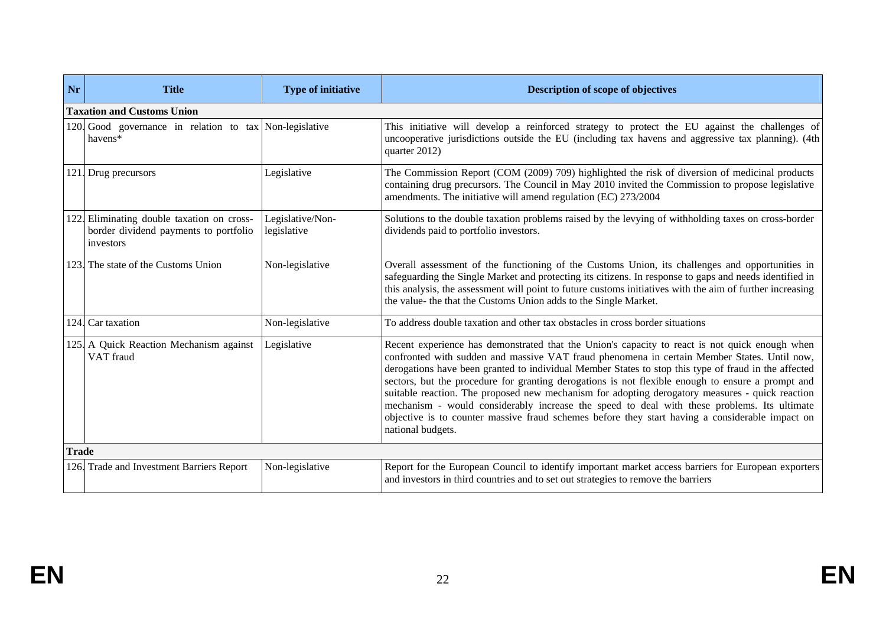| Nr           | <b>Title</b>                                                                                     | <b>Type of initiative</b>       | <b>Description of scope of objectives</b>                                                                                                                                                                                                                                                                                                                                                                                                                                                                                                                                                                                                                                                                                            |
|--------------|--------------------------------------------------------------------------------------------------|---------------------------------|--------------------------------------------------------------------------------------------------------------------------------------------------------------------------------------------------------------------------------------------------------------------------------------------------------------------------------------------------------------------------------------------------------------------------------------------------------------------------------------------------------------------------------------------------------------------------------------------------------------------------------------------------------------------------------------------------------------------------------------|
|              | <b>Taxation and Customs Union</b>                                                                |                                 |                                                                                                                                                                                                                                                                                                                                                                                                                                                                                                                                                                                                                                                                                                                                      |
|              | 120. Good governance in relation to tax Non-legislative<br>havens*                               |                                 | This initiative will develop a reinforced strategy to protect the EU against the challenges of<br>uncooperative jurisdictions outside the EU (including tax havens and aggressive tax planning). (4th<br>quarter 2012)                                                                                                                                                                                                                                                                                                                                                                                                                                                                                                               |
|              | 121. Drug precursors                                                                             | Legislative                     | The Commission Report (COM (2009) 709) highlighted the risk of diversion of medicinal products<br>containing drug precursors. The Council in May 2010 invited the Commission to propose legislative<br>amendments. The initiative will amend regulation (EC) 273/2004                                                                                                                                                                                                                                                                                                                                                                                                                                                                |
|              | 122. Eliminating double taxation on cross-<br>border dividend payments to portfolio<br>investors | Legislative/Non-<br>legislative | Solutions to the double taxation problems raised by the levying of withholding taxes on cross-border<br>dividends paid to portfolio investors.                                                                                                                                                                                                                                                                                                                                                                                                                                                                                                                                                                                       |
|              | 123. The state of the Customs Union                                                              | Non-legislative                 | Overall assessment of the functioning of the Customs Union, its challenges and opportunities in<br>safeguarding the Single Market and protecting its citizens. In response to gaps and needs identified in<br>this analysis, the assessment will point to future customs initiatives with the aim of further increasing<br>the value- the that the Customs Union adds to the Single Market.                                                                                                                                                                                                                                                                                                                                          |
|              | 124. Car taxation                                                                                | Non-legislative                 | To address double taxation and other tax obstacles in cross border situations                                                                                                                                                                                                                                                                                                                                                                                                                                                                                                                                                                                                                                                        |
|              | 125. A Quick Reaction Mechanism against<br>VAT fraud                                             | Legislative                     | Recent experience has demonstrated that the Union's capacity to react is not quick enough when<br>confronted with sudden and massive VAT fraud phenomena in certain Member States. Until now,<br>derogations have been granted to individual Member States to stop this type of fraud in the affected<br>sectors, but the procedure for granting derogations is not flexible enough to ensure a prompt and<br>suitable reaction. The proposed new mechanism for adopting derogatory measures - quick reaction<br>mechanism - would considerably increase the speed to deal with these problems. Its ultimate<br>objective is to counter massive fraud schemes before they start having a considerable impact on<br>national budgets. |
| <b>Trade</b> |                                                                                                  |                                 |                                                                                                                                                                                                                                                                                                                                                                                                                                                                                                                                                                                                                                                                                                                                      |
|              | 126. Trade and Investment Barriers Report                                                        | Non-legislative                 | Report for the European Council to identify important market access barriers for European exporters<br>and investors in third countries and to set out strategies to remove the barriers                                                                                                                                                                                                                                                                                                                                                                                                                                                                                                                                             |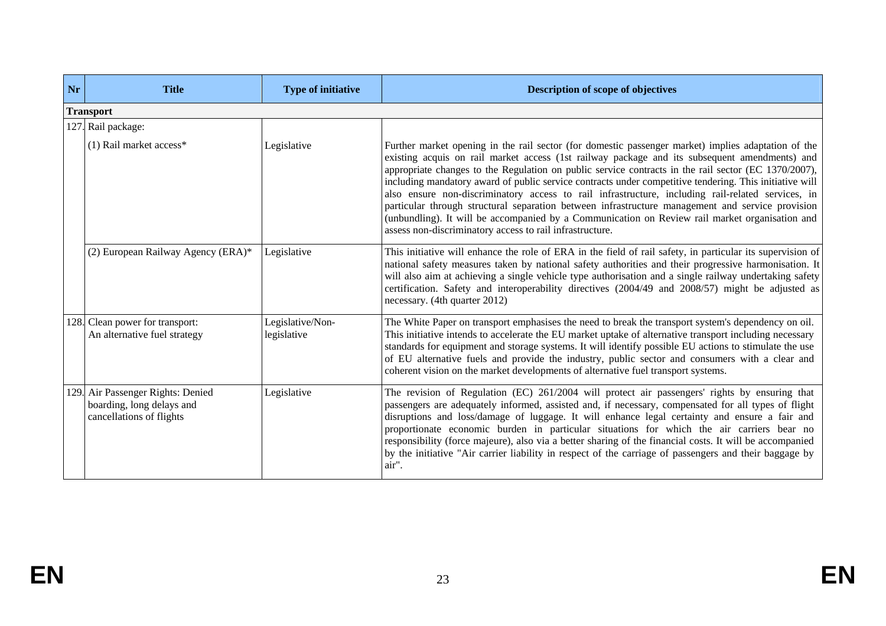| Nr   | <b>Title</b>                                                                          | <b>Type of initiative</b>       | Description of scope of objectives                                                                                                                                                                                                                                                                                                                                                                                                                                                                                                                                                                                                                                                                                                                                                             |
|------|---------------------------------------------------------------------------------------|---------------------------------|------------------------------------------------------------------------------------------------------------------------------------------------------------------------------------------------------------------------------------------------------------------------------------------------------------------------------------------------------------------------------------------------------------------------------------------------------------------------------------------------------------------------------------------------------------------------------------------------------------------------------------------------------------------------------------------------------------------------------------------------------------------------------------------------|
|      | <b>Transport</b>                                                                      |                                 |                                                                                                                                                                                                                                                                                                                                                                                                                                                                                                                                                                                                                                                                                                                                                                                                |
|      | 127. Rail package:                                                                    |                                 |                                                                                                                                                                                                                                                                                                                                                                                                                                                                                                                                                                                                                                                                                                                                                                                                |
|      | $(1)$ Rail market access*                                                             | Legislative                     | Further market opening in the rail sector (for domestic passenger market) implies adaptation of the<br>existing acquis on rail market access (1st railway package and its subsequent amendments) and<br>appropriate changes to the Regulation on public service contracts in the rail sector (EC 1370/2007),<br>including mandatory award of public service contracts under competitive tendering. This initiative will<br>also ensure non-discriminatory access to rail infrastructure, including rail-related services, in<br>particular through structural separation between infrastructure management and service provision<br>(unbundling). It will be accompanied by a Communication on Review rail market organisation and<br>assess non-discriminatory access to rail infrastructure. |
|      | (2) European Railway Agency (ERA)*                                                    | Legislative                     | This initiative will enhance the role of ERA in the field of rail safety, in particular its supervision of<br>national safety measures taken by national safety authorities and their progressive harmonisation. It<br>will also aim at achieving a single vehicle type authorisation and a single railway undertaking safety<br>certification. Safety and interoperability directives (2004/49 and 2008/57) might be adjusted as<br>necessary. (4th quarter 2012)                                                                                                                                                                                                                                                                                                                             |
|      | 128. Clean power for transport:<br>An alternative fuel strategy                       | Legislative/Non-<br>legislative | The White Paper on transport emphasises the need to break the transport system's dependency on oil.<br>This initiative intends to accelerate the EU market uptake of alternative transport including necessary<br>standards for equipment and storage systems. It will identify possible EU actions to stimulate the use<br>of EU alternative fuels and provide the industry, public sector and consumers with a clear and<br>coherent vision on the market developments of alternative fuel transport systems.                                                                                                                                                                                                                                                                                |
| 129. | Air Passenger Rights: Denied<br>boarding, long delays and<br>cancellations of flights | Legislative                     | The revision of Regulation (EC) 261/2004 will protect air passengers' rights by ensuring that<br>passengers are adequately informed, assisted and, if necessary, compensated for all types of flight<br>disruptions and loss/damage of luggage. It will enhance legal certainty and ensure a fair and<br>proportionate economic burden in particular situations for which the air carriers bear no<br>responsibility (force majeure), also via a better sharing of the financial costs. It will be accompanied<br>by the initiative "Air carrier liability in respect of the carriage of passengers and their baggage by<br>air".                                                                                                                                                              |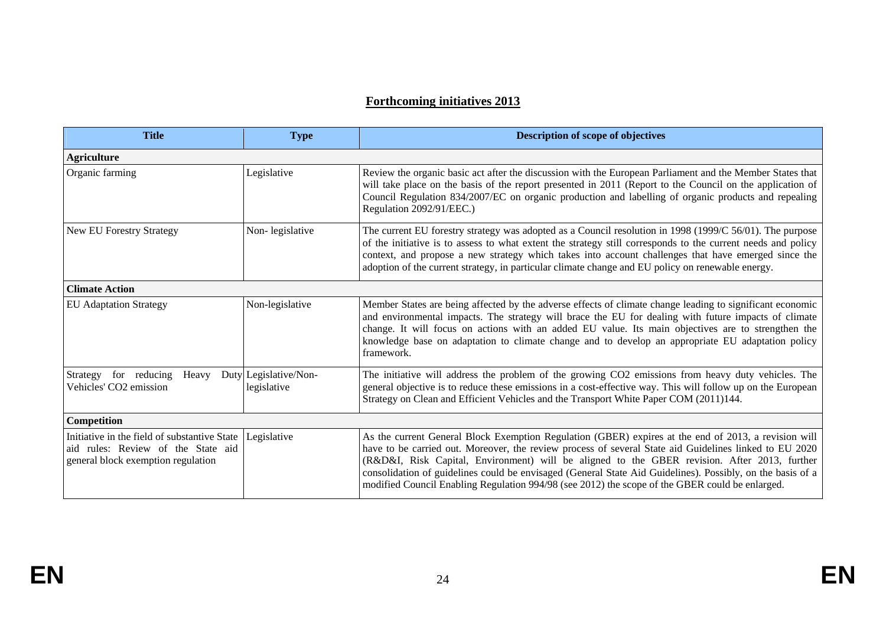## **Forthcoming initiatives 2013**

| <b>Title</b>                                                                                                             | <b>Type</b>                          | <b>Description of scope of objectives</b>                                                                                                                                                                                                                                                                                                                                                                                                                                                                                       |
|--------------------------------------------------------------------------------------------------------------------------|--------------------------------------|---------------------------------------------------------------------------------------------------------------------------------------------------------------------------------------------------------------------------------------------------------------------------------------------------------------------------------------------------------------------------------------------------------------------------------------------------------------------------------------------------------------------------------|
| <b>Agriculture</b>                                                                                                       |                                      |                                                                                                                                                                                                                                                                                                                                                                                                                                                                                                                                 |
| Organic farming                                                                                                          | Legislative                          | Review the organic basic act after the discussion with the European Parliament and the Member States that<br>will take place on the basis of the report presented in 2011 (Report to the Council on the application of<br>Council Regulation 834/2007/EC on organic production and labelling of organic products and repealing<br>Regulation 2092/91/EEC.)                                                                                                                                                                      |
| <b>New EU Forestry Strategy</b>                                                                                          | Non-legislative                      | The current EU forestry strategy was adopted as a Council resolution in 1998 (1999/C $56/01$ ). The purpose<br>of the initiative is to assess to what extent the strategy still corresponds to the current needs and policy<br>context, and propose a new strategy which takes into account challenges that have emerged since the<br>adoption of the current strategy, in particular climate change and EU policy on renewable energy.                                                                                         |
| <b>Climate Action</b>                                                                                                    |                                      |                                                                                                                                                                                                                                                                                                                                                                                                                                                                                                                                 |
| <b>EU</b> Adaptation Strategy                                                                                            | Non-legislative                      | Member States are being affected by the adverse effects of climate change leading to significant economic<br>and environmental impacts. The strategy will brace the EU for dealing with future impacts of climate<br>change. It will focus on actions with an added EU value. Its main objectives are to strengthen the<br>knowledge base on adaptation to climate change and to develop an appropriate EU adaptation policy<br>framework.                                                                                      |
| Strategy for reducing<br>Heavy<br>Vehicles' CO2 emission                                                                 | Duty Legislative/Non-<br>legislative | The initiative will address the problem of the growing CO2 emissions from heavy duty vehicles. The<br>general objective is to reduce these emissions in a cost-effective way. This will follow up on the European<br>Strategy on Clean and Efficient Vehicles and the Transport White Paper COM (2011)144.                                                                                                                                                                                                                      |
| Competition                                                                                                              |                                      |                                                                                                                                                                                                                                                                                                                                                                                                                                                                                                                                 |
| Initiative in the field of substantive State<br>aid rules: Review of the State aid<br>general block exemption regulation | Legislative                          | As the current General Block Exemption Regulation (GBER) expires at the end of 2013, a revision will<br>have to be carried out. Moreover, the review process of several State aid Guidelines linked to EU 2020<br>(R&D&I, Risk Capital, Environment) will be aligned to the GBER revision. After 2013, further<br>consolidation of guidelines could be envisaged (General State Aid Guidelines). Possibly, on the basis of a<br>modified Council Enabling Regulation 994/98 (see 2012) the scope of the GBER could be enlarged. |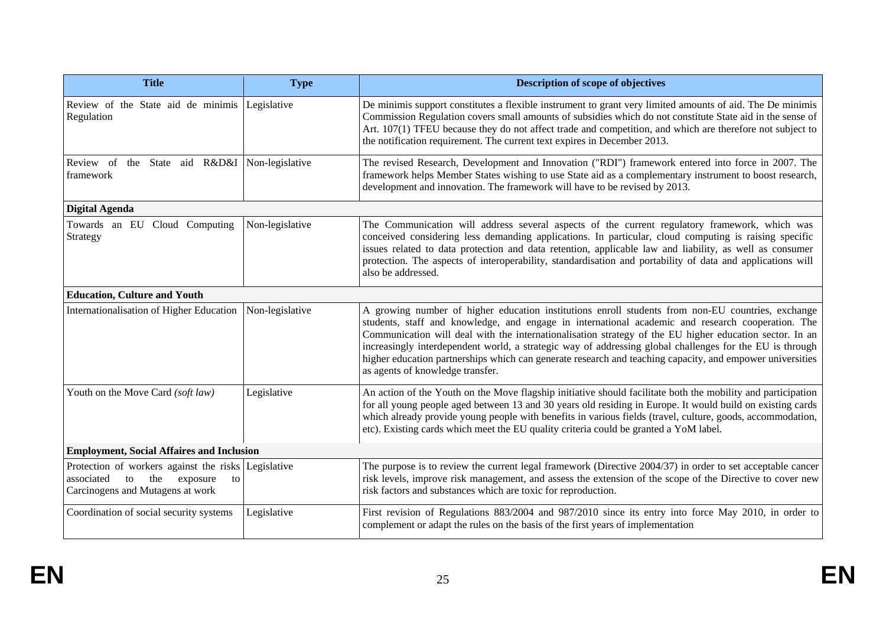| <b>Title</b>                                                                                                                      | <b>Type</b>     | Description of scope of objectives                                                                                                                                                                                                                                                                                                                                                                                                                                                                                                                                             |  |
|-----------------------------------------------------------------------------------------------------------------------------------|-----------------|--------------------------------------------------------------------------------------------------------------------------------------------------------------------------------------------------------------------------------------------------------------------------------------------------------------------------------------------------------------------------------------------------------------------------------------------------------------------------------------------------------------------------------------------------------------------------------|--|
| Review of the State aid de minimis Legislative<br>Regulation                                                                      |                 | De minimis support constitutes a flexible instrument to grant very limited amounts of aid. The De minimis<br>Commission Regulation covers small amounts of subsidies which do not constitute State aid in the sense of<br>Art. 107(1) TFEU because they do not affect trade and competition, and which are therefore not subject to<br>the notification requirement. The current text expires in December 2013.                                                                                                                                                                |  |
| Review of the State aid R&D&I Non-legislative<br>framework                                                                        |                 | The revised Research, Development and Innovation ("RDI") framework entered into force in 2007. The<br>framework helps Member States wishing to use State aid as a complementary instrument to boost research,<br>development and innovation. The framework will have to be revised by 2013.                                                                                                                                                                                                                                                                                    |  |
| <b>Digital Agenda</b>                                                                                                             |                 |                                                                                                                                                                                                                                                                                                                                                                                                                                                                                                                                                                                |  |
| Towards an EU Cloud Computing<br>Strategy                                                                                         | Non-legislative | The Communication will address several aspects of the current regulatory framework, which was<br>conceived considering less demanding applications. In particular, cloud computing is raising specific<br>issues related to data protection and data retention, applicable law and liability, as well as consumer<br>protection. The aspects of interoperability, standardisation and portability of data and applications will<br>also be addressed.                                                                                                                          |  |
| <b>Education, Culture and Youth</b>                                                                                               |                 |                                                                                                                                                                                                                                                                                                                                                                                                                                                                                                                                                                                |  |
| Internationalisation of Higher Education                                                                                          | Non-legislative | A growing number of higher education institutions enroll students from non-EU countries, exchange<br>students, staff and knowledge, and engage in international academic and research cooperation. The<br>Communication will deal with the internationalisation strategy of the EU higher education sector. In an<br>increasingly interdependent world, a strategic way of addressing global challenges for the EU is through<br>higher education partnerships which can generate research and teaching capacity, and empower universities<br>as agents of knowledge transfer. |  |
| Youth on the Move Card (soft law)                                                                                                 | Legislative     | An action of the Youth on the Move flagship initiative should facilitate both the mobility and participation<br>for all young people aged between 13 and 30 years old residing in Europe. It would build on existing cards<br>which already provide young people with benefits in various fields (travel, culture, goods, accommodation,<br>etc). Existing cards which meet the EU quality criteria could be granted a YoM label.                                                                                                                                              |  |
| <b>Employment, Social Affaires and Inclusion</b>                                                                                  |                 |                                                                                                                                                                                                                                                                                                                                                                                                                                                                                                                                                                                |  |
| Protection of workers against the risks Legislative<br>to the<br>associated<br>exposure<br>to<br>Carcinogens and Mutagens at work |                 | The purpose is to review the current legal framework (Directive 2004/37) in order to set acceptable cancer<br>risk levels, improve risk management, and assess the extension of the scope of the Directive to cover new<br>risk factors and substances which are toxic for reproduction.                                                                                                                                                                                                                                                                                       |  |
| Coordination of social security systems                                                                                           | Legislative     | First revision of Regulations 883/2004 and 987/2010 since its entry into force May 2010, in order to<br>complement or adapt the rules on the basis of the first years of implementation                                                                                                                                                                                                                                                                                                                                                                                        |  |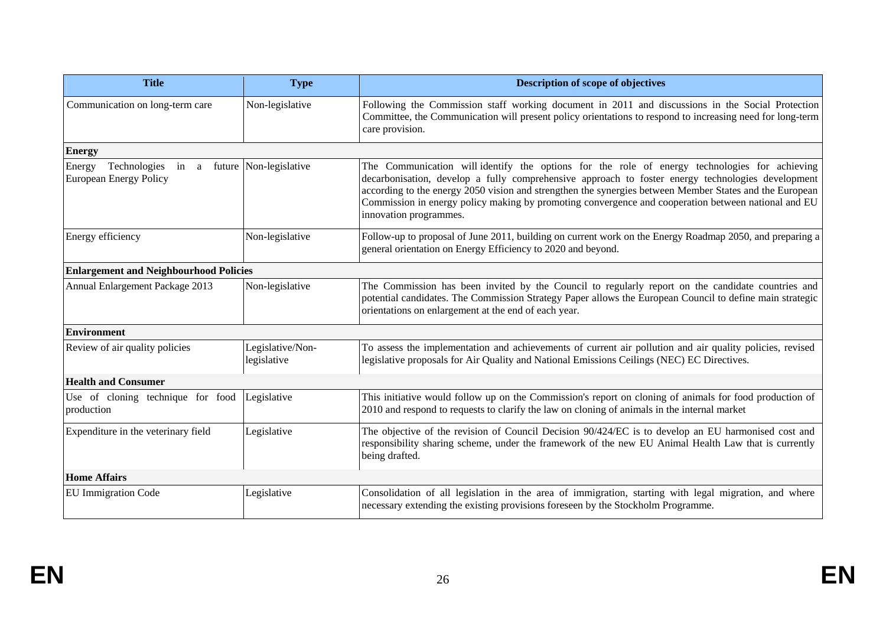| <b>Title</b>                                                                           | <b>Type</b>                     | Description of scope of objectives                                                                                                                                                                                                                                                                                                                                                                                                             |  |
|----------------------------------------------------------------------------------------|---------------------------------|------------------------------------------------------------------------------------------------------------------------------------------------------------------------------------------------------------------------------------------------------------------------------------------------------------------------------------------------------------------------------------------------------------------------------------------------|--|
| Communication on long-term care                                                        | Non-legislative                 | Following the Commission staff working document in 2011 and discussions in the Social Protection<br>Committee, the Communication will present policy orientations to respond to increasing need for long-term<br>care provision.                                                                                                                                                                                                               |  |
| <b>Energy</b>                                                                          |                                 |                                                                                                                                                                                                                                                                                                                                                                                                                                                |  |
| Technologies<br>in a future Non-legislative<br>Energy<br><b>European Energy Policy</b> |                                 | The Communication will-identify the options for the role of energy technologies for achieving<br>decarbonisation, develop a fully comprehensive approach to foster energy technologies development<br>according to the energy 2050 vision and strengthen the synergies between Member States and the European<br>Commission in energy policy making by promoting convergence and cooperation between national and EU<br>innovation programmes. |  |
| Energy efficiency                                                                      | Non-legislative                 | Follow-up to proposal of June 2011, building on current work on the Energy Roadmap 2050, and preparing a<br>general orientation on Energy Efficiency to 2020 and beyond.                                                                                                                                                                                                                                                                       |  |
| <b>Enlargement and Neighbourhood Policies</b>                                          |                                 |                                                                                                                                                                                                                                                                                                                                                                                                                                                |  |
| Annual Enlargement Package 2013                                                        | Non-legislative                 | The Commission has been invited by the Council to regularly report on the candidate countries and<br>potential candidates. The Commission Strategy Paper allows the European Council to define main strategic<br>orientations on enlargement at the end of each year.                                                                                                                                                                          |  |
| <b>Environment</b>                                                                     |                                 |                                                                                                                                                                                                                                                                                                                                                                                                                                                |  |
| Review of air quality policies                                                         | Legislative/Non-<br>legislative | To assess the implementation and achievements of current air pollution and air quality policies, revised<br>legislative proposals for Air Quality and National Emissions Ceilings (NEC) EC Directives.                                                                                                                                                                                                                                         |  |
| <b>Health and Consumer</b>                                                             |                                 |                                                                                                                                                                                                                                                                                                                                                                                                                                                |  |
| Use of cloning technique for food<br>production                                        | Legislative                     | This initiative would follow up on the Commission's report on cloning of animals for food production of<br>2010 and respond to requests to clarify the law on cloning of animals in the internal market                                                                                                                                                                                                                                        |  |
| Expenditure in the veterinary field                                                    | Legislative                     | The objective of the revision of Council Decision 90/424/EC is to develop an EU harmonised cost and<br>responsibility sharing scheme, under the framework of the new EU Animal Health Law that is currently<br>being drafted.                                                                                                                                                                                                                  |  |
| <b>Home Affairs</b>                                                                    |                                 |                                                                                                                                                                                                                                                                                                                                                                                                                                                |  |
| <b>EU Immigration Code</b>                                                             | Legislative                     | Consolidation of all legislation in the area of immigration, starting with legal migration, and where<br>necessary extending the existing provisions foreseen by the Stockholm Programme.                                                                                                                                                                                                                                                      |  |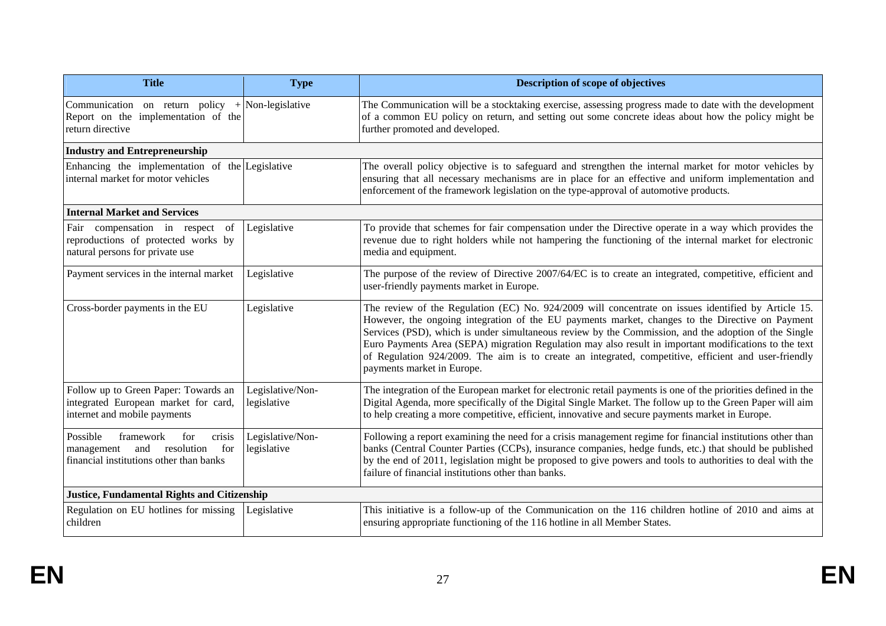| <b>Title</b>                                                                                                                | <b>Type</b>                     | Description of scope of objectives                                                                                                                                                                                                                                                                                                                                                                                                                                                                                                                            |  |
|-----------------------------------------------------------------------------------------------------------------------------|---------------------------------|---------------------------------------------------------------------------------------------------------------------------------------------------------------------------------------------------------------------------------------------------------------------------------------------------------------------------------------------------------------------------------------------------------------------------------------------------------------------------------------------------------------------------------------------------------------|--|
| Communication on return policy + Non-legislative<br>Report on the implementation of the<br>return directive                 |                                 | The Communication will be a stocktaking exercise, assessing progress made to date with the development<br>of a common EU policy on return, and setting out some concrete ideas about how the policy might be<br>further promoted and developed.                                                                                                                                                                                                                                                                                                               |  |
| <b>Industry and Entrepreneurship</b>                                                                                        |                                 |                                                                                                                                                                                                                                                                                                                                                                                                                                                                                                                                                               |  |
| Enhancing the implementation of the Legislative<br>internal market for motor vehicles                                       |                                 | The overall policy objective is to safeguard and strengthen the internal market for motor vehicles by<br>ensuring that all necessary mechanisms are in place for an effective and uniform implementation and<br>enforcement of the framework legislation on the type-approval of automotive products.                                                                                                                                                                                                                                                         |  |
| <b>Internal Market and Services</b>                                                                                         |                                 |                                                                                                                                                                                                                                                                                                                                                                                                                                                                                                                                                               |  |
| Fair compensation in respect<br>of<br>reproductions of protected works by<br>natural persons for private use                | Legislative                     | To provide that schemes for fair compensation under the Directive operate in a way which provides the<br>revenue due to right holders while not hampering the functioning of the internal market for electronic<br>media and equipment.                                                                                                                                                                                                                                                                                                                       |  |
| Payment services in the internal market                                                                                     | Legislative                     | The purpose of the review of Directive 2007/64/EC is to create an integrated, competitive, efficient and<br>user-friendly payments market in Europe.                                                                                                                                                                                                                                                                                                                                                                                                          |  |
| Cross-border payments in the EU                                                                                             | Legislative                     | The review of the Regulation (EC) No. 924/2009 will concentrate on issues identified by Article 15.<br>However, the ongoing integration of the EU payments market, changes to the Directive on Payment<br>Services (PSD), which is under simultaneous review by the Commission, and the adoption of the Single<br>Euro Payments Area (SEPA) migration Regulation may also result in important modifications to the text<br>of Regulation 924/2009. The aim is to create an integrated, competitive, efficient and user-friendly<br>payments market in Europe. |  |
| Follow up to Green Paper: Towards an<br>integrated European market for card,<br>internet and mobile payments                | Legislative/Non-<br>legislative | The integration of the European market for electronic retail payments is one of the priorities defined in the<br>Digital Agenda, more specifically of the Digital Single Market. The follow up to the Green Paper will aim<br>to help creating a more competitive, efficient, innovative and secure payments market in Europe.                                                                                                                                                                                                                                |  |
| Possible<br>crisis<br>framework<br>for<br>resolution<br>for<br>and<br>management<br>financial institutions other than banks | Legislative/Non-<br>legislative | Following a report examining the need for a crisis management regime for financial institutions other than<br>banks (Central Counter Parties (CCPs), insurance companies, hedge funds, etc.) that should be published<br>by the end of 2011, legislation might be proposed to give powers and tools to authorities to deal with the<br>failure of financial institutions other than banks.                                                                                                                                                                    |  |
| <b>Justice, Fundamental Rights and Citizenship</b>                                                                          |                                 |                                                                                                                                                                                                                                                                                                                                                                                                                                                                                                                                                               |  |
| Regulation on EU hotlines for missing<br>children                                                                           | Legislative                     | This initiative is a follow-up of the Communication on the 116 children hotline of 2010 and aims at<br>ensuring appropriate functioning of the 116 hotline in all Member States.                                                                                                                                                                                                                                                                                                                                                                              |  |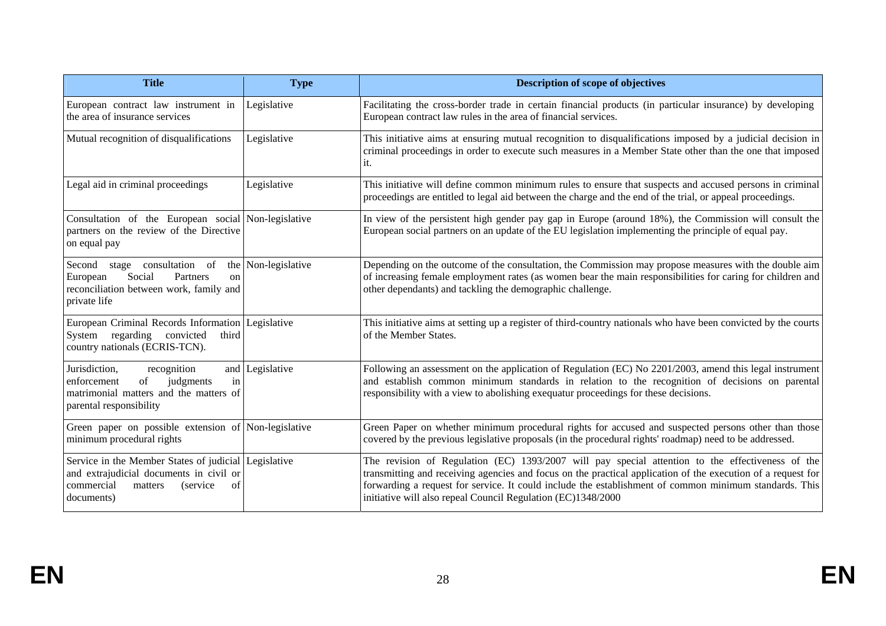| <b>Title</b>                                                                                                                                              | <b>Type</b>         | Description of scope of objectives                                                                                                                                                                                                                                                                                                                                                         |  |
|-----------------------------------------------------------------------------------------------------------------------------------------------------------|---------------------|--------------------------------------------------------------------------------------------------------------------------------------------------------------------------------------------------------------------------------------------------------------------------------------------------------------------------------------------------------------------------------------------|--|
| European contract law instrument in<br>the area of insurance services                                                                                     | Legislative         | Facilitating the cross-border trade in certain financial products (in particular insurance) by developing<br>European contract law rules in the area of financial services.                                                                                                                                                                                                                |  |
| Mutual recognition of disqualifications                                                                                                                   | Legislative         | This initiative aims at ensuring mutual recognition to disqualifications imposed by a judicial decision in<br>criminal proceedings in order to execute such measures in a Member State other than the one that imposed<br>it.                                                                                                                                                              |  |
| Legal aid in criminal proceedings                                                                                                                         | Legislative         | This initiative will define common minimum rules to ensure that suspects and accused persons in criminal<br>proceedings are entitled to legal aid between the charge and the end of the trial, or appeal proceedings.                                                                                                                                                                      |  |
| Consultation of the European social Non-legislative<br>partners on the review of the Directive<br>on equal pay                                            |                     | In view of the persistent high gender pay gap in Europe (around 18%), the Commission will consult the<br>European social partners on an update of the EU legislation implementing the principle of equal pay.                                                                                                                                                                              |  |
| Second<br>stage consultation of<br>European<br>Social<br>Partners<br>on<br>reconciliation between work, family and<br>private life                        | the Non-legislative | Depending on the outcome of the consultation, the Commission may propose measures with the double aim<br>of increasing female employment rates (as women bear the main responsibilities for caring for children and<br>other dependants) and tackling the demographic challenge.                                                                                                           |  |
| European Criminal Records Information Legislative<br>System regarding convicted<br>third<br>country nationals (ECRIS-TCN).                                |                     | This initiative aims at setting up a register of third-country nationals who have been convicted by the courts<br>of the Member States.                                                                                                                                                                                                                                                    |  |
| Jurisdiction,<br>recognition<br>judgments<br>in<br>enforcement<br>of<br>matrimonial matters and the matters of<br>parental responsibility                 | and Legislative     | Following an assessment on the application of Regulation (EC) No 2201/2003, amend this legal instrument<br>and establish common minimum standards in relation to the recognition of decisions on parental<br>responsibility with a view to abolishing exequatur proceedings for these decisions.                                                                                           |  |
| Green paper on possible extension of Non-legislative<br>minimum procedural rights                                                                         |                     | Green Paper on whether minimum procedural rights for accused and suspected persons other than those<br>covered by the previous legislative proposals (in the procedural rights' roadmap) need to be addressed.                                                                                                                                                                             |  |
| Service in the Member States of judicial Legislative<br>and extrajudicial documents in civil or<br>commercial<br>matters<br>(service)<br>of<br>documents) |                     | The revision of Regulation (EC) 1393/2007 will pay special attention to the effectiveness of the<br>transmitting and receiving agencies and focus on the practical application of the execution of a request for<br>forwarding a request for service. It could include the establishment of common minimum standards. This<br>initiative will also repeal Council Regulation (EC)1348/2000 |  |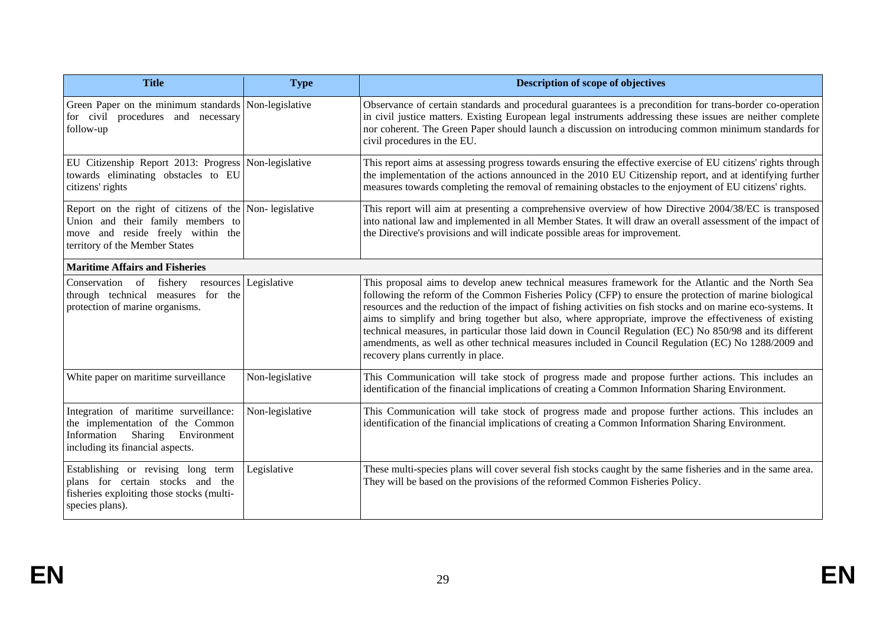| <b>Title</b>                                                                                                                                                       | <b>Type</b>     | Description of scope of objectives                                                                                                                                                                                                                                                                                                                                                                                                                                                                                                                                                                                                                                                                |  |
|--------------------------------------------------------------------------------------------------------------------------------------------------------------------|-----------------|---------------------------------------------------------------------------------------------------------------------------------------------------------------------------------------------------------------------------------------------------------------------------------------------------------------------------------------------------------------------------------------------------------------------------------------------------------------------------------------------------------------------------------------------------------------------------------------------------------------------------------------------------------------------------------------------------|--|
| Green Paper on the minimum standards Non-legislative<br>for civil procedures and necessary<br>follow-up                                                            |                 | Observance of certain standards and procedural guarantees is a precondition for trans-border co-operation<br>in civil justice matters. Existing European legal instruments addressing these issues are neither complete<br>nor coherent. The Green Paper should launch a discussion on introducing common minimum standards for<br>civil procedures in the EU.                                                                                                                                                                                                                                                                                                                                    |  |
| EU Citizenship Report 2013: Progress Non-legislative<br>towards eliminating obstacles to EU<br>citizens' rights                                                    |                 | This report aims at assessing progress towards ensuring the effective exercise of EU citizens' rights through<br>the implementation of the actions announced in the 2010 EU Citizenship report, and at identifying further<br>measures towards completing the removal of remaining obstacles to the enjoyment of EU citizens' rights.                                                                                                                                                                                                                                                                                                                                                             |  |
| Report on the right of citizens of the Non-legislative<br>Union and their family members to<br>move and reside freely within the<br>territory of the Member States |                 | This report will aim at presenting a comprehensive overview of how Directive 2004/38/EC is transposed<br>into national law and implemented in all Member States. It will draw an overall assessment of the impact of<br>the Directive's provisions and will indicate possible areas for improvement.                                                                                                                                                                                                                                                                                                                                                                                              |  |
| <b>Maritime Affairs and Fisheries</b>                                                                                                                              |                 |                                                                                                                                                                                                                                                                                                                                                                                                                                                                                                                                                                                                                                                                                                   |  |
| Conservation of fishery resources Legislative<br>through technical measures for the<br>protection of marine organisms.                                             |                 | This proposal aims to develop anew technical measures framework for the Atlantic and the North Sea<br>following the reform of the Common Fisheries Policy (CFP) to ensure the protection of marine biological<br>resources and the reduction of the impact of fishing activities on fish stocks and on marine eco-systems. It<br>aims to simplify and bring together but also, where appropriate, improve the effectiveness of existing<br>technical measures, in particular those laid down in Council Regulation (EC) No 850/98 and its different<br>amendments, as well as other technical measures included in Council Regulation (EC) No 1288/2009 and<br>recovery plans currently in place. |  |
| White paper on maritime surveillance                                                                                                                               | Non-legislative | This Communication will take stock of progress made and propose further actions. This includes an<br>identification of the financial implications of creating a Common Information Sharing Environment.                                                                                                                                                                                                                                                                                                                                                                                                                                                                                           |  |
| Integration of maritime surveillance:<br>the implementation of the Common<br>Information Sharing<br>Environment<br>including its financial aspects.                | Non-legislative | This Communication will take stock of progress made and propose further actions. This includes an<br>identification of the financial implications of creating a Common Information Sharing Environment.                                                                                                                                                                                                                                                                                                                                                                                                                                                                                           |  |
| Establishing or revising long term<br>plans for certain stocks and the<br>fisheries exploiting those stocks (multi-<br>species plans).                             | Legislative     | These multi-species plans will cover several fish stocks caught by the same fisheries and in the same area.<br>They will be based on the provisions of the reformed Common Fisheries Policy.                                                                                                                                                                                                                                                                                                                                                                                                                                                                                                      |  |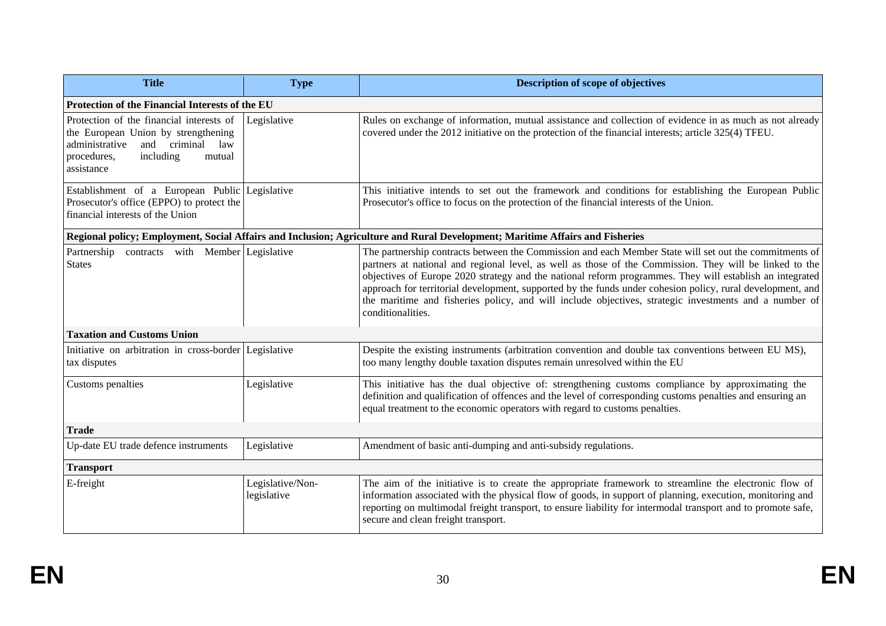| <b>Title</b>                                                                                                                                                                 | <b>Type</b>                     | Description of scope of objectives                                                                                                                                                                                                                                                                                                                                                                                                                                                                                                                                        |  |
|------------------------------------------------------------------------------------------------------------------------------------------------------------------------------|---------------------------------|---------------------------------------------------------------------------------------------------------------------------------------------------------------------------------------------------------------------------------------------------------------------------------------------------------------------------------------------------------------------------------------------------------------------------------------------------------------------------------------------------------------------------------------------------------------------------|--|
| Protection of the Financial Interests of the EU                                                                                                                              |                                 |                                                                                                                                                                                                                                                                                                                                                                                                                                                                                                                                                                           |  |
| Protection of the financial interests of<br>the European Union by strengthening<br>and criminal<br>administrative<br>law<br>including<br>procedures,<br>mutual<br>assistance | Legislative                     | Rules on exchange of information, mutual assistance and collection of evidence in as much as not already<br>covered under the 2012 initiative on the protection of the financial interests; article 325(4) TFEU.                                                                                                                                                                                                                                                                                                                                                          |  |
| Establishment of a European Public Legislative<br>Prosecutor's office (EPPO) to protect the<br>financial interests of the Union                                              |                                 | This initiative intends to set out the framework and conditions for establishing the European Public<br>Prosecutor's office to focus on the protection of the financial interests of the Union.                                                                                                                                                                                                                                                                                                                                                                           |  |
|                                                                                                                                                                              |                                 | Regional policy; Employment, Social Affairs and Inclusion; Agriculture and Rural Development; Maritime Affairs and Fisheries                                                                                                                                                                                                                                                                                                                                                                                                                                              |  |
| Partnership contracts with Member Legislative<br><b>States</b>                                                                                                               |                                 | The partnership contracts between the Commission and each Member State will set out the commitments of<br>partners at national and regional level, as well as those of the Commission. They will be linked to the<br>objectives of Europe 2020 strategy and the national reform programmes. They will establish an integrated<br>approach for territorial development, supported by the funds under cohesion policy, rural development, and<br>the maritime and fisheries policy, and will include objectives, strategic investments and a number of<br>conditionalities. |  |
| <b>Taxation and Customs Union</b>                                                                                                                                            |                                 |                                                                                                                                                                                                                                                                                                                                                                                                                                                                                                                                                                           |  |
| Initiative on arbitration in cross-border Legislative<br>tax disputes                                                                                                        |                                 | Despite the existing instruments (arbitration convention and double tax conventions between EU MS),<br>too many lengthy double taxation disputes remain unresolved within the EU                                                                                                                                                                                                                                                                                                                                                                                          |  |
| Customs penalties                                                                                                                                                            | Legislative                     | This initiative has the dual objective of: strengthening customs compliance by approximating the<br>definition and qualification of offences and the level of corresponding customs penalties and ensuring an<br>equal treatment to the economic operators with regard to customs penalties.                                                                                                                                                                                                                                                                              |  |
| <b>Trade</b>                                                                                                                                                                 |                                 |                                                                                                                                                                                                                                                                                                                                                                                                                                                                                                                                                                           |  |
| Up-date EU trade defence instruments                                                                                                                                         | Legislative                     | Amendment of basic anti-dumping and anti-subsidy regulations.                                                                                                                                                                                                                                                                                                                                                                                                                                                                                                             |  |
| <b>Transport</b>                                                                                                                                                             |                                 |                                                                                                                                                                                                                                                                                                                                                                                                                                                                                                                                                                           |  |
| E-freight                                                                                                                                                                    | Legislative/Non-<br>legislative | The aim of the initiative is to create the appropriate framework to streamline the electronic flow of<br>information associated with the physical flow of goods, in support of planning, execution, monitoring and<br>reporting on multimodal freight transport, to ensure liability for intermodal transport and to promote safe,<br>secure and clean freight transport.                                                                                                                                                                                                 |  |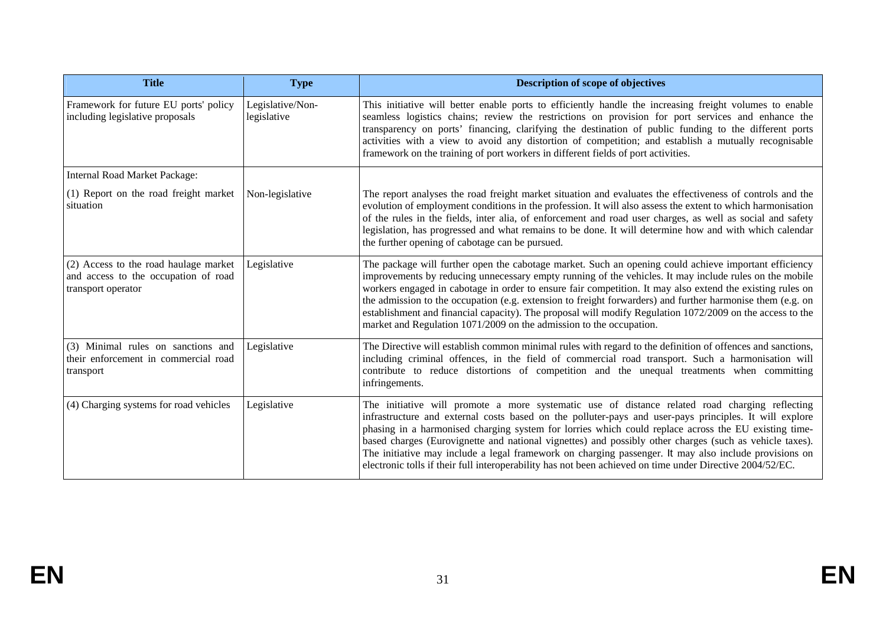| <b>Title</b>                                                                                        | <b>Type</b>                     | Description of scope of objectives                                                                                                                                                                                                                                                                                                                                                                                                                                                                                                                                                                                                                |  |
|-----------------------------------------------------------------------------------------------------|---------------------------------|---------------------------------------------------------------------------------------------------------------------------------------------------------------------------------------------------------------------------------------------------------------------------------------------------------------------------------------------------------------------------------------------------------------------------------------------------------------------------------------------------------------------------------------------------------------------------------------------------------------------------------------------------|--|
| Framework for future EU ports' policy<br>including legislative proposals                            | Legislative/Non-<br>legislative | This initiative will better enable ports to efficiently handle the increasing freight volumes to enable<br>seamless logistics chains; review the restrictions on provision for port services and enhance the<br>transparency on ports' financing, clarifying the destination of public funding to the different ports<br>activities with a view to avoid any distortion of competition; and establish a mutually recognisable<br>framework on the training of port workers in different fields of port activities.                                                                                                                                |  |
| <b>Internal Road Market Package:</b>                                                                |                                 |                                                                                                                                                                                                                                                                                                                                                                                                                                                                                                                                                                                                                                                   |  |
| (1) Report on the road freight market<br>situation                                                  | Non-legislative                 | The report analyses the road freight market situation and evaluates the effectiveness of controls and the<br>evolution of employment conditions in the profession. It will also assess the extent to which harmonisation<br>of the rules in the fields, inter alia, of enforcement and road user charges, as well as social and safety<br>legislation, has progressed and what remains to be done. It will determine how and with which calendar<br>the further opening of cabotage can be pursued.                                                                                                                                               |  |
| (2) Access to the road haulage market<br>and access to the occupation of road<br>transport operator | Legislative                     | The package will further open the cabotage market. Such an opening could achieve important efficiency<br>improvements by reducing unnecessary empty running of the vehicles. It may include rules on the mobile<br>workers engaged in cabotage in order to ensure fair competition. It may also extend the existing rules on<br>the admission to the occupation (e.g. extension to freight forwarders) and further harmonise them (e.g. on<br>establishment and financial capacity). The proposal will modify Regulation 1072/2009 on the access to the<br>market and Regulation 1071/2009 on the admission to the occupation.                    |  |
| (3) Minimal rules on sanctions and<br>their enforcement in commercial road<br>transport             | Legislative                     | The Directive will establish common minimal rules with regard to the definition of offences and sanctions,<br>including criminal offences, in the field of commercial road transport. Such a harmonisation will<br>contribute to reduce distortions of competition and the unequal treatments when committing<br>infringements.                                                                                                                                                                                                                                                                                                                   |  |
| (4) Charging systems for road vehicles                                                              | Legislative                     | The initiative will promote a more systematic use of distance related road charging reflecting<br>infrastructure and external costs based on the polluter-pays and user-pays principles. It will explore<br>phasing in a harmonised charging system for lorries which could replace across the EU existing time-<br>based charges (Eurovignette and national vignettes) and possibly other charges (such as vehicle taxes).<br>The initiative may include a legal framework on charging passenger. It may also include provisions on<br>electronic tolls if their full interoperability has not been achieved on time under Directive 2004/52/EC. |  |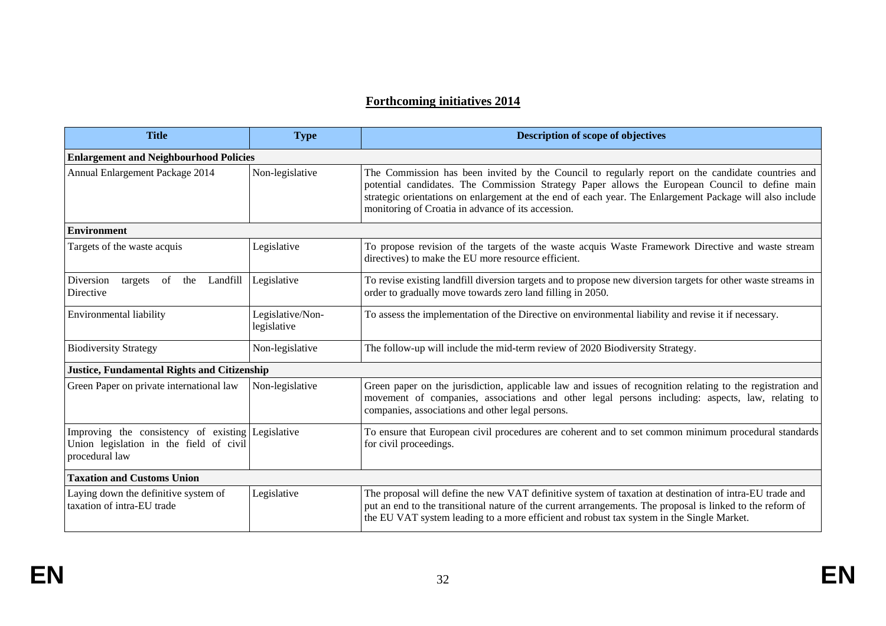## **Forthcoming initiatives 2014**

| <b>Title</b>                                                                                                   | <b>Type</b>                     | <b>Description of scope of objectives</b>                                                                                                                                                                                                                                                                                                                             |  |
|----------------------------------------------------------------------------------------------------------------|---------------------------------|-----------------------------------------------------------------------------------------------------------------------------------------------------------------------------------------------------------------------------------------------------------------------------------------------------------------------------------------------------------------------|--|
| <b>Enlargement and Neighbourhood Policies</b>                                                                  |                                 |                                                                                                                                                                                                                                                                                                                                                                       |  |
| Annual Enlargement Package 2014                                                                                | Non-legislative                 | The Commission has been invited by the Council to regularly report on the candidate countries and<br>potential candidates. The Commission Strategy Paper allows the European Council to define main<br>strategic orientations on enlargement at the end of each year. The Enlargement Package will also include<br>monitoring of Croatia in advance of its accession. |  |
| <b>Environment</b>                                                                                             |                                 |                                                                                                                                                                                                                                                                                                                                                                       |  |
| Targets of the waste acquis                                                                                    | Legislative                     | To propose revision of the targets of the waste acquis Waste Framework Directive and waste stream<br>directives) to make the EU more resource efficient.                                                                                                                                                                                                              |  |
| Diversion<br>of<br>Landfill<br>the<br>targets<br>Directive                                                     | Legislative                     | To revise existing landfill diversion targets and to propose new diversion targets for other waste streams in<br>order to gradually move towards zero land filling in 2050.                                                                                                                                                                                           |  |
| Environmental liability                                                                                        | Legislative/Non-<br>legislative | To assess the implementation of the Directive on environmental liability and revise it if necessary.                                                                                                                                                                                                                                                                  |  |
| <b>Biodiversity Strategy</b>                                                                                   | Non-legislative                 | The follow-up will include the mid-term review of 2020 Biodiversity Strategy.                                                                                                                                                                                                                                                                                         |  |
| <b>Justice, Fundamental Rights and Citizenship</b>                                                             |                                 |                                                                                                                                                                                                                                                                                                                                                                       |  |
| Green Paper on private international law                                                                       | Non-legislative                 | Green paper on the jurisdiction, applicable law and issues of recognition relating to the registration and<br>movement of companies, associations and other legal persons including: aspects, law, relating to<br>companies, associations and other legal persons.                                                                                                    |  |
| Improving the consistency of existing Legislative<br>Union legislation in the field of civil<br>procedural law |                                 | To ensure that European civil procedures are coherent and to set common minimum procedural standards<br>for civil proceedings.                                                                                                                                                                                                                                        |  |
| <b>Taxation and Customs Union</b>                                                                              |                                 |                                                                                                                                                                                                                                                                                                                                                                       |  |
| Laying down the definitive system of<br>taxation of intra-EU trade                                             | Legislative                     | The proposal will define the new VAT definitive system of taxation at destination of intra-EU trade and<br>put an end to the transitional nature of the current arrangements. The proposal is linked to the reform of<br>the EU VAT system leading to a more efficient and robust tax system in the Single Market.                                                    |  |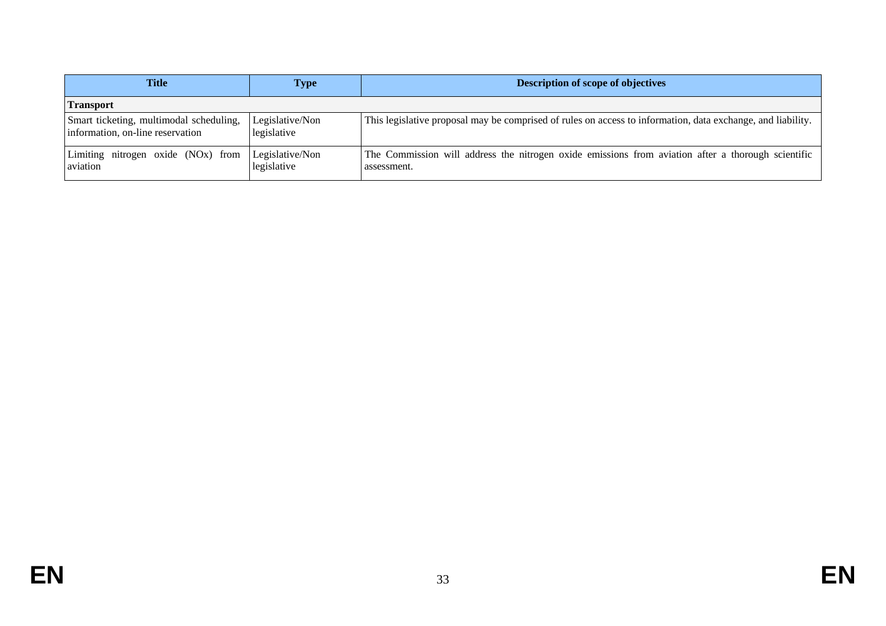| Title                                                                       | Type                           | <b>Description of scope of objectives</b>                                                                         |
|-----------------------------------------------------------------------------|--------------------------------|-------------------------------------------------------------------------------------------------------------------|
| <b>Transport</b>                                                            |                                |                                                                                                                   |
| Smart ticketing, multimodal scheduling,<br>information, on-line reservation | Legislative/Non<br>legislative | This legislative proposal may be comprised of rules on access to information, data exchange, and liability.       |
| Limiting nitrogen oxide (NOx) from<br>aviation                              | Legislative/Non<br>legislative | The Commission will address the nitrogen oxide emissions from aviation after a thorough scientific<br>assessment. |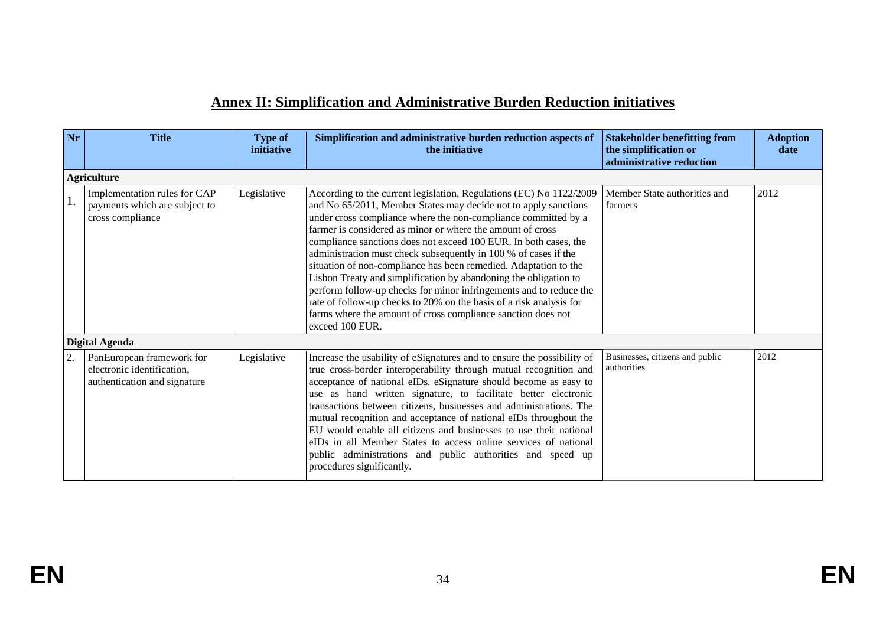## **Annex II: Simplification and Administrative Burden Reduction initiatives**

| Nr | <b>Title</b>                                                                            | <b>Type of</b><br>initiative | Simplification and administrative burden reduction aspects of<br>the initiative                                                                                                                                                                                                                                                                                                                                                                                                                                                                                                                                                                                                                                                                                                       | <b>Stakeholder benefitting from</b><br>the simplification or<br>administrative reduction | <b>Adoption</b><br>date |  |  |  |
|----|-----------------------------------------------------------------------------------------|------------------------------|---------------------------------------------------------------------------------------------------------------------------------------------------------------------------------------------------------------------------------------------------------------------------------------------------------------------------------------------------------------------------------------------------------------------------------------------------------------------------------------------------------------------------------------------------------------------------------------------------------------------------------------------------------------------------------------------------------------------------------------------------------------------------------------|------------------------------------------------------------------------------------------|-------------------------|--|--|--|
|    | <b>Agriculture</b>                                                                      |                              |                                                                                                                                                                                                                                                                                                                                                                                                                                                                                                                                                                                                                                                                                                                                                                                       |                                                                                          |                         |  |  |  |
|    | Implementation rules for CAP<br>payments which are subject to<br>cross compliance       | Legislative                  | According to the current legislation, Regulations (EC) No 1122/2009<br>and No 65/2011, Member States may decide not to apply sanctions<br>under cross compliance where the non-compliance committed by a<br>farmer is considered as minor or where the amount of cross<br>compliance sanctions does not exceed 100 EUR. In both cases, the<br>administration must check subsequently in 100 % of cases if the<br>situation of non-compliance has been remedied. Adaptation to the<br>Lisbon Treaty and simplification by abandoning the obligation to<br>perform follow-up checks for minor infringements and to reduce the<br>rate of follow-up checks to 20% on the basis of a risk analysis for<br>farms where the amount of cross compliance sanction does not<br>exceed 100 EUR. | Member State authorities and<br>farmers                                                  | 2012                    |  |  |  |
|    | <b>Digital Agenda</b>                                                                   |                              |                                                                                                                                                                                                                                                                                                                                                                                                                                                                                                                                                                                                                                                                                                                                                                                       |                                                                                          |                         |  |  |  |
| 2. | PanEuropean framework for<br>electronic identification,<br>authentication and signature | Legislative                  | Increase the usability of eSignatures and to ensure the possibility of<br>true cross-border interoperability through mutual recognition and<br>acceptance of national eIDs. eSignature should become as easy to<br>use as hand written signature, to facilitate better electronic<br>transactions between citizens, businesses and administrations. The<br>mutual recognition and acceptance of national eIDs throughout the<br>EU would enable all citizens and businesses to use their national<br>eIDs in all Member States to access online services of national<br>public administrations and public authorities and speed up<br>procedures significantly.                                                                                                                       | Businesses, citizens and public<br>authorities                                           | 2012                    |  |  |  |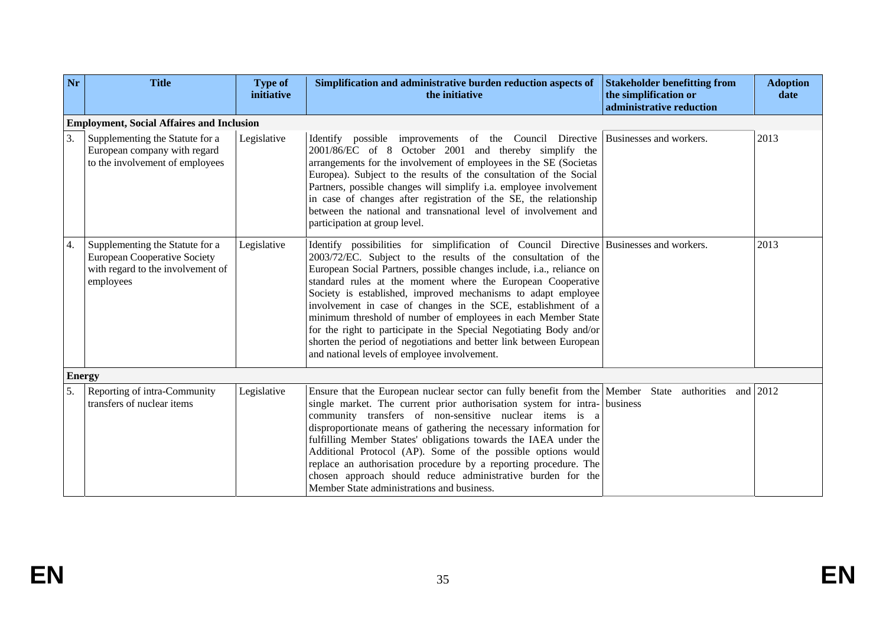| Nr            | <b>Title</b>                                                                                                             | <b>Type of</b><br>initiative | Simplification and administrative burden reduction aspects of<br>the initiative                                                                                                                                                                                                                                                                                                                                                                                                                                                                                                                                                                                                                  | <b>Stakeholder benefitting from</b><br>the simplification or<br>administrative reduction | <b>Adoption</b><br>date |  |  |
|---------------|--------------------------------------------------------------------------------------------------------------------------|------------------------------|--------------------------------------------------------------------------------------------------------------------------------------------------------------------------------------------------------------------------------------------------------------------------------------------------------------------------------------------------------------------------------------------------------------------------------------------------------------------------------------------------------------------------------------------------------------------------------------------------------------------------------------------------------------------------------------------------|------------------------------------------------------------------------------------------|-------------------------|--|--|
|               | <b>Employment, Social Affaires and Inclusion</b>                                                                         |                              |                                                                                                                                                                                                                                                                                                                                                                                                                                                                                                                                                                                                                                                                                                  |                                                                                          |                         |  |  |
| 3.            | Supplementing the Statute for a<br>European company with regard<br>to the involvement of employees                       | Legislative                  | Identify possible improvements of the Council Directive<br>2001/86/EC of 8 October 2001 and thereby simplify the<br>arrangements for the involvement of employees in the SE (Societas<br>Europea). Subject to the results of the consultation of the Social<br>Partners, possible changes will simplify i.a. employee involvement<br>in case of changes after registration of the SE, the relationship<br>between the national and transnational level of involvement and<br>participation at group level.                                                                                                                                                                                       | Businesses and workers.                                                                  | 2013                    |  |  |
| 4.            | Supplementing the Statute for a<br><b>European Cooperative Society</b><br>with regard to the involvement of<br>employees | Legislative                  | Identify possibilities for simplification of Council Directive Businesses and workers.<br>2003/72/EC. Subject to the results of the consultation of the<br>European Social Partners, possible changes include, i.a., reliance on<br>standard rules at the moment where the European Cooperative<br>Society is established, improved mechanisms to adapt employee<br>involvement in case of changes in the SCE, establishment of a<br>minimum threshold of number of employees in each Member State<br>for the right to participate in the Special Negotiating Body and/or<br>shorten the period of negotiations and better link between European<br>and national levels of employee involvement. |                                                                                          | 2013                    |  |  |
| <b>Energy</b> |                                                                                                                          |                              |                                                                                                                                                                                                                                                                                                                                                                                                                                                                                                                                                                                                                                                                                                  |                                                                                          |                         |  |  |
| 5.            | Reporting of intra-Community<br>transfers of nuclear items                                                               | Legislative                  | Ensure that the European nuclear sector can fully benefit from the Member State authorities and<br>single market. The current prior authorisation system for intra- business<br>community transfers of non-sensitive nuclear items is a<br>disproportionate means of gathering the necessary information for<br>fulfilling Member States' obligations towards the IAEA under the<br>Additional Protocol (AP). Some of the possible options would<br>replace an authorisation procedure by a reporting procedure. The<br>chosen approach should reduce administrative burden for the<br>Member State administrations and business.                                                                |                                                                                          | 2012                    |  |  |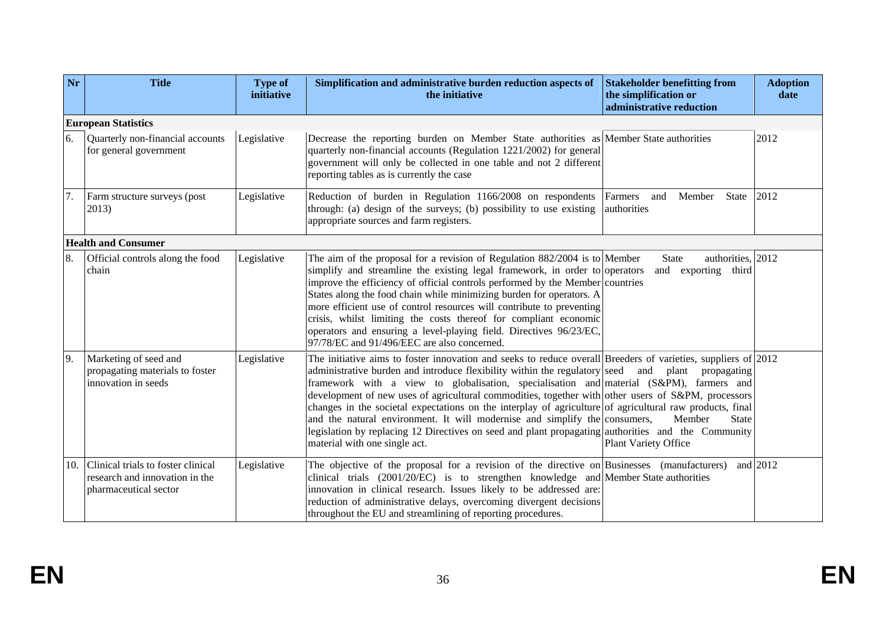| Nr  | <b>Title</b>                                                                                  | <b>Type of</b><br>initiative | Simplification and administrative burden reduction aspects of<br>the initiative                                                                                                                                                                                                                                                                                                                                                                                                                                                                                                                                                                                                                                                                        | <b>Stakeholder benefitting from</b><br>the simplification or<br>administrative reduction | <b>Adoption</b><br>date |  |  |
|-----|-----------------------------------------------------------------------------------------------|------------------------------|--------------------------------------------------------------------------------------------------------------------------------------------------------------------------------------------------------------------------------------------------------------------------------------------------------------------------------------------------------------------------------------------------------------------------------------------------------------------------------------------------------------------------------------------------------------------------------------------------------------------------------------------------------------------------------------------------------------------------------------------------------|------------------------------------------------------------------------------------------|-------------------------|--|--|
|     | <b>European Statistics</b>                                                                    |                              |                                                                                                                                                                                                                                                                                                                                                                                                                                                                                                                                                                                                                                                                                                                                                        |                                                                                          |                         |  |  |
| 6.  | Quarterly non-financial accounts<br>for general government                                    | Legislative                  | Decrease the reporting burden on Member State authorities as Member State authorities<br>quarterly non-financial accounts (Regulation 1221/2002) for general<br>government will only be collected in one table and not 2 different<br>reporting tables as is currently the case                                                                                                                                                                                                                                                                                                                                                                                                                                                                        |                                                                                          | 2012                    |  |  |
| 7.  | Farm structure surveys (post<br>2013)                                                         | Legislative                  | Reduction of burden in Regulation 1166/2008 on respondents<br>through: (a) design of the surveys; (b) possibility to use existing<br>appropriate sources and farm registers.                                                                                                                                                                                                                                                                                                                                                                                                                                                                                                                                                                           | Farmers<br>Member<br>and<br>State<br>authorities                                         | 2012                    |  |  |
|     | <b>Health and Consumer</b>                                                                    |                              |                                                                                                                                                                                                                                                                                                                                                                                                                                                                                                                                                                                                                                                                                                                                                        |                                                                                          |                         |  |  |
| 8.  | Official controls along the food<br>chain                                                     | Legislative                  | The aim of the proposal for a revision of Regulation $882/2004$ is to Member<br>simplify and streamline the existing legal framework, in order to operators<br>improve the efficiency of official controls performed by the Member countries<br>States along the food chain while minimizing burden for operators. A<br>more efficient use of control resources will contribute to preventing<br>crisis, whilst limiting the costs thereof for compliant economic<br>operators and ensuring a level-playing field. Directives 96/23/EC,<br>97/78/EC and 91/496/EEC are also concerned.                                                                                                                                                                 | authorities, 2012<br>State<br>and exporting third                                        |                         |  |  |
| 9.  | Marketing of seed and<br>propagating materials to foster<br>innovation in seeds               | Legislative                  | The initiative aims to foster innovation and seeks to reduce overall Breeders of varieties, suppliers of $\left 2012\right $<br>administrative burden and introduce flexibility within the regulatory seed and plant<br>framework with a view to globalisation, specialisation and material (S&PM), farmers and<br>development of new uses of agricultural commodities, together with other users of S&PM, processors<br>changes in the societal expectations on the interplay of agriculture of agricultural raw products, final<br>and the natural environment. It will modernise and simplify the consumers,<br>legislation by replacing 12 Directives on seed and plant propagating authorities and the Community<br>material with one single act. | propagating<br>Member<br><b>State</b><br>Plant Variety Office                            |                         |  |  |
| 10. | Clinical trials to foster clinical<br>research and innovation in the<br>pharmaceutical sector | Legislative                  | The objective of the proposal for a revision of the directive on Businesses (manufacturers) and $2012$<br>clinical trials $(2001/20/EC)$ is to strengthen knowledge and Member State authorities<br>innovation in clinical research. Issues likely to be addressed are:<br>reduction of administrative delays, overcoming divergent decisions<br>throughout the EU and streamlining of reporting procedures.                                                                                                                                                                                                                                                                                                                                           |                                                                                          |                         |  |  |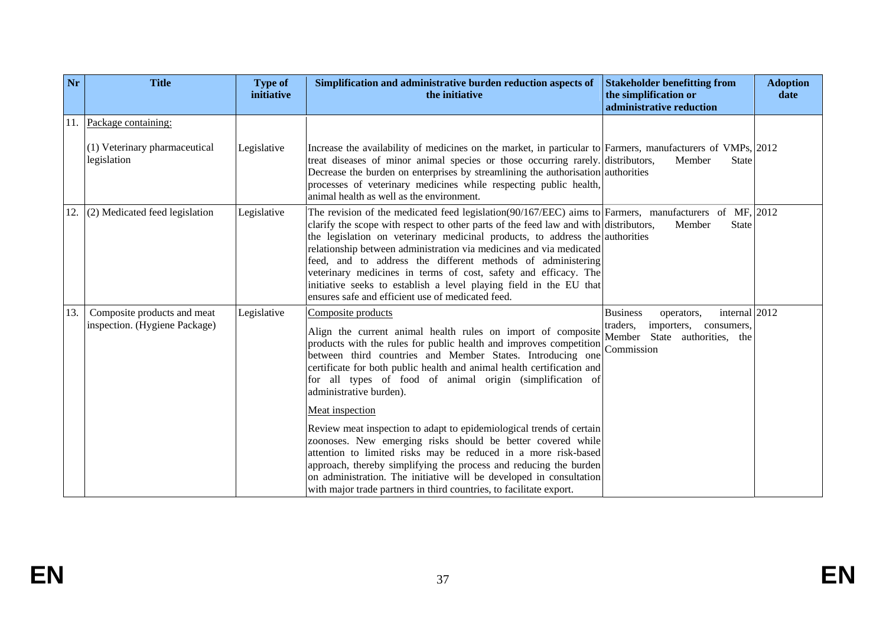| Nr  | <b>Title</b>                                                        | <b>Type of</b><br>initiative | Simplification and administrative burden reduction aspects of<br>the initiative                                                                                                                                                                                                                                                                                                                                                                                                                                                                                                                                           | <b>Stakeholder benefitting from</b><br>the simplification or<br>administrative reduction                                | <b>Adoption</b><br>date |
|-----|---------------------------------------------------------------------|------------------------------|---------------------------------------------------------------------------------------------------------------------------------------------------------------------------------------------------------------------------------------------------------------------------------------------------------------------------------------------------------------------------------------------------------------------------------------------------------------------------------------------------------------------------------------------------------------------------------------------------------------------------|-------------------------------------------------------------------------------------------------------------------------|-------------------------|
| 11. | Package containing:<br>(1) Veterinary pharmaceutical<br>legislation | Legislative                  | Increase the availability of medicines on the market, in particular to Farmers, manufacturers of VMPs, 2012<br>treat diseases of minor animal species or those occurring rarely. distributors,<br>Decrease the burden on enterprises by streamlining the authorisation authorities<br>processes of veterinary medicines while respecting public health,<br>animal health as well as the environment.                                                                                                                                                                                                                      | Member<br><b>State</b>                                                                                                  |                         |
| 12. | (2) Medicated feed legislation                                      | Legislative                  | The revision of the medicated feed legislation(90/167/EEC) aims to Farmers, manufacturers of MF, $\vert$ 2012<br>clarify the scope with respect to other parts of the feed law and with distributors,<br>the legislation on veterinary medicinal products, to address the authorities<br>relationship between administration via medicines and via medicated<br>feed, and to address the different methods of administering<br>veterinary medicines in terms of cost, safety and efficacy. The<br>initiative seeks to establish a level playing field in the EU that<br>ensures safe and efficient use of medicated feed. | Member<br><b>State</b>                                                                                                  |                         |
| 13. | Composite products and meat<br>inspection. (Hygiene Package)        | Legislative                  | Composite products<br>Align the current animal health rules on import of composite<br>products with the rules for public health and improves competition Commission<br>between third countries and Member States. Introducing one<br>certificate for both public health and animal health certification and<br>for all types of food of animal origin (simplification of<br>administrative burden).                                                                                                                                                                                                                       | internal 2012<br><b>Business</b><br>operators,<br>traders,<br>importers,<br>consumers.<br>Member State authorities, the |                         |
|     |                                                                     |                              | Meat inspection<br>Review meat inspection to adapt to epidemiological trends of certain<br>zoonoses. New emerging risks should be better covered while<br>attention to limited risks may be reduced in a more risk-based<br>approach, thereby simplifying the process and reducing the burden<br>on administration. The initiative will be developed in consultation<br>with major trade partners in third countries, to facilitate export.                                                                                                                                                                               |                                                                                                                         |                         |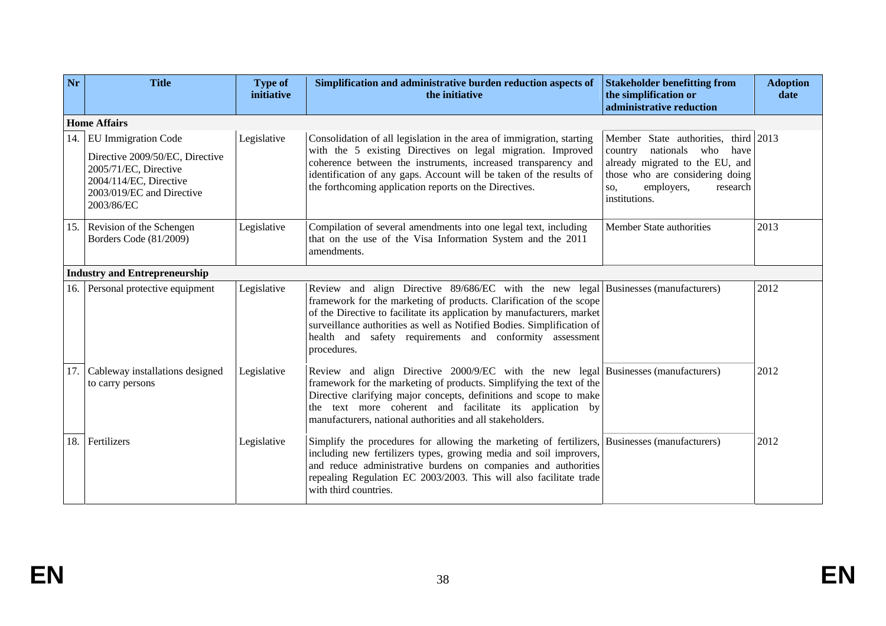| Nr  | <b>Title</b>                                                                                                                                                | <b>Type of</b><br>initiative | Simplification and administrative burden reduction aspects of<br>the initiative                                                                                                                                                                                                                                                                                                           | <b>Stakeholder benefitting from</b><br>the simplification or<br>administrative reduction                                                                                                         | <b>Adoption</b><br>date |  |  |
|-----|-------------------------------------------------------------------------------------------------------------------------------------------------------------|------------------------------|-------------------------------------------------------------------------------------------------------------------------------------------------------------------------------------------------------------------------------------------------------------------------------------------------------------------------------------------------------------------------------------------|--------------------------------------------------------------------------------------------------------------------------------------------------------------------------------------------------|-------------------------|--|--|
|     | <b>Home Affairs</b>                                                                                                                                         |                              |                                                                                                                                                                                                                                                                                                                                                                                           |                                                                                                                                                                                                  |                         |  |  |
| 14. | <b>EU Immigration Code</b><br>Directive 2009/50/EC, Directive<br>2005/71/EC, Directive<br>2004/114/EC, Directive<br>2003/019/EC and Directive<br>2003/86/EC | Legislative                  | Consolidation of all legislation in the area of immigration, starting<br>with the 5 existing Directives on legal migration. Improved<br>coherence between the instruments, increased transparency and<br>identification of any gaps. Account will be taken of the results of<br>the forthcoming application reports on the Directives.                                                    | Member State authorities, third 2013<br>country<br>nationals who<br>have<br>already migrated to the EU, and<br>those who are considering doing<br>employers,<br>research<br>SO.<br>institutions. |                         |  |  |
|     | 15. Revision of the Schengen<br>Borders Code (81/2009)                                                                                                      | Legislative                  | Compilation of several amendments into one legal text, including<br>that on the use of the Visa Information System and the 2011<br>amendments.                                                                                                                                                                                                                                            | Member State authorities                                                                                                                                                                         | 2013                    |  |  |
|     | <b>Industry and Entrepreneurship</b>                                                                                                                        |                              |                                                                                                                                                                                                                                                                                                                                                                                           |                                                                                                                                                                                                  |                         |  |  |
|     | 16. Personal protective equipment                                                                                                                           | Legislative                  | Review and align Directive 89/686/EC with the new legal Businesses (manufacturers)<br>framework for the marketing of products. Clarification of the scope<br>of the Directive to facilitate its application by manufacturers, market<br>surveillance authorities as well as Notified Bodies. Simplification of<br>health and safety requirements and conformity assessment<br>procedures. |                                                                                                                                                                                                  | 2012                    |  |  |
| 17. | Cableway installations designed<br>to carry persons                                                                                                         | Legislative                  | Review and align Directive 2000/9/EC with the new legal Businesses (manufacturers)<br>framework for the marketing of products. Simplifying the text of the<br>Directive clarifying major concepts, definitions and scope to make<br>the text more coherent and facilitate its application by<br>manufacturers, national authorities and all stakeholders.                                 |                                                                                                                                                                                                  | 2012                    |  |  |
|     | 18. Fertilizers                                                                                                                                             | Legislative                  | Simplify the procedures for allowing the marketing of fertilizers, Businesses (manufacturers)<br>including new fertilizers types, growing media and soil improvers,<br>and reduce administrative burdens on companies and authorities<br>repealing Regulation EC 2003/2003. This will also facilitate trade<br>with third countries.                                                      |                                                                                                                                                                                                  | 2012                    |  |  |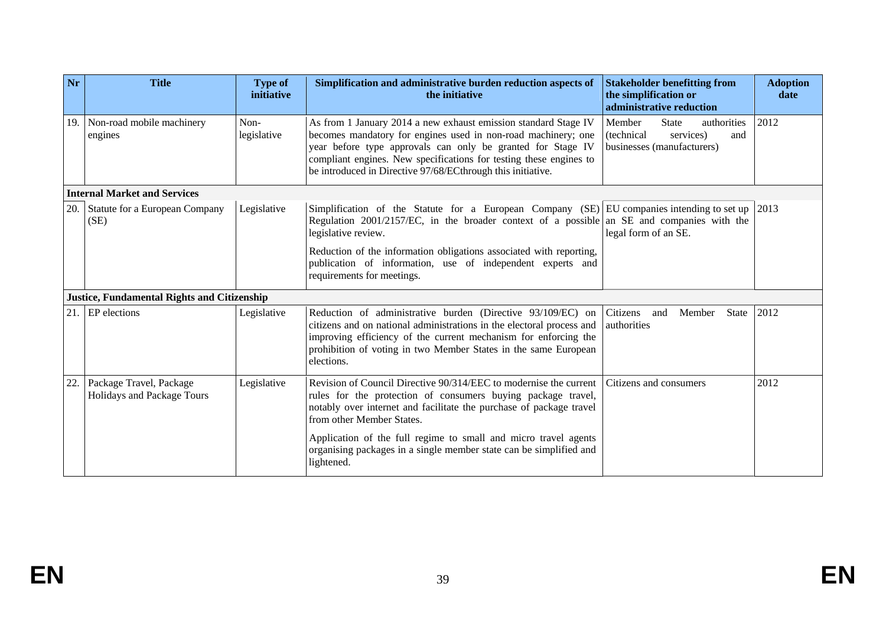| Nr  | <b>Title</b>                                          | <b>Type of</b><br>initiative | Simplification and administrative burden reduction aspects of<br>the initiative                                                                                                                                                                                                                                                                                                              | <b>Stakeholder benefitting from</b><br>the simplification or<br>administrative reduction              | <b>Adoption</b><br>date |
|-----|-------------------------------------------------------|------------------------------|----------------------------------------------------------------------------------------------------------------------------------------------------------------------------------------------------------------------------------------------------------------------------------------------------------------------------------------------------------------------------------------------|-------------------------------------------------------------------------------------------------------|-------------------------|
| 19. | Non-road mobile machinery<br>engines                  | Non-<br>legislative          | As from 1 January 2014 a new exhaust emission standard Stage IV<br>becomes mandatory for engines used in non-road machinery; one<br>year before type approvals can only be granted for Stage IV<br>compliant engines. New specifications for testing these engines to<br>be introduced in Directive 97/68/ECthrough this initiative.                                                         | <b>State</b><br>Member<br>authorities<br>(technical<br>services)<br>and<br>businesses (manufacturers) | 2012                    |
|     | <b>Internal Market and Services</b>                   |                              |                                                                                                                                                                                                                                                                                                                                                                                              |                                                                                                       |                         |
| 20. | Statute for a European Company<br>(SE)                | Legislative                  | Simplification of the Statute for a European Company $(SE)$ EU companies intending to set up<br>Regulation 2001/2157/EC, in the broader context of a possible an SE and companies with the<br>legislative review.<br>Reduction of the information obligations associated with reporting,<br>publication of information, use of independent experts and<br>requirements for meetings.         | legal form of an SE.                                                                                  | 2013                    |
|     | <b>Justice, Fundamental Rights and Citizenship</b>    |                              |                                                                                                                                                                                                                                                                                                                                                                                              |                                                                                                       |                         |
| 21. | EP elections                                          | Legislative                  | Reduction of administrative burden (Directive 93/109/EC) on<br>citizens and on national administrations in the electoral process and<br>improving efficiency of the current mechanism for enforcing the<br>prohibition of voting in two Member States in the same European<br>elections.                                                                                                     | Citizens<br>Member<br><b>State</b><br>and<br>authorities                                              | 2012                    |
| 22. | Package Travel, Package<br>Holidays and Package Tours | Legislative                  | Revision of Council Directive 90/314/EEC to modernise the current<br>rules for the protection of consumers buying package travel,<br>notably over internet and facilitate the purchase of package travel<br>from other Member States.<br>Application of the full regime to small and micro travel agents<br>organising packages in a single member state can be simplified and<br>lightened. | Citizens and consumers                                                                                | 2012                    |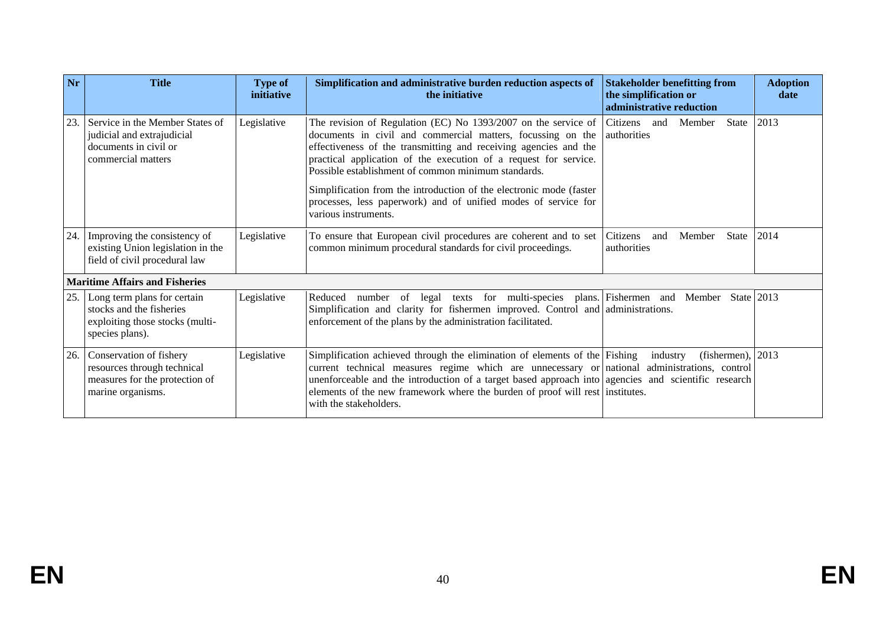| Nr  | <b>Title</b>                                                                                                  | <b>Type of</b><br>initiative | Simplification and administrative burden reduction aspects of<br>the initiative                                                                                                                                                                                                                                                                                                                                                                                                               | <b>Stakeholder benefitting from</b><br>the simplification or<br>administrative reduction | <b>Adoption</b><br>date |
|-----|---------------------------------------------------------------------------------------------------------------|------------------------------|-----------------------------------------------------------------------------------------------------------------------------------------------------------------------------------------------------------------------------------------------------------------------------------------------------------------------------------------------------------------------------------------------------------------------------------------------------------------------------------------------|------------------------------------------------------------------------------------------|-------------------------|
| 23. | Service in the Member States of<br>judicial and extrajudicial<br>documents in civil or<br>commercial matters  | Legislative                  | The revision of Regulation (EC) No 1393/2007 on the service of<br>documents in civil and commercial matters, focussing on the<br>effectiveness of the transmitting and receiving agencies and the<br>practical application of the execution of a request for service.<br>Possible establishment of common minimum standards.<br>Simplification from the introduction of the electronic mode (faster<br>processes, less paperwork) and of unified modes of service for<br>various instruments. | Citizens<br>and<br>Member<br>State<br>authorities                                        | 2013                    |
| 24. | Improving the consistency of<br>existing Union legislation in the<br>field of civil procedural law            | Legislative                  | To ensure that European civil procedures are coherent and to set<br>common minimum procedural standards for civil proceedings.                                                                                                                                                                                                                                                                                                                                                                | Citizens<br>State<br>and<br>Member<br>authorities                                        | 2014                    |
|     | <b>Maritime Affairs and Fisheries</b>                                                                         |                              |                                                                                                                                                                                                                                                                                                                                                                                                                                                                                               |                                                                                          |                         |
| 25. | Long term plans for certain<br>stocks and the fisheries<br>exploiting those stocks (multi-<br>species plans). | Legislative                  | Reduced number of legal texts for multi-species plans. Fishermen and Member State 2013<br>Simplification and clarity for fishermen improved. Control and administrations.<br>enforcement of the plans by the administration facilitated.                                                                                                                                                                                                                                                      |                                                                                          |                         |
| 26. | Conservation of fishery<br>resources through technical<br>measures for the protection of<br>marine organisms. | Legislative                  | Simplification achieved through the elimination of elements of the Fishing<br>current technical measures regime which are unnecessary or national administrations, control<br>unenforceable and the introduction of a target based approach into agencies and scientific research<br>elements of the new framework where the burden of proof will rest institutes.<br>with the stakeholders.                                                                                                  | (fishermen), $ 2013$<br>industry                                                         |                         |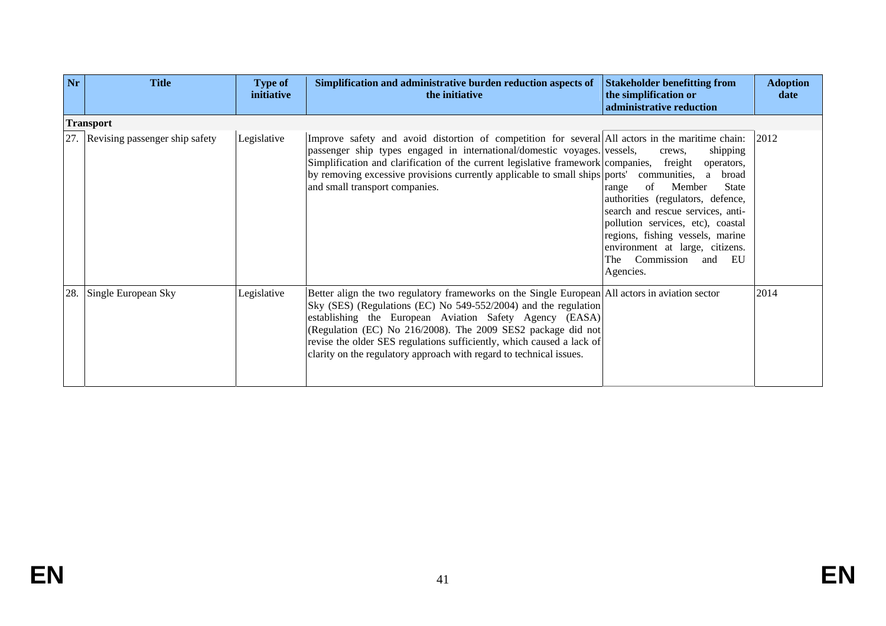| Nr  | <b>Title</b>                       | <b>Type of</b><br>initiative | Simplification and administrative burden reduction aspects of<br>the initiative                                                                                                                                                                                                                                                                                                                                                               | <b>Stakeholder benefitting from</b><br>the simplification or<br>administrative reduction                                                                                                                                                                                                                                | <b>Adoption</b><br>date |  |  |  |
|-----|------------------------------------|------------------------------|-----------------------------------------------------------------------------------------------------------------------------------------------------------------------------------------------------------------------------------------------------------------------------------------------------------------------------------------------------------------------------------------------------------------------------------------------|-------------------------------------------------------------------------------------------------------------------------------------------------------------------------------------------------------------------------------------------------------------------------------------------------------------------------|-------------------------|--|--|--|
|     | <b>Transport</b>                   |                              |                                                                                                                                                                                                                                                                                                                                                                                                                                               |                                                                                                                                                                                                                                                                                                                         |                         |  |  |  |
|     | 27. Revising passenger ship safety | Legislative                  | Improve safety and avoid distortion of competition for several All actors in the maritime chain:<br>passenger ship types engaged in international/domestic voyages. vessels,<br>Simplification and clarification of the current legislative framework companies, freight<br>by removing excessive provisions currently applicable to small ships ports' communities, a<br>and small transport companies.                                      | shipping<br>crews,<br>operators,<br>broad<br>Member<br>of<br><b>State</b><br>range<br>authorities (regulators, defence,<br>search and rescue services, anti-<br>pollution services, etc), coastal<br>regions, fishing vessels, marine<br>environment at large, citizens.<br>Commission<br>EU<br>The<br>and<br>Agencies. | 2012                    |  |  |  |
| 28. | Single European Sky                | Legislative                  | Better align the two regulatory frameworks on the Single European All actors in aviation sector<br>Sky (SES) (Regulations (EC) No 549-552/2004) and the regulation<br>establishing the European Aviation Safety Agency (EASA)<br>(Regulation (EC) No 216/2008). The 2009 SES2 package did not<br>revise the older SES regulations sufficiently, which caused a lack of<br>clarity on the regulatory approach with regard to technical issues. |                                                                                                                                                                                                                                                                                                                         | 2014                    |  |  |  |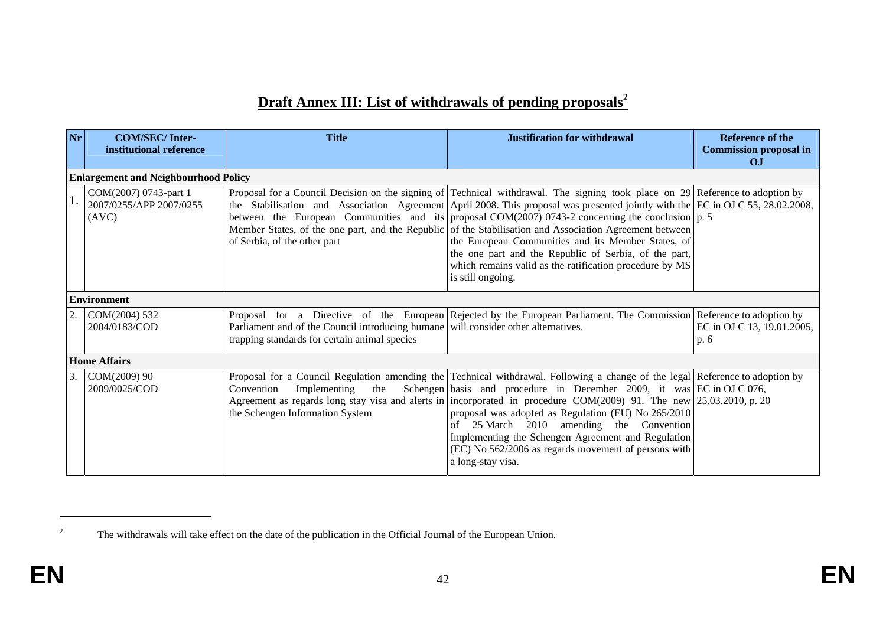# **Draft Annex III: List of withdrawals of pending proposals<sup>2</sup>**

| Nr | <b>COM/SEC/Inter-</b><br>institutional reference          | <b>Title</b>                                                                                                                        | <b>Justification for withdrawal</b>                                                                                                                                                                                                                                                                                                                                                                                                                                                                                                                                                                                                                                                 | Reference of the<br><b>Commission proposal in</b><br>O <sub>J</sub> |  |  |  |  |
|----|-----------------------------------------------------------|-------------------------------------------------------------------------------------------------------------------------------------|-------------------------------------------------------------------------------------------------------------------------------------------------------------------------------------------------------------------------------------------------------------------------------------------------------------------------------------------------------------------------------------------------------------------------------------------------------------------------------------------------------------------------------------------------------------------------------------------------------------------------------------------------------------------------------------|---------------------------------------------------------------------|--|--|--|--|
|    | <b>Enlargement and Neighbourhood Policy</b>               |                                                                                                                                     |                                                                                                                                                                                                                                                                                                                                                                                                                                                                                                                                                                                                                                                                                     |                                                                     |  |  |  |  |
|    | COM(2007) 0743-part 1<br>2007/0255/APP 2007/0255<br>(AVC) | of Serbia, of the other part                                                                                                        | Proposal for a Council Decision on the signing of Technical withdrawal. The signing took place on 29 Reference to adoption by<br>the Stabilisation and Association Agreement April 2008. This proposal was presented jointly with the EC in OJ C 55, 28.02.2008,<br>between the European Communities and its proposal COM(2007) 0743-2 concerning the conclusion $ p, 5 $<br>Member States, of the one part, and the Republic of the Stabilisation and Association Agreement between<br>the European Communities and its Member States, of<br>the one part and the Republic of Serbia, of the part,<br>which remains valid as the ratification procedure by MS<br>is still ongoing. |                                                                     |  |  |  |  |
|    | <b>Environment</b>                                        |                                                                                                                                     |                                                                                                                                                                                                                                                                                                                                                                                                                                                                                                                                                                                                                                                                                     |                                                                     |  |  |  |  |
|    | COM(2004) 532<br>2004/0183/COD                            | Parliament and of the Council introducing humane will consider other alternatives.<br>trapping standards for certain animal species | Proposal for a Directive of the European Rejected by the European Parliament. The Commission Reference to adoption by                                                                                                                                                                                                                                                                                                                                                                                                                                                                                                                                                               | EC in OJ C 13, 19.01.2005,<br>p. 6                                  |  |  |  |  |
|    | <b>Home Affairs</b>                                       |                                                                                                                                     |                                                                                                                                                                                                                                                                                                                                                                                                                                                                                                                                                                                                                                                                                     |                                                                     |  |  |  |  |
| 3. | COM(2009) 90<br>2009/0025/COD                             | Implementing<br>Convention<br>the<br>the Schengen Information System                                                                | Proposal for a Council Regulation amending the Technical withdrawal. Following a change of the legal Reference to adoption by<br>Schengen basis and procedure in December 2009, it was $\left  \text{EC in OJ C 076}, \right $<br>Agreement as regards long stay visa and alerts in incorporated in procedure COM(2009) 91. The new $\left  25.03.2010, p. 20 \right $<br>proposal was adopted as Regulation (EU) No 265/2010<br>25 March 2010<br>amending the Convention<br>of<br>Implementing the Schengen Agreement and Regulation<br>(EC) No 562/2006 as regards movement of persons with<br>a long-stay visa.                                                                  |                                                                     |  |  |  |  |

<sup>&</sup>lt;sup>2</sup> The withdrawals will take effect on the date of the publication in the Official Journal of the European Union.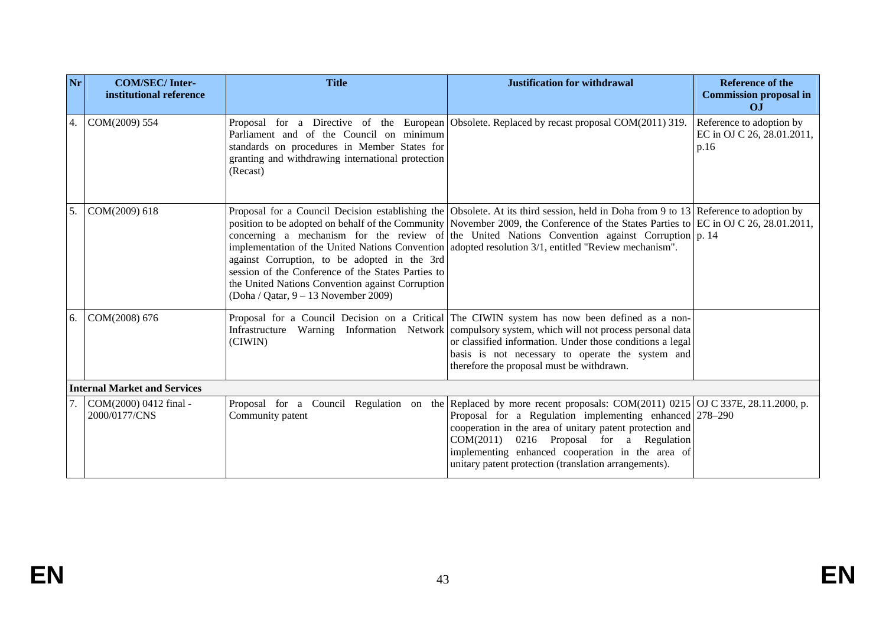| Nr | <b>COM/SEC/Inter-</b><br>institutional reference | <b>Title</b>                                                                                                                                                                                     | <b>Justification for withdrawal</b>                                                                                                                                                                                                                                                                                                                                                                                                                                                      | <b>Reference of the</b><br><b>Commission proposal in</b><br>O <sub>J</sub> |
|----|--------------------------------------------------|--------------------------------------------------------------------------------------------------------------------------------------------------------------------------------------------------|------------------------------------------------------------------------------------------------------------------------------------------------------------------------------------------------------------------------------------------------------------------------------------------------------------------------------------------------------------------------------------------------------------------------------------------------------------------------------------------|----------------------------------------------------------------------------|
| 4. | COM(2009) 554                                    | Parliament and of the Council on minimum<br>standards on procedures in Member States for<br>granting and withdrawing international protection<br>(Recast)                                        | Proposal for a Directive of the European Obsolete. Replaced by recast proposal COM(2011) 319.                                                                                                                                                                                                                                                                                                                                                                                            | Reference to adoption by<br>EC in OJ C 26, 28.01.2011,<br>p.16             |
| 5. | COM(2009) 618                                    | against Corruption, to be adopted in the 3rd<br>session of the Conference of the States Parties to<br>the United Nations Convention against Corruption<br>(Doha / Qatar, $9 - 13$ November 2009) | Proposal for a Council Decision establishing the Obsolete. At its third session, held in Doha from 9 to 13 Reference to adoption by<br>position to be adopted on behalf of the Community November 2009, the Conference of the States Parties to EC in OJ C 26, 28.01.2011,<br>concerning a mechanism for the review of the United Nations Convention against Corruption $ p. 14$<br>implementation of the United Nations Convention adopted resolution 3/1, entitled "Review mechanism". |                                                                            |
| 6. | COM(2008) 676                                    | (CIWIN)                                                                                                                                                                                          | Proposal for a Council Decision on a Critical The CIWIN system has now been defined as a non-<br>Infrastructure Warning Information Network compulsory system, which will not process personal data<br>or classified information. Under those conditions a legal<br>basis is not necessary to operate the system and<br>therefore the proposal must be withdrawn.                                                                                                                        |                                                                            |
|    | <b>Internal Market and Services</b>              |                                                                                                                                                                                                  |                                                                                                                                                                                                                                                                                                                                                                                                                                                                                          |                                                                            |
|    | COM(2000) 0412 final -<br>2000/0177/CNS          | Community patent                                                                                                                                                                                 | Proposal for a Council Regulation on the Replaced by more recent proposals: COM(2011) 0215 OJ C 337E, 28.11.2000, p.<br>Proposal for a Regulation implementing enhanced 278–290<br>cooperation in the area of unitary patent protection and<br>COM(2011) 0216 Proposal for a Regulation<br>implementing enhanced cooperation in the area of<br>unitary patent protection (translation arrangements).                                                                                     |                                                                            |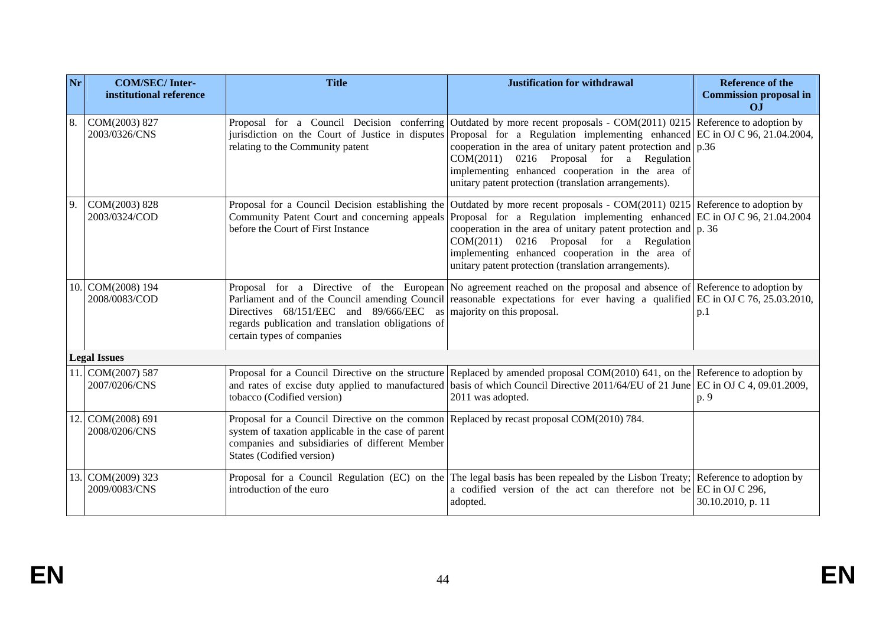| Nr | <b>COM/SEC/Inter-</b><br>institutional reference | <b>Title</b>                                                                                                                                                                                                                    | <b>Justification for withdrawal</b>                                                                                                                                                                                                                                                                                                                                                                                                                                                            | <b>Reference of the</b><br><b>Commission proposal in</b><br>O <sub>J</sub> |
|----|--------------------------------------------------|---------------------------------------------------------------------------------------------------------------------------------------------------------------------------------------------------------------------------------|------------------------------------------------------------------------------------------------------------------------------------------------------------------------------------------------------------------------------------------------------------------------------------------------------------------------------------------------------------------------------------------------------------------------------------------------------------------------------------------------|----------------------------------------------------------------------------|
| 8. | COM(2003) 827<br>2003/0326/CNS                   | relating to the Community patent                                                                                                                                                                                                | Proposal for a Council Decision conferring Outdated by more recent proposals - COM(2011) 0215 Reference to adoption by<br>jurisdiction on the Court of Justice in disputes Proposal for a Regulation implementing enhanced EC in OJ C 96, 21.04.2004,<br>cooperation in the area of unitary patent protection and $p.36$<br>COM(2011) 0216 Proposal for a Regulation<br>implementing enhanced cooperation in the area of<br>unitary patent protection (translation arrangements).              |                                                                            |
| 9. | COM(2003) 828<br>2003/0324/COD                   | before the Court of First Instance                                                                                                                                                                                              | Proposal for a Council Decision establishing the Outdated by more recent proposals - COM(2011) 0215 Reference to adoption by<br>Community Patent Court and concerning appeals Proposal for a Regulation implementing enhanced EC in OJ C 96, 21.04.2004<br>cooperation in the area of unitary patent protection and $ p. 36\rangle$<br>$COM(2011)$ 0216 Proposal for a Regulation<br>implementing enhanced cooperation in the area of<br>unitary patent protection (translation arrangements). |                                                                            |
|    | 10. COM(2008) 194<br>2008/0083/COD               | Directives 68/151/EEC and 89/666/EEC<br>regards publication and translation obligations of<br>certain types of companies                                                                                                        | Proposal for a Directive of the European No agreement reached on the proposal and absence of Reference to adoption by<br>Parliament and of the Council amending Council reasonable expectations for ever having a qualified EC in OJ C 76, 25.03.2010,<br>as majority on this proposal.                                                                                                                                                                                                        | p.1                                                                        |
|    | <b>Legal Issues</b>                              |                                                                                                                                                                                                                                 |                                                                                                                                                                                                                                                                                                                                                                                                                                                                                                |                                                                            |
|    | 11. COM(2007) 587<br>2007/0206/CNS               | tobacco (Codified version)                                                                                                                                                                                                      | Proposal for a Council Directive on the structure Replaced by amended proposal $COM(2010)$ 641, on the Reference to adoption by<br>and rates of excise duty applied to manufactured basis of which Council Directive 2011/64/EU of 21 June EC in OJ C 4, 09.01.2009,<br>2011 was adopted.                                                                                                                                                                                                      | p. 9                                                                       |
|    | 12. COM(2008) 691<br>2008/0206/CNS               | Proposal for a Council Directive on the common Replaced by recast proposal COM(2010) 784.<br>system of taxation applicable in the case of parent<br>companies and subsidiaries of different Member<br>States (Codified version) |                                                                                                                                                                                                                                                                                                                                                                                                                                                                                                |                                                                            |
|    | 13. COM(2009) 323<br>2009/0083/CNS               | introduction of the euro                                                                                                                                                                                                        | Proposal for a Council Regulation (EC) on the The legal basis has been repealed by the Lisbon Treaty; Reference to adoption by<br>a codified version of the act can therefore not be EC in OJ C 296,<br>adopted.                                                                                                                                                                                                                                                                               | 30.10.2010, p. 11                                                          |